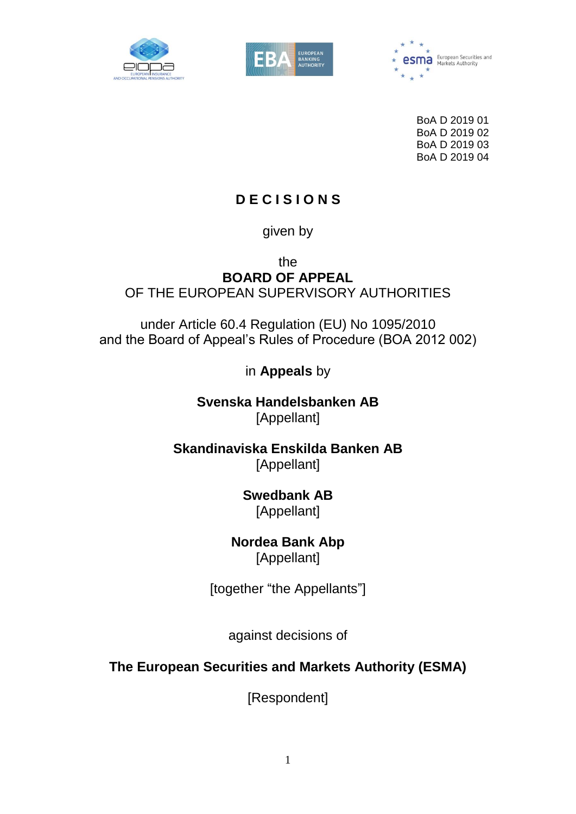





BoA D 2019 01 BoA D 2019 02 BoA D 2019 03 BoA D 2019 04

# **D E C I S I O N S**

given by

the

**BOARD OF APPEAL** OF THE EUROPEAN SUPERVISORY AUTHORITIES

under Article 60.4 Regulation (EU) No 1095/2010 and the Board of Appeal's Rules of Procedure (BOA 2012 002)

in **Appeals** by

**Svenska Handelsbanken AB** [Appellant]

**Skandinaviska Enskilda Banken AB** [Appellant]

> **Swedbank AB** [Appellant]

**Nordea Bank Abp**  [Appellant]

[together "the Appellants"]

against decisions of

**The European Securities and Markets Authority (ESMA)**

[Respondent]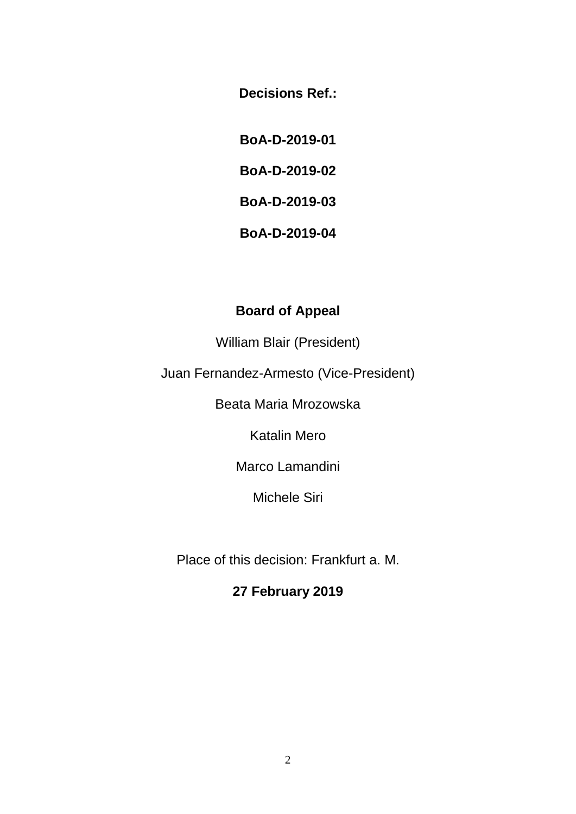**Decisions Ref.:**

**BoA-D-2019-01**

**BoA-D-2019-02**

**BoA-D-2019-03**

**BoA-D-2019-04**

## **Board of Appeal**

William Blair (President)

Juan Fernandez-Armesto (Vice-President)

Beata Maria Mrozowska

Katalin Mero

Marco Lamandini

Michele Siri

Place of this decision: Frankfurt a. M.

# **27 February 2019**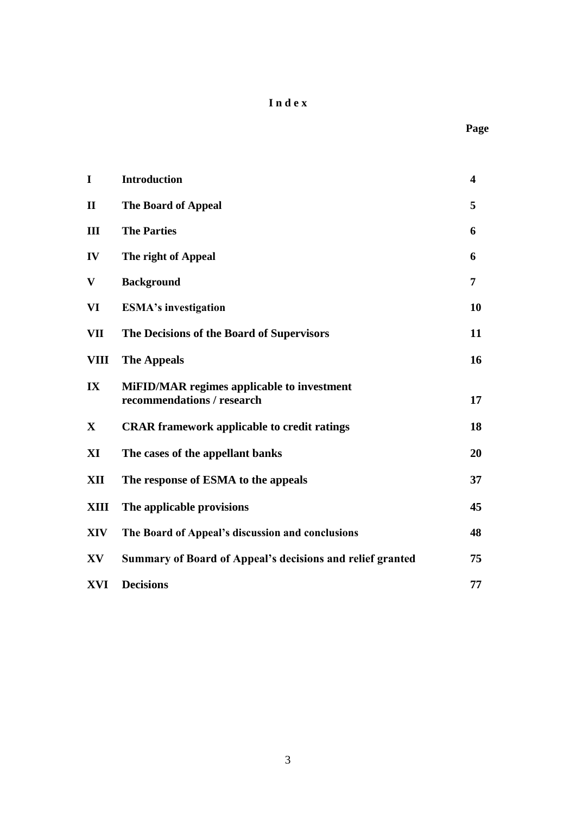### **I n d e x**

| $\mathbf I$  | <b>Introduction</b>                                                             | $\overline{\mathbf{4}}$ |
|--------------|---------------------------------------------------------------------------------|-------------------------|
| $\mathbf H$  | The Board of Appeal                                                             | 5                       |
| $\mathbf{I}$ | <b>The Parties</b>                                                              | 6                       |
| IV           | The right of Appeal                                                             | 6                       |
| $\mathbf{V}$ | <b>Background</b>                                                               | $\overline{7}$          |
| VI           | <b>ESMA's investigation</b>                                                     | 10                      |
| VII          | The Decisions of the Board of Supervisors                                       | 11                      |
| VIII         | <b>The Appeals</b>                                                              | 16                      |
| IX           | <b>MiFID/MAR</b> regimes applicable to investment<br>recommendations / research | 17                      |
| $\mathbf{X}$ | <b>CRAR</b> framework applicable to credit ratings                              | 18                      |
| XI           | The cases of the appellant banks                                                | 20                      |
| XII          | The response of ESMA to the appeals                                             | 37                      |
| XIII         | The applicable provisions                                                       | 45                      |
| XIV          | The Board of Appeal's discussion and conclusions                                | 48                      |
| XV           | <b>Summary of Board of Appeal's decisions and relief granted</b>                | 75                      |
| XVI          | <b>Decisions</b>                                                                | 77                      |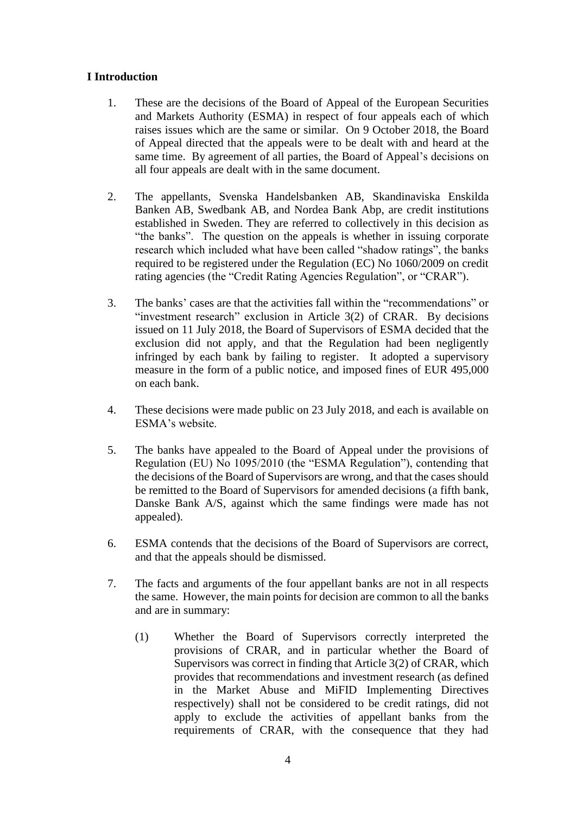### **I Introduction**

- 1. These are the decisions of the Board of Appeal of the European Securities and Markets Authority (ESMA) in respect of four appeals each of which raises issues which are the same or similar. On 9 October 2018, the Board of Appeal directed that the appeals were to be dealt with and heard at the same time. By agreement of all parties, the Board of Appeal's decisions on all four appeals are dealt with in the same document.
- 2. The appellants, Svenska Handelsbanken AB, Skandinaviska Enskilda Banken AB, Swedbank AB, and Nordea Bank Abp, are credit institutions established in Sweden. They are referred to collectively in this decision as "the banks". The question on the appeals is whether in issuing corporate research which included what have been called "shadow ratings", the banks required to be registered under the Regulation (EC) No 1060/2009 on credit rating agencies (the "Credit Rating Agencies Regulation", or "CRAR").
- 3. The banks' cases are that the activities fall within the "recommendations" or "investment research" exclusion in Article 3(2) of CRAR. By decisions issued on 11 July 2018, the Board of Supervisors of ESMA decided that the exclusion did not apply, and that the Regulation had been negligently infringed by each bank by failing to register. It adopted a supervisory measure in the form of a public notice, and imposed fines of EUR 495,000 on each bank.
- 4. These decisions were made public on 23 July 2018, and each is available on ESMA's website.
- 5. The banks have appealed to the Board of Appeal under the provisions of Regulation (EU) No 1095/2010 (the "ESMA Regulation"), contending that the decisions of the Board of Supervisors are wrong, and that the cases should be remitted to the Board of Supervisors for amended decisions (a fifth bank, Danske Bank A/S, against which the same findings were made has not appealed).
- 6. ESMA contends that the decisions of the Board of Supervisors are correct, and that the appeals should be dismissed.
- 7. The facts and arguments of the four appellant banks are not in all respects the same. However, the main points for decision are common to all the banks and are in summary:
	- (1) Whether the Board of Supervisors correctly interpreted the provisions of CRAR, and in particular whether the Board of Supervisors was correct in finding that Article 3(2) of CRAR, which provides that recommendations and investment research (as defined in the Market Abuse and MiFID Implementing Directives respectively) shall not be considered to be credit ratings, did not apply to exclude the activities of appellant banks from the requirements of CRAR, with the consequence that they had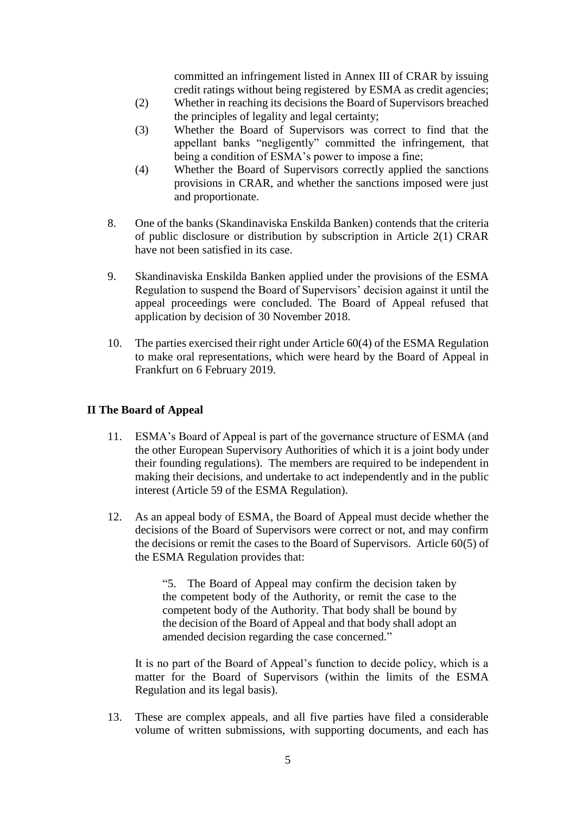committed an infringement listed in Annex III of CRAR by issuing credit ratings without being registered by ESMA as credit agencies;

- (2) Whether in reaching its decisions the Board of Supervisors breached the principles of legality and legal certainty;
- (3) Whether the Board of Supervisors was correct to find that the appellant banks "negligently" committed the infringement, that being a condition of ESMA's power to impose a fine;
- (4) Whether the Board of Supervisors correctly applied the sanctions provisions in CRAR, and whether the sanctions imposed were just and proportionate.
- 8. One of the banks (Skandinaviska Enskilda Banken) contends that the criteria of public disclosure or distribution by subscription in Article 2(1) CRAR have not been satisfied in its case.
- 9. Skandinaviska Enskilda Banken applied under the provisions of the ESMA Regulation to suspend the Board of Supervisors' decision against it until the appeal proceedings were concluded. The Board of Appeal refused that application by decision of 30 November 2018.
- 10. The parties exercised their right under Article 60(4) of the ESMA Regulation to make oral representations, which were heard by the Board of Appeal in Frankfurt on 6 February 2019.

### **II The Board of Appeal**

- 11. ESMA's Board of Appeal is part of the governance structure of ESMA (and the other European Supervisory Authorities of which it is a joint body under their founding regulations). The members are required to be independent in making their decisions, and undertake to act independently and in the public interest (Article 59 of the ESMA Regulation).
- 12. As an appeal body of ESMA, the Board of Appeal must decide whether the decisions of the Board of Supervisors were correct or not, and may confirm the decisions or remit the cases to the Board of Supervisors. Article 60(5) of the ESMA Regulation provides that:

"5. The Board of Appeal may confirm the decision taken by the competent body of the Authority, or remit the case to the competent body of the Authority. That body shall be bound by the decision of the Board of Appeal and that body shall adopt an amended decision regarding the case concerned."

It is no part of the Board of Appeal's function to decide policy, which is a matter for the Board of Supervisors (within the limits of the ESMA Regulation and its legal basis).

13. These are complex appeals, and all five parties have filed a considerable volume of written submissions, with supporting documents, and each has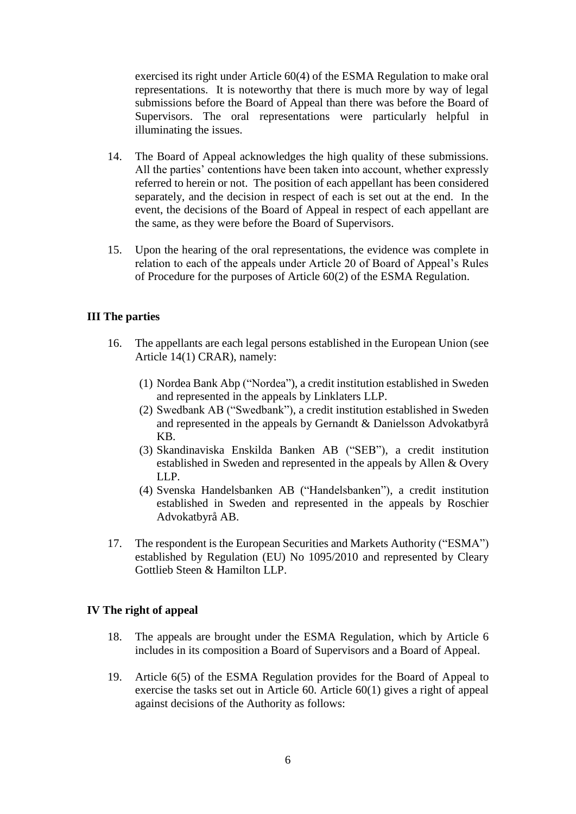exercised its right under Article 60(4) of the ESMA Regulation to make oral representations. It is noteworthy that there is much more by way of legal submissions before the Board of Appeal than there was before the Board of Supervisors. The oral representations were particularly helpful in illuminating the issues.

- 14. The Board of Appeal acknowledges the high quality of these submissions. All the parties' contentions have been taken into account, whether expressly referred to herein or not. The position of each appellant has been considered separately, and the decision in respect of each is set out at the end. In the event, the decisions of the Board of Appeal in respect of each appellant are the same, as they were before the Board of Supervisors.
- 15. Upon the hearing of the oral representations, the evidence was complete in relation to each of the appeals under Article 20 of Board of Appeal's Rules of Procedure for the purposes of Article 60(2) of the ESMA Regulation.

#### **III The parties**

- 16. The appellants are each legal persons established in the European Union (see Article 14(1) CRAR), namely:
	- (1) Nordea Bank Abp ("Nordea"), a credit institution established in Sweden and represented in the appeals by Linklaters LLP.
	- (2) Swedbank AB ("Swedbank"), a credit institution established in Sweden and represented in the appeals by Gernandt & Danielsson Advokatbyrå KB.
	- (3) Skandinaviska Enskilda Banken AB ("SEB"), a credit institution established in Sweden and represented in the appeals by Allen & Overy LLP.
	- (4) Svenska Handelsbanken AB ("Handelsbanken"), a credit institution established in Sweden and represented in the appeals by Roschier Advokatbyrå AB.
- 17. The respondent is the European Securities and Markets Authority ("ESMA") established by Regulation (EU) No 1095/2010 and represented by Cleary Gottlieb Steen & Hamilton LLP.

#### **IV The right of appeal**

- 18. The appeals are brought under the ESMA Regulation, which by Article 6 includes in its composition a Board of Supervisors and a Board of Appeal.
- 19. Article 6(5) of the ESMA Regulation provides for the Board of Appeal to exercise the tasks set out in Article 60. Article 60(1) gives a right of appeal against decisions of the Authority as follows: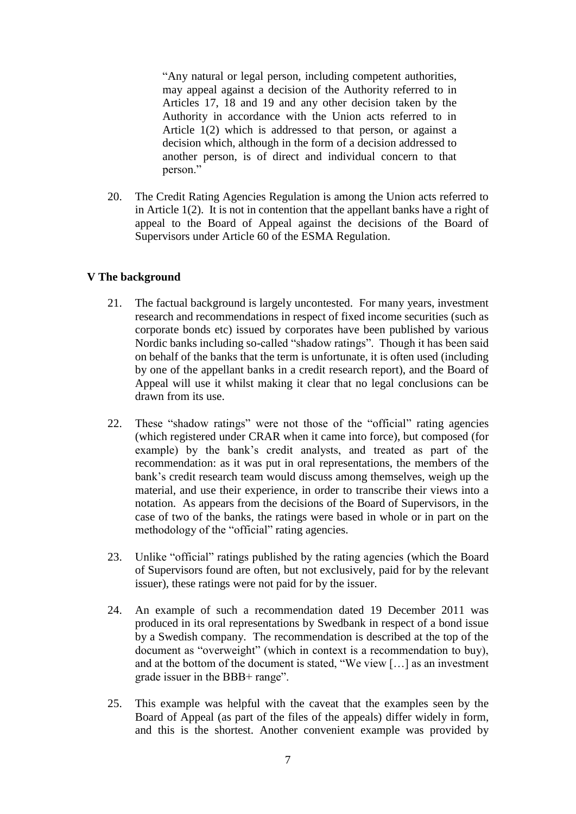"Any natural or legal person, including competent authorities, may appeal against a decision of the Authority referred to in Articles 17, 18 and 19 and any other decision taken by the Authority in accordance with the Union acts referred to in Article 1(2) which is addressed to that person, or against a decision which, although in the form of a decision addressed to another person, is of direct and individual concern to that person."

20. The Credit Rating Agencies Regulation is among the Union acts referred to in Article 1(2). It is not in contention that the appellant banks have a right of appeal to the Board of Appeal against the decisions of the Board of Supervisors under Article 60 of the ESMA Regulation.

#### **V The background**

- 21. The factual background is largely uncontested. For many years, investment research and recommendations in respect of fixed income securities (such as corporate bonds etc) issued by corporates have been published by various Nordic banks including so-called "shadow ratings". Though it has been said on behalf of the banks that the term is unfortunate, it is often used (including by one of the appellant banks in a credit research report), and the Board of Appeal will use it whilst making it clear that no legal conclusions can be drawn from its use.
- 22. These "shadow ratings" were not those of the "official" rating agencies (which registered under CRAR when it came into force), but composed (for example) by the bank's credit analysts, and treated as part of the recommendation: as it was put in oral representations, the members of the bank's credit research team would discuss among themselves, weigh up the material, and use their experience, in order to transcribe their views into a notation. As appears from the decisions of the Board of Supervisors, in the case of two of the banks, the ratings were based in whole or in part on the methodology of the "official" rating agencies.
- 23. Unlike "official" ratings published by the rating agencies (which the Board of Supervisors found are often, but not exclusively, paid for by the relevant issuer), these ratings were not paid for by the issuer.
- 24. An example of such a recommendation dated 19 December 2011 was produced in its oral representations by Swedbank in respect of a bond issue by a Swedish company. The recommendation is described at the top of the document as "overweight" (which in context is a recommendation to buy), and at the bottom of the document is stated, "We view […] as an investment grade issuer in the BBB+ range".
- 25. This example was helpful with the caveat that the examples seen by the Board of Appeal (as part of the files of the appeals) differ widely in form, and this is the shortest. Another convenient example was provided by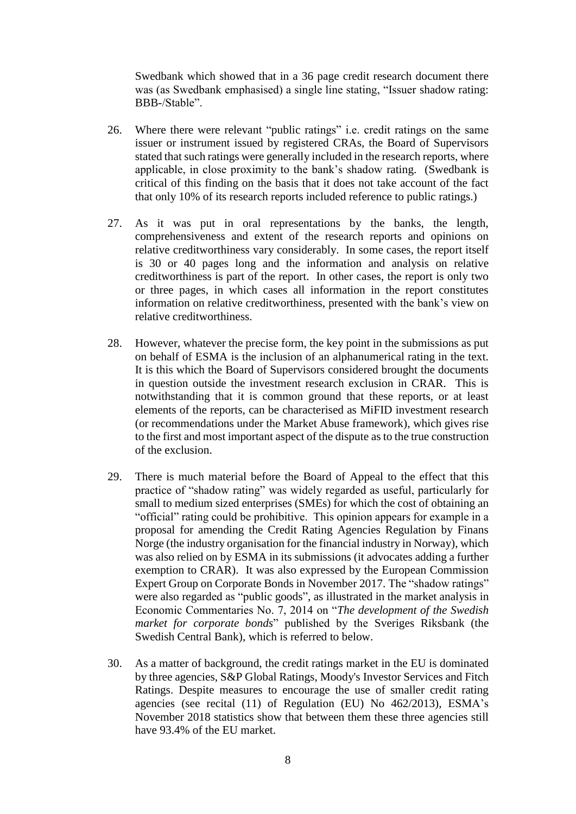Swedbank which showed that in a 36 page credit research document there was (as Swedbank emphasised) a single line stating, "Issuer shadow rating: BBB-/Stable".

- 26. Where there were relevant "public ratings" i.e. credit ratings on the same issuer or instrument issued by registered CRAs, the Board of Supervisors stated that such ratings were generally included in the research reports, where applicable, in close proximity to the bank's shadow rating. (Swedbank is critical of this finding on the basis that it does not take account of the fact that only 10% of its research reports included reference to public ratings.)
- 27. As it was put in oral representations by the banks, the length, comprehensiveness and extent of the research reports and opinions on relative creditworthiness vary considerably. In some cases, the report itself is 30 or 40 pages long and the information and analysis on relative creditworthiness is part of the report. In other cases, the report is only two or three pages, in which cases all information in the report constitutes information on relative creditworthiness, presented with the bank's view on relative creditworthiness.
- 28. However, whatever the precise form, the key point in the submissions as put on behalf of ESMA is the inclusion of an alphanumerical rating in the text. It is this which the Board of Supervisors considered brought the documents in question outside the investment research exclusion in CRAR. This is notwithstanding that it is common ground that these reports, or at least elements of the reports, can be characterised as MiFID investment research (or recommendations under the Market Abuse framework), which gives rise to the first and most important aspect of the dispute as to the true construction of the exclusion.
- 29. There is much material before the Board of Appeal to the effect that this practice of "shadow rating" was widely regarded as useful, particularly for small to medium sized enterprises (SMEs) for which the cost of obtaining an "official" rating could be prohibitive. This opinion appears for example in a proposal for amending the Credit Rating Agencies Regulation by Finans Norge (the industry organisation for the financial industry in Norway), which was also relied on by ESMA in its submissions (it advocates adding a further exemption to CRAR). It was also expressed by the European Commission Expert Group on Corporate Bonds in November 2017. The "shadow ratings" were also regarded as "public goods", as illustrated in the market analysis in Economic Commentaries No. 7, 2014 on "*The development of the Swedish market for corporate bonds*" published by the Sveriges Riksbank (the Swedish Central Bank), which is referred to below.
- 30. As a matter of background, the credit ratings market in the EU is dominated by three agencies, S&P Global Ratings, Moody's Investor Services and Fitch Ratings. Despite measures to encourage the use of smaller credit rating agencies (see recital (11) of Regulation (EU) No 462/2013), ESMA's November 2018 statistics show that between them these three agencies still have 93.4% of the EU market.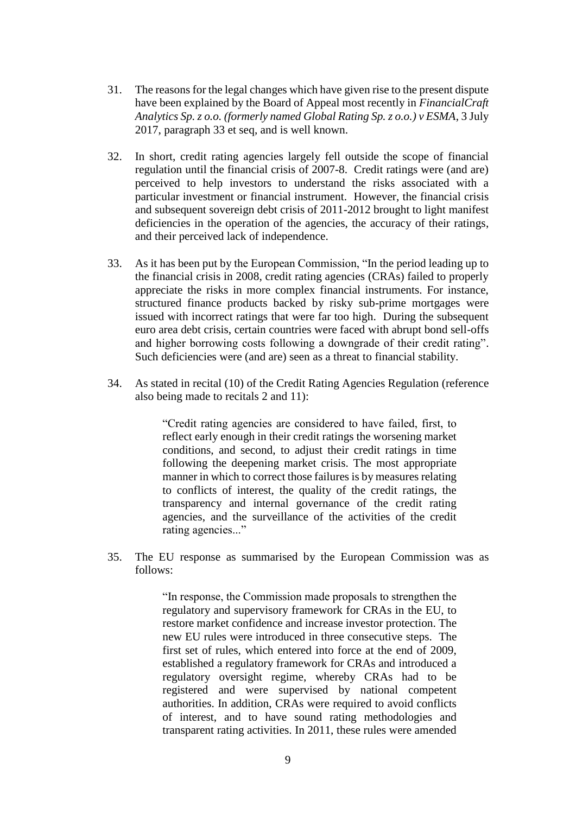- 31. The reasons for the legal changes which have given rise to the present dispute have been explained by the Board of Appeal most recently in *FinancialCraft Analytics Sp. z o.o. (formerly named Global Rating Sp. z o.o.) v ESMA*, 3 July 2017, paragraph 33 et seq, and is well known.
- 32. In short, credit rating agencies largely fell outside the scope of financial regulation until the financial crisis of 2007-8. Credit ratings were (and are) perceived to help investors to understand the risks associated with a particular investment or financial instrument. However, the financial crisis and subsequent sovereign debt crisis of 2011-2012 brought to light manifest deficiencies in the operation of the agencies, the accuracy of their ratings, and their perceived lack of independence.
- 33. As it has been put by the European Commission, "In the period leading up to the financial crisis in 2008, credit rating agencies (CRAs) failed to properly appreciate the risks in more complex financial instruments. For instance, structured finance products backed by risky sub-prime mortgages were issued with incorrect ratings that were far too high. During the subsequent euro area debt crisis, certain countries were faced with abrupt bond sell-offs and higher borrowing costs following a downgrade of their credit rating". Such deficiencies were (and are) seen as a threat to financial stability.
- 34. As stated in recital (10) of the Credit Rating Agencies Regulation (reference also being made to recitals 2 and 11):

"Credit rating agencies are considered to have failed, first, to reflect early enough in their credit ratings the worsening market conditions, and second, to adjust their credit ratings in time following the deepening market crisis. The most appropriate manner in which to correct those failures is by measures relating to conflicts of interest, the quality of the credit ratings, the transparency and internal governance of the credit rating agencies, and the surveillance of the activities of the credit rating agencies..."

35. The EU response as summarised by the European Commission was as follows:

> "In response, the Commission made proposals to strengthen the regulatory and supervisory framework for CRAs in the EU, to restore market confidence and increase investor protection. The new EU rules were introduced in three consecutive steps. The first set of rules, which entered into force at the end of 2009, established a regulatory framework for CRAs and introduced a regulatory oversight regime, whereby CRAs had to be registered and were supervised by national competent authorities. In addition, CRAs were required to avoid conflicts of interest, and to have sound rating methodologies and transparent rating activities. In 2011, these rules were amended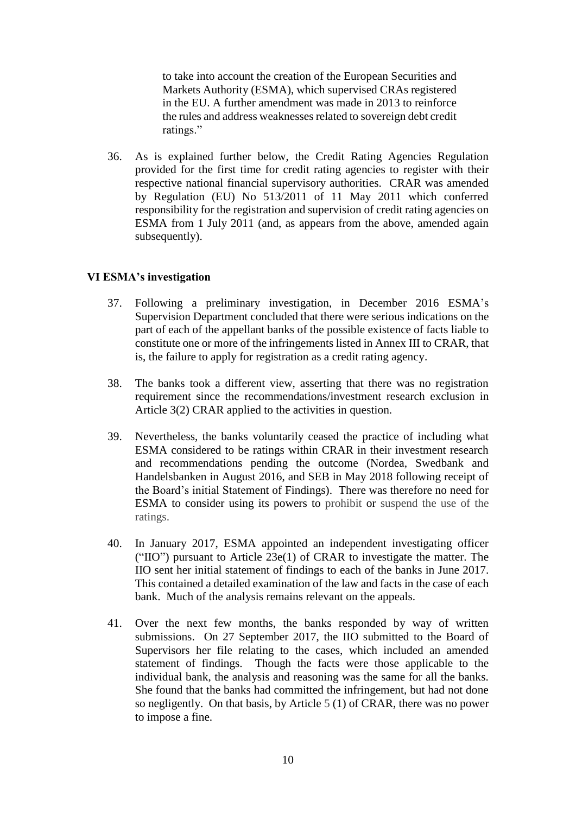to take into account the creation of the European Securities and Markets Authority (ESMA), which supervised CRAs registered in the EU. A further amendment was made in 2013 to reinforce the rules and address weaknesses related to sovereign debt credit ratings."

36. As is explained further below, the Credit Rating Agencies Regulation provided for the first time for credit rating agencies to register with their respective national financial supervisory authorities. CRAR was amended by Regulation (EU) No 513/2011 of 11 May 2011 which conferred responsibility for the registration and supervision of credit rating agencies on ESMA from 1 July 2011 (and, as appears from the above, amended again subsequently).

#### **VI ESMA's investigation**

- 37. Following a preliminary investigation, in December 2016 ESMA's Supervision Department concluded that there were serious indications on the part of each of the appellant banks of the possible existence of facts liable to constitute one or more of the infringements listed in Annex III to CRAR, that is, the failure to apply for registration as a credit rating agency.
- 38. The banks took a different view, asserting that there was no registration requirement since the recommendations/investment research exclusion in Article 3(2) CRAR applied to the activities in question.
- 39. Nevertheless, the banks voluntarily ceased the practice of including what ESMA considered to be ratings within CRAR in their investment research and recommendations pending the outcome (Nordea, Swedbank and Handelsbanken in August 2016, and SEB in May 2018 following receipt of the Board's initial Statement of Findings). There was therefore no need for ESMA to consider using its powers to prohibit or suspend the use of the ratings.
- 40. In January 2017, ESMA appointed an independent investigating officer ("IIO") pursuant to Article 23e(1) of CRAR to investigate the matter. The IIO sent her initial statement of findings to each of the banks in June 2017. This contained a detailed examination of the law and facts in the case of each bank. Much of the analysis remains relevant on the appeals.
- 41. Over the next few months, the banks responded by way of written submissions. On 27 September 2017, the IIO submitted to the Board of Supervisors her file relating to the cases, which included an amended statement of findings. Though the facts were those applicable to the individual bank, the analysis and reasoning was the same for all the banks. She found that the banks had committed the infringement, but had not done so negligently. On that basis, by Article 5 (1) of CRAR, there was no power to impose a fine.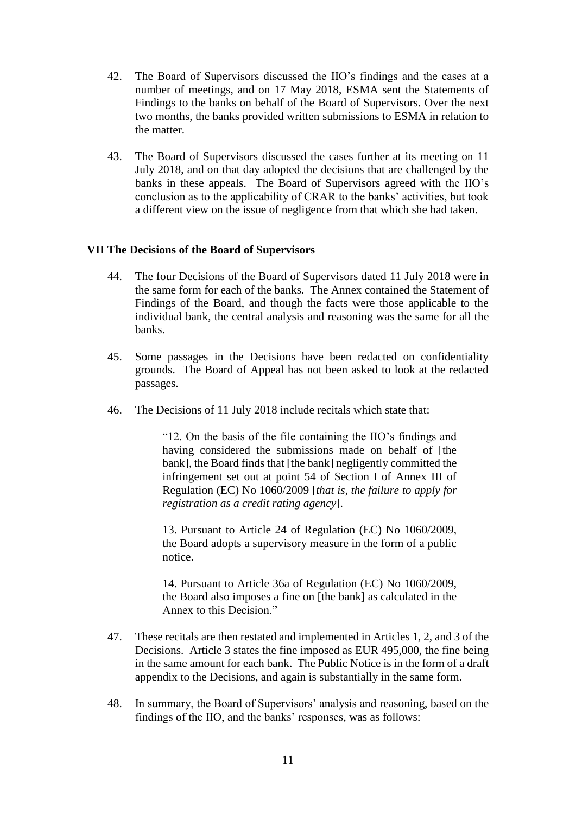- 42. The Board of Supervisors discussed the IIO's findings and the cases at a number of meetings, and on 17 May 2018, ESMA sent the Statements of Findings to the banks on behalf of the Board of Supervisors. Over the next two months, the banks provided written submissions to ESMA in relation to the matter.
- 43. The Board of Supervisors discussed the cases further at its meeting on 11 July 2018, and on that day adopted the decisions that are challenged by the banks in these appeals. The Board of Supervisors agreed with the IIO's conclusion as to the applicability of CRAR to the banks' activities, but took a different view on the issue of negligence from that which she had taken.

#### **VII The Decisions of the Board of Supervisors**

- 44. The four Decisions of the Board of Supervisors dated 11 July 2018 were in the same form for each of the banks. The Annex contained the Statement of Findings of the Board, and though the facts were those applicable to the individual bank, the central analysis and reasoning was the same for all the banks.
- 45. Some passages in the Decisions have been redacted on confidentiality grounds. The Board of Appeal has not been asked to look at the redacted passages.
- 46. The Decisions of 11 July 2018 include recitals which state that:

"12. On the basis of the file containing the IIO's findings and having considered the submissions made on behalf of [the bank], the Board finds that [the bank] negligently committed the infringement set out at point 54 of Section I of Annex III of Regulation (EC) No 1060/2009 [*that is, the failure to apply for registration as a credit rating agency*].

13. Pursuant to Article 24 of Regulation (EC) No 1060/2009, the Board adopts a supervisory measure in the form of a public notice.

14. Pursuant to Article 36a of Regulation (EC) No 1060/2009, the Board also imposes a fine on [the bank] as calculated in the Annex to this Decision."

- 47. These recitals are then restated and implemented in Articles 1, 2, and 3 of the Decisions. Article 3 states the fine imposed as EUR 495,000, the fine being in the same amount for each bank. The Public Notice is in the form of a draft appendix to the Decisions, and again is substantially in the same form.
- 48. In summary, the Board of Supervisors' analysis and reasoning, based on the findings of the IIO, and the banks' responses, was as follows: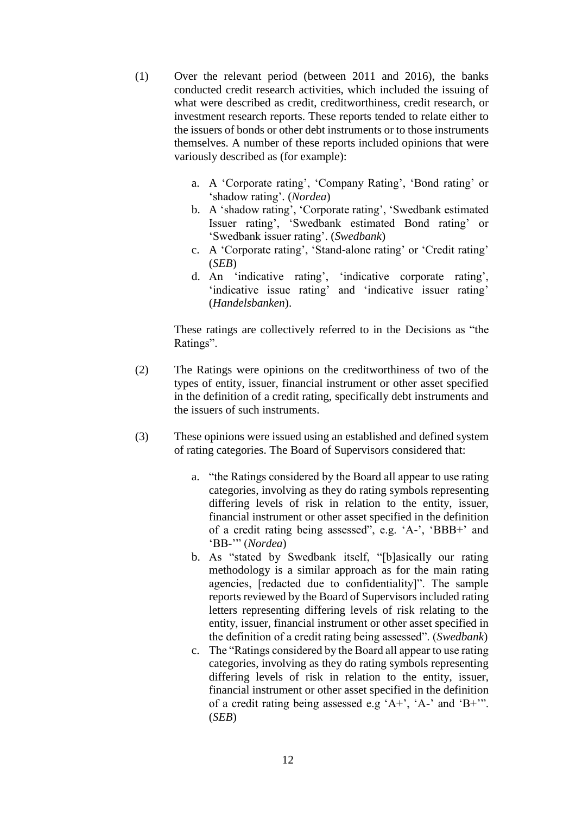- (1) Over the relevant period (between 2011 and 2016), the banks conducted credit research activities, which included the issuing of what were described as credit, creditworthiness, credit research, or investment research reports. These reports tended to relate either to the issuers of bonds or other debt instruments or to those instruments themselves. A number of these reports included opinions that were variously described as (for example):
	- a. A 'Corporate rating', 'Company Rating', 'Bond rating' or 'shadow rating'. (*Nordea*)
	- b. A 'shadow rating', 'Corporate rating', 'Swedbank estimated Issuer rating', 'Swedbank estimated Bond rating' or 'Swedbank issuer rating'. (*Swedbank*)
	- c. A 'Corporate rating', 'Stand-alone rating' or 'Credit rating' (*SEB*)
	- d. An 'indicative rating', 'indicative corporate rating', 'indicative issue rating' and 'indicative issuer rating' (*Handelsbanken*).

These ratings are collectively referred to in the Decisions as "the Ratings".

- (2) The Ratings were opinions on the creditworthiness of two of the types of entity, issuer, financial instrument or other asset specified in the definition of a credit rating, specifically debt instruments and the issuers of such instruments.
- (3) These opinions were issued using an established and defined system of rating categories. The Board of Supervisors considered that:
	- a. "the Ratings considered by the Board all appear to use rating categories, involving as they do rating symbols representing differing levels of risk in relation to the entity, issuer, financial instrument or other asset specified in the definition of a credit rating being assessed", e.g. 'A-', 'BBB+' and 'BB-'" (*Nordea*)
	- b. As "stated by Swedbank itself, "[b]asically our rating methodology is a similar approach as for the main rating agencies, [redacted due to confidentiality]". The sample reports reviewed by the Board of Supervisors included rating letters representing differing levels of risk relating to the entity, issuer, financial instrument or other asset specified in the definition of a credit rating being assessed". (*Swedbank*)
	- c. The "Ratings considered by the Board all appear to use rating categories, involving as they do rating symbols representing differing levels of risk in relation to the entity, issuer, financial instrument or other asset specified in the definition of a credit rating being assessed e.g 'A+', 'A-' and 'B+'". (*SEB*)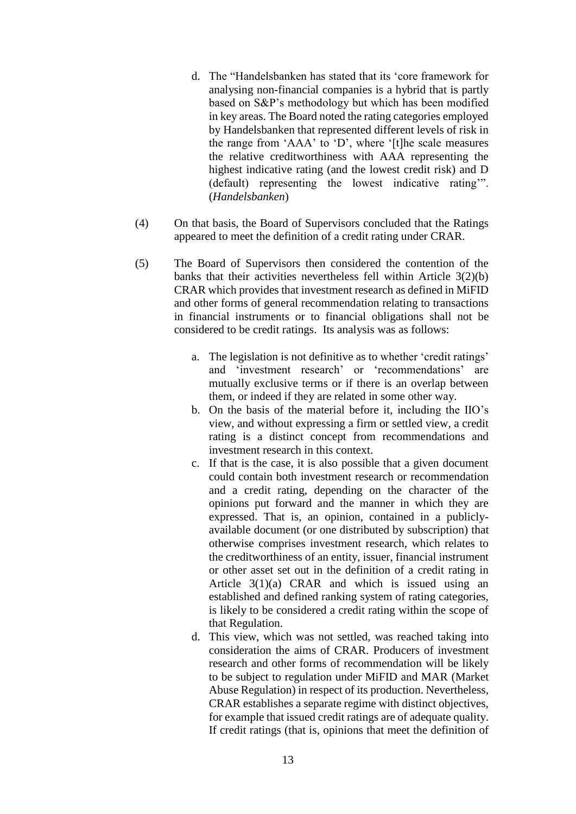- d. The "Handelsbanken has stated that its 'core framework for analysing non-financial companies is a hybrid that is partly based on S&P's methodology but which has been modified in key areas. The Board noted the rating categories employed by Handelsbanken that represented different levels of risk in the range from 'AAA' to 'D', where '[t]he scale measures the relative creditworthiness with AAA representing the highest indicative rating (and the lowest credit risk) and D (default) representing the lowest indicative rating'". (*Handelsbanken*)
- (4) On that basis, the Board of Supervisors concluded that the Ratings appeared to meet the definition of a credit rating under CRAR.
- (5) The Board of Supervisors then considered the contention of the banks that their activities nevertheless fell within Article 3(2)(b) CRAR which provides that investment research as defined in MiFID and other forms of general recommendation relating to transactions in financial instruments or to financial obligations shall not be considered to be credit ratings. Its analysis was as follows:
	- a. The legislation is not definitive as to whether 'credit ratings' and 'investment research' or 'recommendations' are mutually exclusive terms or if there is an overlap between them, or indeed if they are related in some other way.
	- b. On the basis of the material before it, including the IIO's view, and without expressing a firm or settled view, a credit rating is a distinct concept from recommendations and investment research in this context.
	- c. If that is the case, it is also possible that a given document could contain both investment research or recommendation and a credit rating, depending on the character of the opinions put forward and the manner in which they are expressed. That is, an opinion, contained in a publiclyavailable document (or one distributed by subscription) that otherwise comprises investment research, which relates to the creditworthiness of an entity, issuer, financial instrument or other asset set out in the definition of a credit rating in Article 3(1)(a) CRAR and which is issued using an established and defined ranking system of rating categories, is likely to be considered a credit rating within the scope of that Regulation.
	- d. This view, which was not settled, was reached taking into consideration the aims of CRAR. Producers of investment research and other forms of recommendation will be likely to be subject to regulation under MiFID and MAR (Market Abuse Regulation) in respect of its production. Nevertheless, CRAR establishes a separate regime with distinct objectives, for example that issued credit ratings are of adequate quality. If credit ratings (that is, opinions that meet the definition of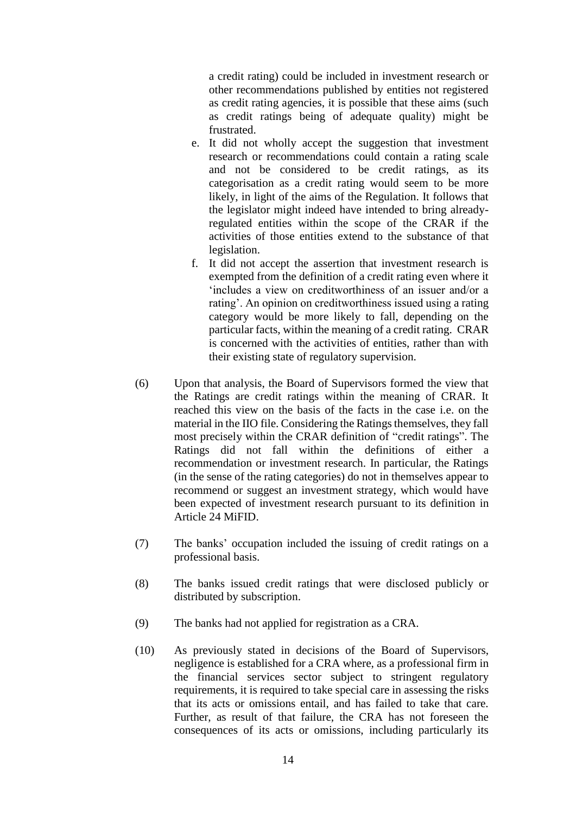a credit rating) could be included in investment research or other recommendations published by entities not registered as credit rating agencies, it is possible that these aims (such as credit ratings being of adequate quality) might be frustrated.

- e. It did not wholly accept the suggestion that investment research or recommendations could contain a rating scale and not be considered to be credit ratings, as its categorisation as a credit rating would seem to be more likely, in light of the aims of the Regulation. It follows that the legislator might indeed have intended to bring alreadyregulated entities within the scope of the CRAR if the activities of those entities extend to the substance of that legislation.
- f. It did not accept the assertion that investment research is exempted from the definition of a credit rating even where it 'includes a view on creditworthiness of an issuer and/or a rating'. An opinion on creditworthiness issued using a rating category would be more likely to fall, depending on the particular facts, within the meaning of a credit rating. CRAR is concerned with the activities of entities, rather than with their existing state of regulatory supervision.
- (6) Upon that analysis, the Board of Supervisors formed the view that the Ratings are credit ratings within the meaning of CRAR. It reached this view on the basis of the facts in the case i.e. on the material in the IIO file. Considering the Ratings themselves, they fall most precisely within the CRAR definition of "credit ratings". The Ratings did not fall within the definitions of either a recommendation or investment research. In particular, the Ratings (in the sense of the rating categories) do not in themselves appear to recommend or suggest an investment strategy, which would have been expected of investment research pursuant to its definition in Article 24 MiFID.
- (7) The banks' occupation included the issuing of credit ratings on a professional basis.
- (8) The banks issued credit ratings that were disclosed publicly or distributed by subscription.
- (9) The banks had not applied for registration as a CRA.
- (10) As previously stated in decisions of the Board of Supervisors, negligence is established for a CRA where, as a professional firm in the financial services sector subject to stringent regulatory requirements, it is required to take special care in assessing the risks that its acts or omissions entail, and has failed to take that care. Further, as result of that failure, the CRA has not foreseen the consequences of its acts or omissions, including particularly its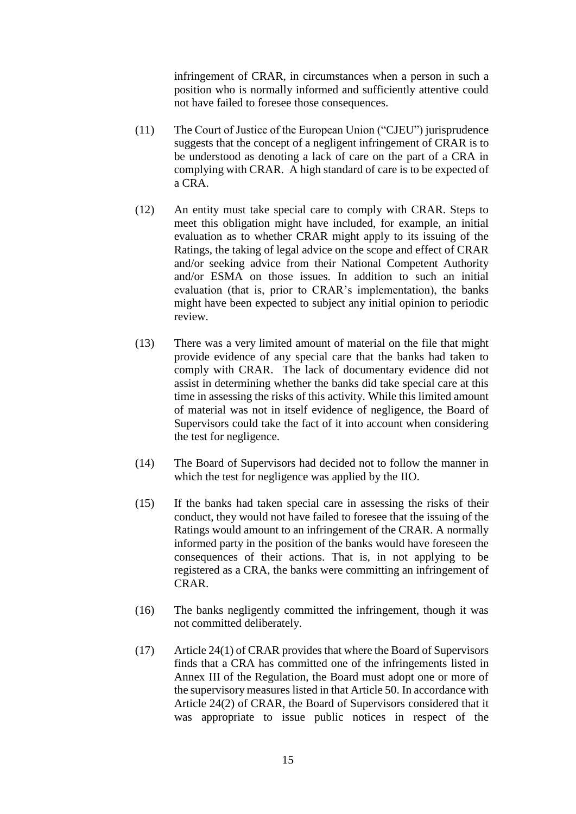infringement of CRAR, in circumstances when a person in such a position who is normally informed and sufficiently attentive could not have failed to foresee those consequences.

- (11) The Court of Justice of the European Union ("CJEU") jurisprudence suggests that the concept of a negligent infringement of CRAR is to be understood as denoting a lack of care on the part of a CRA in complying with CRAR. A high standard of care is to be expected of a CRA.
- (12) An entity must take special care to comply with CRAR. Steps to meet this obligation might have included, for example, an initial evaluation as to whether CRAR might apply to its issuing of the Ratings, the taking of legal advice on the scope and effect of CRAR and/or seeking advice from their National Competent Authority and/or ESMA on those issues. In addition to such an initial evaluation (that is, prior to CRAR's implementation), the banks might have been expected to subject any initial opinion to periodic review.
- (13) There was a very limited amount of material on the file that might provide evidence of any special care that the banks had taken to comply with CRAR. The lack of documentary evidence did not assist in determining whether the banks did take special care at this time in assessing the risks of this activity. While this limited amount of material was not in itself evidence of negligence, the Board of Supervisors could take the fact of it into account when considering the test for negligence.
- (14) The Board of Supervisors had decided not to follow the manner in which the test for negligence was applied by the IIO.
- (15) If the banks had taken special care in assessing the risks of their conduct, they would not have failed to foresee that the issuing of the Ratings would amount to an infringement of the CRAR. A normally informed party in the position of the banks would have foreseen the consequences of their actions. That is, in not applying to be registered as a CRA, the banks were committing an infringement of CRAR.
- (16) The banks negligently committed the infringement, though it was not committed deliberately.
- (17) Article 24(1) of CRAR provides that where the Board of Supervisors finds that a CRA has committed one of the infringements listed in Annex III of the Regulation, the Board must adopt one or more of the supervisory measures listed in that Article 50. In accordance with Article 24(2) of CRAR, the Board of Supervisors considered that it was appropriate to issue public notices in respect of the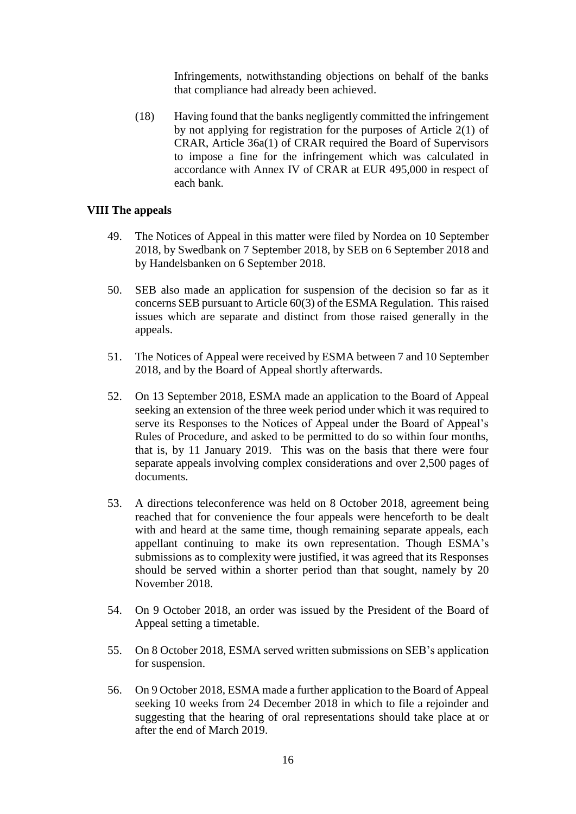Infringements, notwithstanding objections on behalf of the banks that compliance had already been achieved.

(18) Having found that the banks negligently committed the infringement by not applying for registration for the purposes of Article 2(1) of CRAR, Article 36a(1) of CRAR required the Board of Supervisors to impose a fine for the infringement which was calculated in accordance with Annex IV of CRAR at EUR 495,000 in respect of each bank.

#### **VIII The appeals**

- 49. The Notices of Appeal in this matter were filed by Nordea on 10 September 2018, by Swedbank on 7 September 2018, by SEB on 6 September 2018 and by Handelsbanken on 6 September 2018.
- 50. SEB also made an application for suspension of the decision so far as it concerns SEB pursuant to Article 60(3) of the ESMA Regulation. This raised issues which are separate and distinct from those raised generally in the appeals.
- 51. The Notices of Appeal were received by ESMA between 7 and 10 September 2018, and by the Board of Appeal shortly afterwards.
- 52. On 13 September 2018, ESMA made an application to the Board of Appeal seeking an extension of the three week period under which it was required to serve its Responses to the Notices of Appeal under the Board of Appeal's Rules of Procedure, and asked to be permitted to do so within four months, that is, by 11 January 2019. This was on the basis that there were four separate appeals involving complex considerations and over 2,500 pages of documents.
- 53. A directions teleconference was held on 8 October 2018, agreement being reached that for convenience the four appeals were henceforth to be dealt with and heard at the same time, though remaining separate appeals, each appellant continuing to make its own representation. Though ESMA's submissions as to complexity were justified, it was agreed that its Responses should be served within a shorter period than that sought, namely by 20 November 2018.
- 54. On 9 October 2018, an order was issued by the President of the Board of Appeal setting a timetable.
- 55. On 8 October 2018, ESMA served written submissions on SEB's application for suspension.
- 56. On 9 October 2018, ESMA made a further application to the Board of Appeal seeking 10 weeks from 24 December 2018 in which to file a rejoinder and suggesting that the hearing of oral representations should take place at or after the end of March 2019.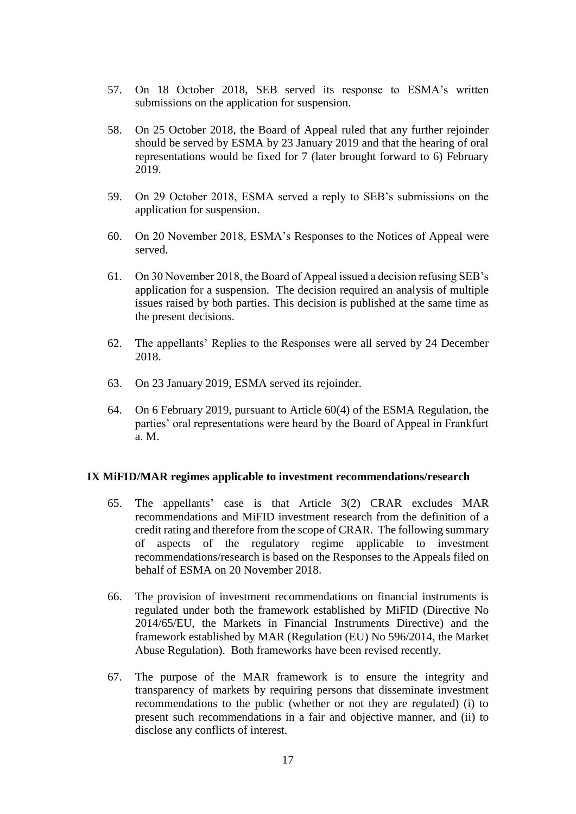- 57. On 18 October 2018, SEB served its response to ESMA's written submissions on the application for suspension.
- 58. On 25 October 2018, the Board of Appeal ruled that any further rejoinder should be served by ESMA by 23 January 2019 and that the hearing of oral representations would be fixed for 7 (later brought forward to 6) February 2019.
- 59. On 29 October 2018, ESMA served a reply to SEB's submissions on the application for suspension.
- 60. On 20 November 2018, ESMA's Responses to the Notices of Appeal were served.
- 61. On 30 November 2018, the Board of Appeal issued a decision refusing SEB's application for a suspension. The decision required an analysis of multiple issues raised by both parties. This decision is published at the same time as the present decisions.
- 62. The appellants' Replies to the Responses were all served by 24 December 2018.
- 63. On 23 January 2019, ESMA served its rejoinder.
- 64. On 6 February 2019, pursuant to Article 60(4) of the ESMA Regulation, the parties' oral representations were heard by the Board of Appeal in Frankfurt a. M.

#### **IX MiFID/MAR regimes applicable to investment recommendations/research**

- 65. The appellants' case is that Article 3(2) CRAR excludes MAR recommendations and MiFID investment research from the definition of a credit rating and therefore from the scope of CRAR. The following summary of aspects of the regulatory regime applicable to investment recommendations/research is based on the Responses to the Appeals filed on behalf of ESMA on 20 November 2018.
- 66. The provision of investment recommendations on financial instruments is regulated under both the framework established by MiFID (Directive No 2014/65/EU, the Markets in Financial Instruments Directive) and the framework established by MAR (Regulation (EU) No 596/2014, the Market Abuse Regulation). Both frameworks have been revised recently.
- 67. The purpose of the MAR framework is to ensure the integrity and transparency of markets by requiring persons that disseminate investment recommendations to the public (whether or not they are regulated) (i) to present such recommendations in a fair and objective manner, and (ii) to disclose any conflicts of interest.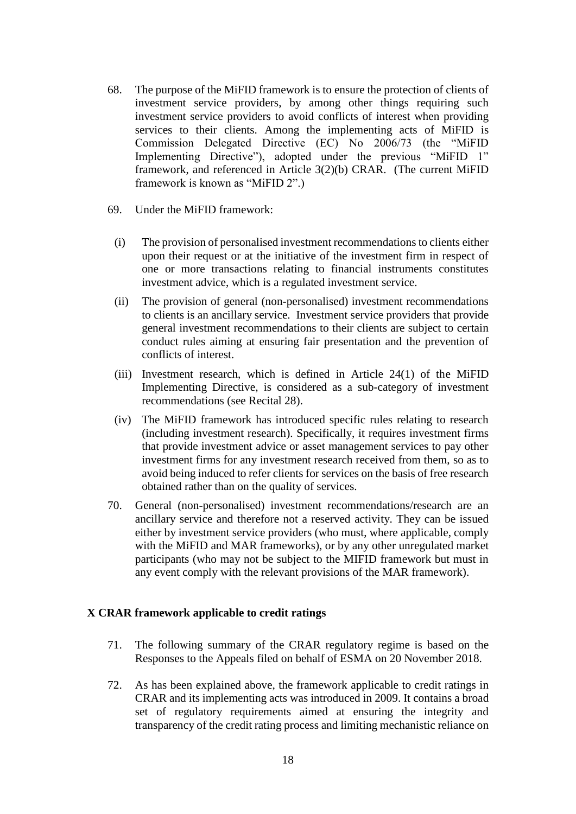- 68. The purpose of the MiFID framework is to ensure the protection of clients of investment service providers, by among other things requiring such investment service providers to avoid conflicts of interest when providing services to their clients. Among the implementing acts of MiFID is Commission Delegated Directive (EC) No 2006/73 (the "MiFID Implementing Directive"), adopted under the previous "MiFID 1" framework, and referenced in Article 3(2)(b) CRAR. (The current MiFID framework is known as "MiFID 2".)
- 69. Under the MiFID framework:
	- (i) The provision of personalised investment recommendations to clients either upon their request or at the initiative of the investment firm in respect of one or more transactions relating to financial instruments constitutes investment advice, which is a regulated investment service.
	- (ii) The provision of general (non-personalised) investment recommendations to clients is an ancillary service. Investment service providers that provide general investment recommendations to their clients are subject to certain conduct rules aiming at ensuring fair presentation and the prevention of conflicts of interest.
	- (iii) Investment research, which is defined in Article 24(1) of the MiFID Implementing Directive, is considered as a sub-category of investment recommendations (see Recital 28).
	- (iv) The MiFID framework has introduced specific rules relating to research (including investment research). Specifically, it requires investment firms that provide investment advice or asset management services to pay other investment firms for any investment research received from them, so as to avoid being induced to refer clients for services on the basis of free research obtained rather than on the quality of services.
- 70. General (non-personalised) investment recommendations/research are an ancillary service and therefore not a reserved activity. They can be issued either by investment service providers (who must, where applicable, comply with the MiFID and MAR frameworks), or by any other unregulated market participants (who may not be subject to the MIFID framework but must in any event comply with the relevant provisions of the MAR framework).

#### **X CRAR framework applicable to credit ratings**

- 71. The following summary of the CRAR regulatory regime is based on the Responses to the Appeals filed on behalf of ESMA on 20 November 2018.
- 72. As has been explained above, the framework applicable to credit ratings in CRAR and its implementing acts was introduced in 2009. It contains a broad set of regulatory requirements aimed at ensuring the integrity and transparency of the credit rating process and limiting mechanistic reliance on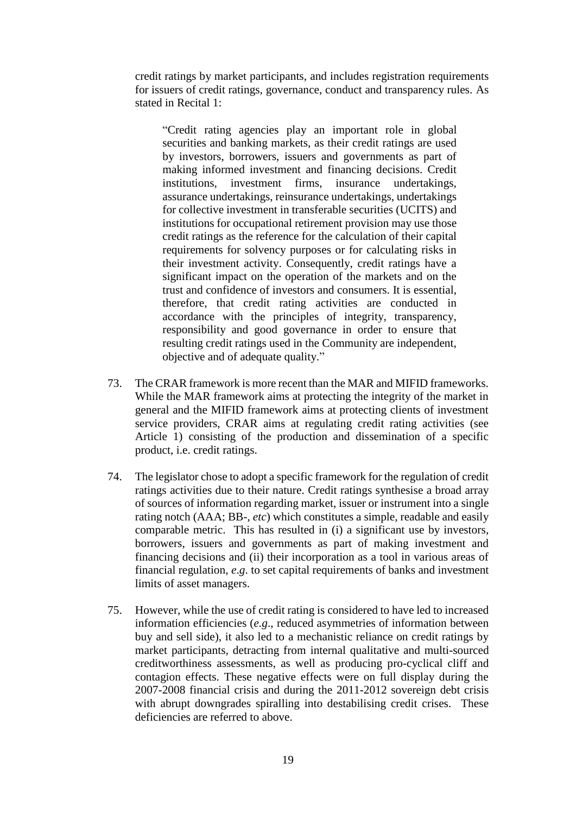credit ratings by market participants, and includes registration requirements for issuers of credit ratings, governance, conduct and transparency rules. As stated in Recital 1:

"Credit rating agencies play an important role in global securities and banking markets, as their credit ratings are used by investors, borrowers, issuers and governments as part of making informed investment and financing decisions. Credit institutions, investment firms, insurance undertakings, assurance undertakings, reinsurance undertakings, undertakings for collective investment in transferable securities (UCITS) and institutions for occupational retirement provision may use those credit ratings as the reference for the calculation of their capital requirements for solvency purposes or for calculating risks in their investment activity. Consequently, credit ratings have a significant impact on the operation of the markets and on the trust and confidence of investors and consumers. It is essential, therefore, that credit rating activities are conducted in accordance with the principles of integrity, transparency, responsibility and good governance in order to ensure that resulting credit ratings used in the Community are independent, objective and of adequate quality."

- 73. The CRAR framework is more recent than the MAR and MIFID frameworks. While the MAR framework aims at protecting the integrity of the market in general and the MIFID framework aims at protecting clients of investment service providers, CRAR aims at regulating credit rating activities (see Article 1) consisting of the production and dissemination of a specific product, i.e. credit ratings.
- 74. The legislator chose to adopt a specific framework for the regulation of credit ratings activities due to their nature. Credit ratings synthesise a broad array of sources of information regarding market, issuer or instrument into a single rating notch (AAA; BB-, *etc*) which constitutes a simple, readable and easily comparable metric. This has resulted in (i) a significant use by investors, borrowers, issuers and governments as part of making investment and financing decisions and (ii) their incorporation as a tool in various areas of financial regulation, *e*.*g*. to set capital requirements of banks and investment limits of asset managers.
- 75. However, while the use of credit rating is considered to have led to increased information efficiencies (*e.g*., reduced asymmetries of information between buy and sell side), it also led to a mechanistic reliance on credit ratings by market participants, detracting from internal qualitative and multi-sourced creditworthiness assessments, as well as producing pro-cyclical cliff and contagion effects. These negative effects were on full display during the 2007-2008 financial crisis and during the 2011-2012 sovereign debt crisis with abrupt downgrades spiralling into destabilising credit crises. These deficiencies are referred to above.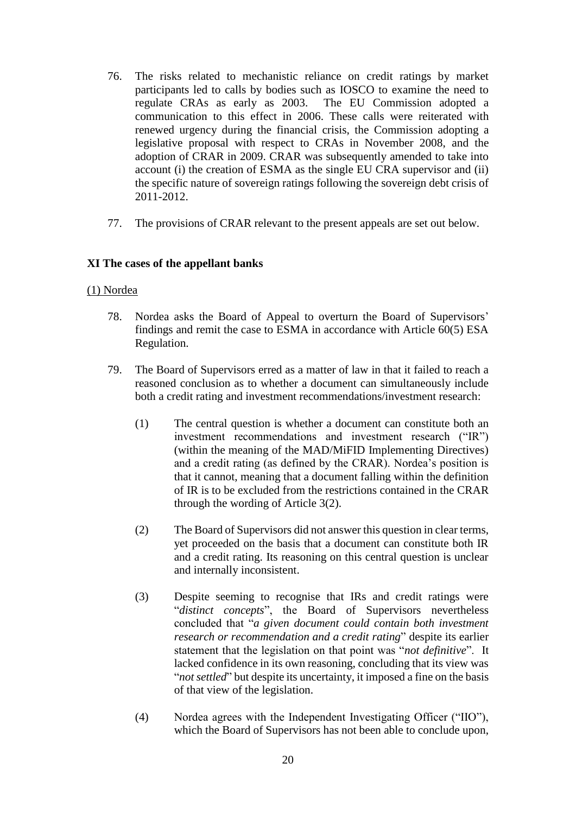- 76. The risks related to mechanistic reliance on credit ratings by market participants led to calls by bodies such as IOSCO to examine the need to regulate CRAs as early as 2003. The EU Commission adopted a communication to this effect in 2006. These calls were reiterated with renewed urgency during the financial crisis, the Commission adopting a legislative proposal with respect to CRAs in November 2008, and the adoption of CRAR in 2009. CRAR was subsequently amended to take into account (i) the creation of ESMA as the single EU CRA supervisor and (ii) the specific nature of sovereign ratings following the sovereign debt crisis of 2011-2012.
- 77. The provisions of CRAR relevant to the present appeals are set out below.

#### **XI The cases of the appellant banks**

#### (1) Nordea

- 78. Nordea asks the Board of Appeal to overturn the Board of Supervisors' findings and remit the case to ESMA in accordance with Article 60(5) ESA Regulation.
- 79. The Board of Supervisors erred as a matter of law in that it failed to reach a reasoned conclusion as to whether a document can simultaneously include both a credit rating and investment recommendations/investment research:
	- (1) The central question is whether a document can constitute both an investment recommendations and investment research ("IR") (within the meaning of the MAD/MiFID Implementing Directives) and a credit rating (as defined by the CRAR). Nordea's position is that it cannot, meaning that a document falling within the definition of IR is to be excluded from the restrictions contained in the CRAR through the wording of Article 3(2).
	- (2) The Board of Supervisors did not answer this question in clear terms, yet proceeded on the basis that a document can constitute both IR and a credit rating. Its reasoning on this central question is unclear and internally inconsistent.
	- (3) Despite seeming to recognise that IRs and credit ratings were "*distinct concepts*", the Board of Supervisors nevertheless concluded that "*a given document could contain both investment research or recommendation and a credit rating*" despite its earlier statement that the legislation on that point was "*not definitive*". It lacked confidence in its own reasoning, concluding that its view was "*not settled*" but despite its uncertainty, it imposed a fine on the basis of that view of the legislation.
	- (4) Nordea agrees with the Independent Investigating Officer ("IIO"), which the Board of Supervisors has not been able to conclude upon,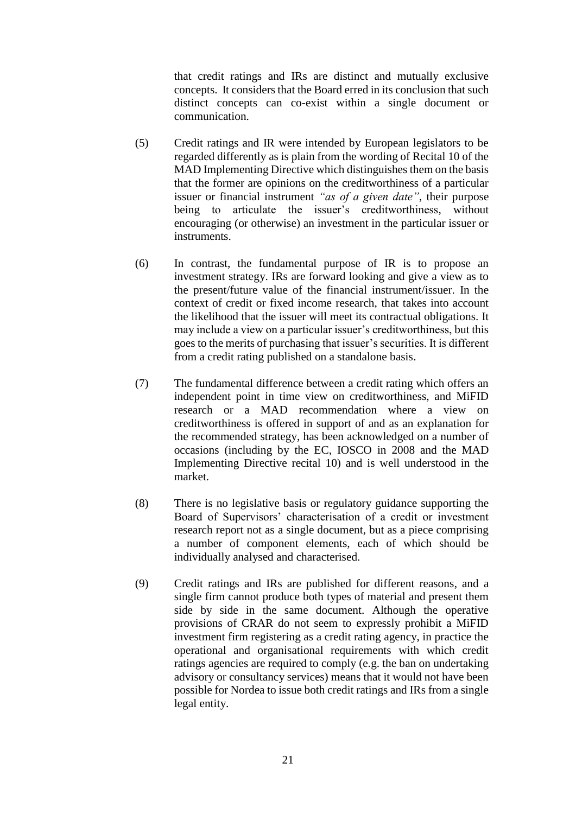that credit ratings and IRs are distinct and mutually exclusive concepts. It considers that the Board erred in its conclusion that such distinct concepts can co-exist within a single document or communication.

- (5) Credit ratings and IR were intended by European legislators to be regarded differently as is plain from the wording of Recital 10 of the MAD Implementing Directive which distinguishes them on the basis that the former are opinions on the creditworthiness of a particular issuer or financial instrument *"as of a given date"*, their purpose being to articulate the issuer's creditworthiness, without encouraging (or otherwise) an investment in the particular issuer or instruments.
- (6) In contrast, the fundamental purpose of IR is to propose an investment strategy. IRs are forward looking and give a view as to the present/future value of the financial instrument/issuer. In the context of credit or fixed income research, that takes into account the likelihood that the issuer will meet its contractual obligations. It may include a view on a particular issuer's creditworthiness, but this goes to the merits of purchasing that issuer's securities. It is different from a credit rating published on a standalone basis.
- (7) The fundamental difference between a credit rating which offers an independent point in time view on creditworthiness, and MiFID research or a MAD recommendation where a view on creditworthiness is offered in support of and as an explanation for the recommended strategy, has been acknowledged on a number of occasions (including by the EC, IOSCO in 2008 and the MAD Implementing Directive recital 10) and is well understood in the market.
- (8) There is no legislative basis or regulatory guidance supporting the Board of Supervisors' characterisation of a credit or investment research report not as a single document, but as a piece comprising a number of component elements, each of which should be individually analysed and characterised.
- (9) Credit ratings and IRs are published for different reasons, and a single firm cannot produce both types of material and present them side by side in the same document. Although the operative provisions of CRAR do not seem to expressly prohibit a MiFID investment firm registering as a credit rating agency, in practice the operational and organisational requirements with which credit ratings agencies are required to comply (e.g. the ban on undertaking advisory or consultancy services) means that it would not have been possible for Nordea to issue both credit ratings and IRs from a single legal entity.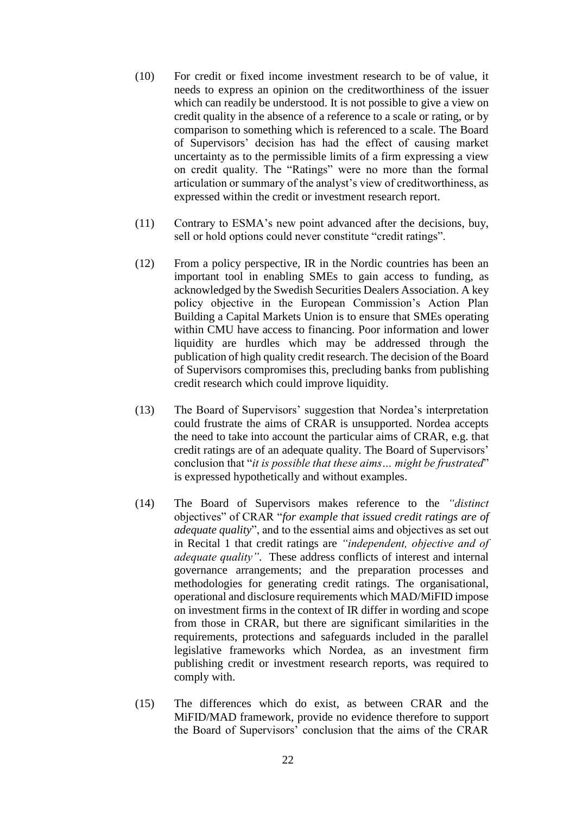- (10) For credit or fixed income investment research to be of value, it needs to express an opinion on the creditworthiness of the issuer which can readily be understood. It is not possible to give a view on credit quality in the absence of a reference to a scale or rating, or by comparison to something which is referenced to a scale. The Board of Supervisors' decision has had the effect of causing market uncertainty as to the permissible limits of a firm expressing a view on credit quality. The "Ratings" were no more than the formal articulation or summary of the analyst's view of creditworthiness, as expressed within the credit or investment research report.
- (11) Contrary to ESMA's new point advanced after the decisions, buy, sell or hold options could never constitute "credit ratings".
- (12) From a policy perspective, IR in the Nordic countries has been an important tool in enabling SMEs to gain access to funding, as acknowledged by the Swedish Securities Dealers Association. A key policy objective in the European Commission's Action Plan Building a Capital Markets Union is to ensure that SMEs operating within CMU have access to financing. Poor information and lower liquidity are hurdles which may be addressed through the publication of high quality credit research. The decision of the Board of Supervisors compromises this, precluding banks from publishing credit research which could improve liquidity.
- (13) The Board of Supervisors' suggestion that Nordea's interpretation could frustrate the aims of CRAR is unsupported. Nordea accepts the need to take into account the particular aims of CRAR, e.g. that credit ratings are of an adequate quality. The Board of Supervisors' conclusion that "*it is possible that these aims… might be frustrated*" is expressed hypothetically and without examples.
- (14) The Board of Supervisors makes reference to the *"distinct*  objectives" of CRAR "*for example that issued credit ratings are of adequate quality*", and to the essential aims and objectives as set out in Recital 1 that credit ratings are *"independent, objective and of adequate quality"*. These address conflicts of interest and internal governance arrangements; and the preparation processes and methodologies for generating credit ratings. The organisational, operational and disclosure requirements which MAD/MiFID impose on investment firms in the context of IR differ in wording and scope from those in CRAR, but there are significant similarities in the requirements, protections and safeguards included in the parallel legislative frameworks which Nordea, as an investment firm publishing credit or investment research reports, was required to comply with.
- (15) The differences which do exist, as between CRAR and the MiFID/MAD framework, provide no evidence therefore to support the Board of Supervisors' conclusion that the aims of the CRAR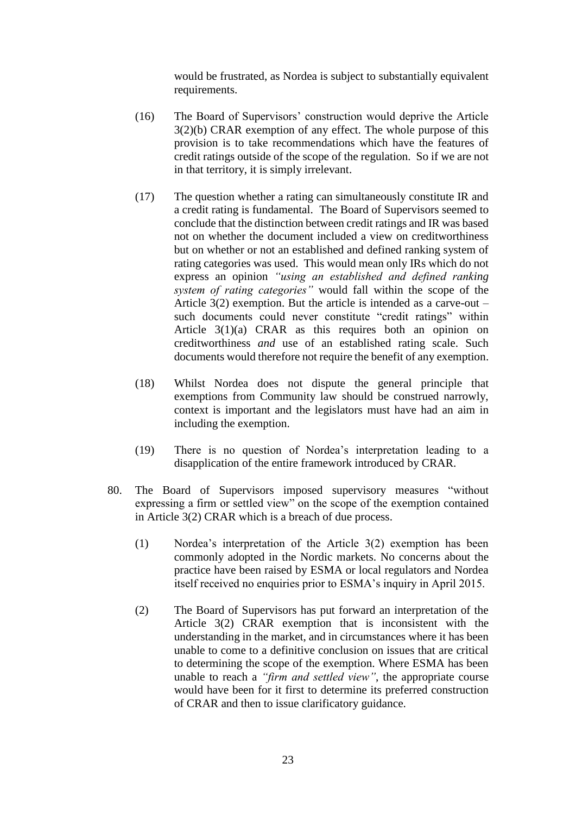would be frustrated, as Nordea is subject to substantially equivalent requirements.

- (16) The Board of Supervisors' construction would deprive the Article 3(2)(b) CRAR exemption of any effect. The whole purpose of this provision is to take recommendations which have the features of credit ratings outside of the scope of the regulation. So if we are not in that territory, it is simply irrelevant.
- (17) The question whether a rating can simultaneously constitute IR and a credit rating is fundamental. The Board of Supervisors seemed to conclude that the distinction between credit ratings and IR was based not on whether the document included a view on creditworthiness but on whether or not an established and defined ranking system of rating categories was used. This would mean only IRs which do not express an opinion *"using an established and defined ranking system of rating categories"* would fall within the scope of the Article 3(2) exemption. But the article is intended as a carve-out – such documents could never constitute "credit ratings" within Article 3(1)(a) CRAR as this requires both an opinion on creditworthiness *and* use of an established rating scale. Such documents would therefore not require the benefit of any exemption.
- (18) Whilst Nordea does not dispute the general principle that exemptions from Community law should be construed narrowly, context is important and the legislators must have had an aim in including the exemption.
- (19) There is no question of Nordea's interpretation leading to a disapplication of the entire framework introduced by CRAR.
- 80. The Board of Supervisors imposed supervisory measures "without expressing a firm or settled view" on the scope of the exemption contained in Article 3(2) CRAR which is a breach of due process.
	- (1) Nordea's interpretation of the Article 3(2) exemption has been commonly adopted in the Nordic markets. No concerns about the practice have been raised by ESMA or local regulators and Nordea itself received no enquiries prior to ESMA's inquiry in April 2015.
	- (2) The Board of Supervisors has put forward an interpretation of the Article 3(2) CRAR exemption that is inconsistent with the understanding in the market, and in circumstances where it has been unable to come to a definitive conclusion on issues that are critical to determining the scope of the exemption. Where ESMA has been unable to reach a *"firm and settled view"*, the appropriate course would have been for it first to determine its preferred construction of CRAR and then to issue clarificatory guidance.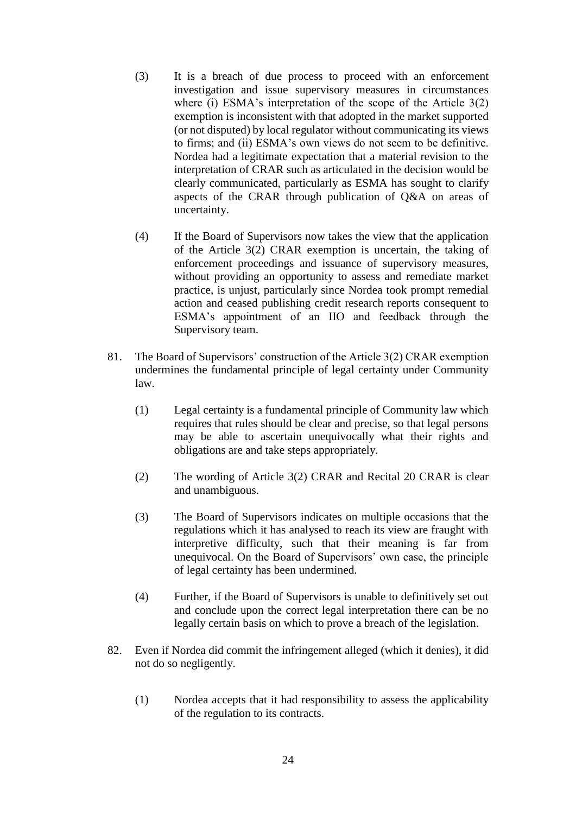- (3) It is a breach of due process to proceed with an enforcement investigation and issue supervisory measures in circumstances where (i) ESMA's interpretation of the scope of the Article 3(2) exemption is inconsistent with that adopted in the market supported (or not disputed) by local regulator without communicating its views to firms; and (ii) ESMA's own views do not seem to be definitive. Nordea had a legitimate expectation that a material revision to the interpretation of CRAR such as articulated in the decision would be clearly communicated, particularly as ESMA has sought to clarify aspects of the CRAR through publication of Q&A on areas of uncertainty.
- (4) If the Board of Supervisors now takes the view that the application of the Article 3(2) CRAR exemption is uncertain, the taking of enforcement proceedings and issuance of supervisory measures, without providing an opportunity to assess and remediate market practice, is unjust, particularly since Nordea took prompt remedial action and ceased publishing credit research reports consequent to ESMA's appointment of an IIO and feedback through the Supervisory team.
- 81. The Board of Supervisors' construction of the Article 3(2) CRAR exemption undermines the fundamental principle of legal certainty under Community law.
	- (1) Legal certainty is a fundamental principle of Community law which requires that rules should be clear and precise, so that legal persons may be able to ascertain unequivocally what their rights and obligations are and take steps appropriately.
	- (2) The wording of Article 3(2) CRAR and Recital 20 CRAR is clear and unambiguous.
	- (3) The Board of Supervisors indicates on multiple occasions that the regulations which it has analysed to reach its view are fraught with interpretive difficulty, such that their meaning is far from unequivocal. On the Board of Supervisors' own case, the principle of legal certainty has been undermined.
	- (4) Further, if the Board of Supervisors is unable to definitively set out and conclude upon the correct legal interpretation there can be no legally certain basis on which to prove a breach of the legislation.
- 82. Even if Nordea did commit the infringement alleged (which it denies), it did not do so negligently.
	- (1) Nordea accepts that it had responsibility to assess the applicability of the regulation to its contracts.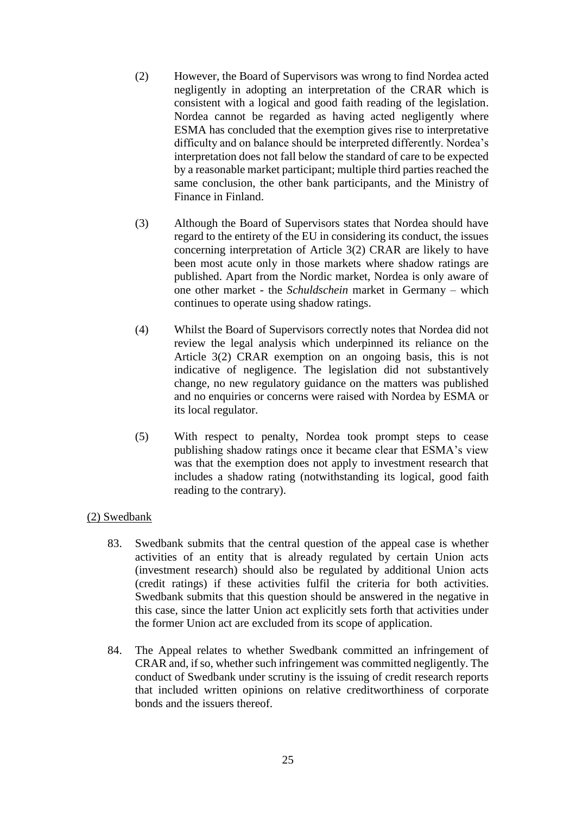- (2) However, the Board of Supervisors was wrong to find Nordea acted negligently in adopting an interpretation of the CRAR which is consistent with a logical and good faith reading of the legislation. Nordea cannot be regarded as having acted negligently where ESMA has concluded that the exemption gives rise to interpretative difficulty and on balance should be interpreted differently. Nordea's interpretation does not fall below the standard of care to be expected by a reasonable market participant; multiple third parties reached the same conclusion, the other bank participants, and the Ministry of Finance in Finland.
- (3) Although the Board of Supervisors states that Nordea should have regard to the entirety of the EU in considering its conduct, the issues concerning interpretation of Article 3(2) CRAR are likely to have been most acute only in those markets where shadow ratings are published. Apart from the Nordic market, Nordea is only aware of one other market - the *Schuldschein* market in Germany – which continues to operate using shadow ratings.
- (4) Whilst the Board of Supervisors correctly notes that Nordea did not review the legal analysis which underpinned its reliance on the Article 3(2) CRAR exemption on an ongoing basis, this is not indicative of negligence. The legislation did not substantively change, no new regulatory guidance on the matters was published and no enquiries or concerns were raised with Nordea by ESMA or its local regulator.
- (5) With respect to penalty, Nordea took prompt steps to cease publishing shadow ratings once it became clear that ESMA's view was that the exemption does not apply to investment research that includes a shadow rating (notwithstanding its logical, good faith reading to the contrary).

### (2) Swedbank

- 83. Swedbank submits that the central question of the appeal case is whether activities of an entity that is already regulated by certain Union acts (investment research) should also be regulated by additional Union acts (credit ratings) if these activities fulfil the criteria for both activities. Swedbank submits that this question should be answered in the negative in this case, since the latter Union act explicitly sets forth that activities under the former Union act are excluded from its scope of application.
- 84. The Appeal relates to whether Swedbank committed an infringement of CRAR and, if so, whether such infringement was committed negligently. The conduct of Swedbank under scrutiny is the issuing of credit research reports that included written opinions on relative creditworthiness of corporate bonds and the issuers thereof.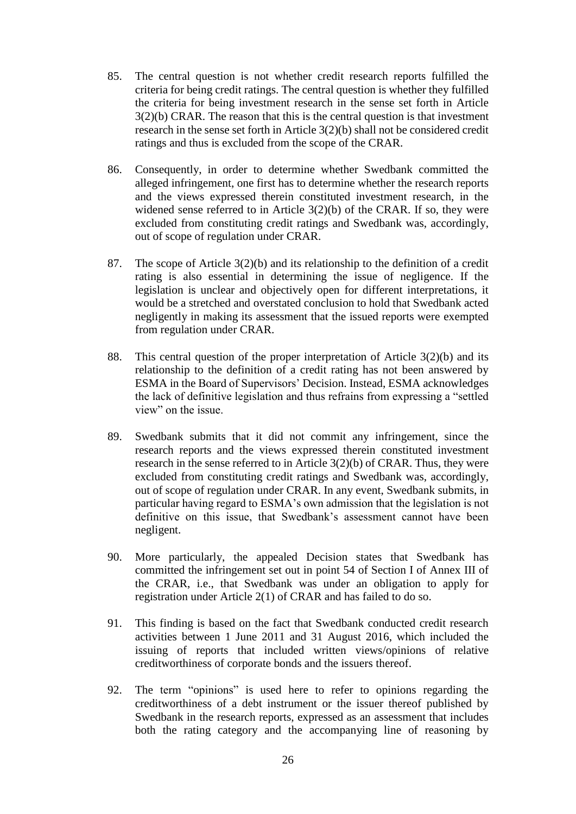- 85. The central question is not whether credit research reports fulfilled the criteria for being credit ratings. The central question is whether they fulfilled the criteria for being investment research in the sense set forth in Article 3(2)(b) CRAR. The reason that this is the central question is that investment research in the sense set forth in Article 3(2)(b) shall not be considered credit ratings and thus is excluded from the scope of the CRAR.
- 86. Consequently, in order to determine whether Swedbank committed the alleged infringement, one first has to determine whether the research reports and the views expressed therein constituted investment research, in the widened sense referred to in Article 3(2)(b) of the CRAR. If so, they were excluded from constituting credit ratings and Swedbank was, accordingly, out of scope of regulation under CRAR.
- 87. The scope of Article 3(2)(b) and its relationship to the definition of a credit rating is also essential in determining the issue of negligence. If the legislation is unclear and objectively open for different interpretations, it would be a stretched and overstated conclusion to hold that Swedbank acted negligently in making its assessment that the issued reports were exempted from regulation under CRAR.
- 88. This central question of the proper interpretation of Article 3(2)(b) and its relationship to the definition of a credit rating has not been answered by ESMA in the Board of Supervisors' Decision. Instead, ESMA acknowledges the lack of definitive legislation and thus refrains from expressing a "settled view" on the issue.
- 89. Swedbank submits that it did not commit any infringement, since the research reports and the views expressed therein constituted investment research in the sense referred to in Article 3(2)(b) of CRAR. Thus, they were excluded from constituting credit ratings and Swedbank was, accordingly, out of scope of regulation under CRAR. In any event, Swedbank submits, in particular having regard to ESMA's own admission that the legislation is not definitive on this issue, that Swedbank's assessment cannot have been negligent.
- 90. More particularly, the appealed Decision states that Swedbank has committed the infringement set out in point 54 of Section I of Annex III of the CRAR, i.e., that Swedbank was under an obligation to apply for registration under Article 2(1) of CRAR and has failed to do so.
- 91. This finding is based on the fact that Swedbank conducted credit research activities between 1 June 2011 and 31 August 2016, which included the issuing of reports that included written views/opinions of relative creditworthiness of corporate bonds and the issuers thereof.
- 92. The term "opinions" is used here to refer to opinions regarding the creditworthiness of a debt instrument or the issuer thereof published by Swedbank in the research reports, expressed as an assessment that includes both the rating category and the accompanying line of reasoning by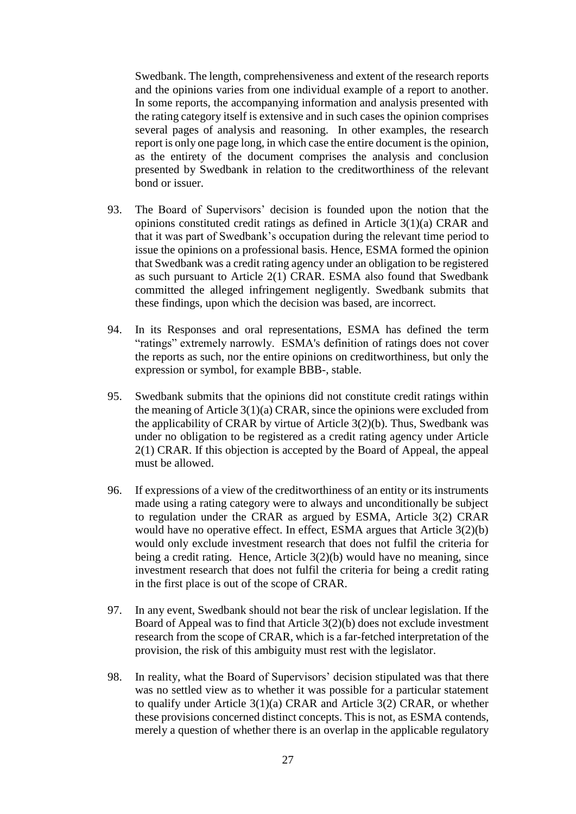Swedbank. The length, comprehensiveness and extent of the research reports and the opinions varies from one individual example of a report to another. In some reports, the accompanying information and analysis presented with the rating category itself is extensive and in such cases the opinion comprises several pages of analysis and reasoning. In other examples, the research report is only one page long, in which case the entire document is the opinion, as the entirety of the document comprises the analysis and conclusion presented by Swedbank in relation to the creditworthiness of the relevant bond or issuer.

- 93. The Board of Supervisors' decision is founded upon the notion that the opinions constituted credit ratings as defined in Article 3(1)(a) CRAR and that it was part of Swedbank's occupation during the relevant time period to issue the opinions on a professional basis. Hence, ESMA formed the opinion that Swedbank was a credit rating agency under an obligation to be registered as such pursuant to Article 2(1) CRAR. ESMA also found that Swedbank committed the alleged infringement negligently. Swedbank submits that these findings, upon which the decision was based, are incorrect.
- 94. In its Responses and oral representations, ESMA has defined the term "ratings" extremely narrowly. ESMA's definition of ratings does not cover the reports as such, nor the entire opinions on creditworthiness, but only the expression or symbol, for example BBB-, stable.
- 95. Swedbank submits that the opinions did not constitute credit ratings within the meaning of Article 3(1)(a) CRAR, since the opinions were excluded from the applicability of CRAR by virtue of Article 3(2)(b). Thus, Swedbank was under no obligation to be registered as a credit rating agency under Article 2(1) CRAR. If this objection is accepted by the Board of Appeal, the appeal must be allowed.
- 96. If expressions of a view of the creditworthiness of an entity or its instruments made using a rating category were to always and unconditionally be subject to regulation under the CRAR as argued by ESMA, Article 3(2) CRAR would have no operative effect. In effect, ESMA argues that Article 3(2)(b) would only exclude investment research that does not fulfil the criteria for being a credit rating. Hence, Article 3(2)(b) would have no meaning, since investment research that does not fulfil the criteria for being a credit rating in the first place is out of the scope of CRAR.
- 97. In any event, Swedbank should not bear the risk of unclear legislation. If the Board of Appeal was to find that Article 3(2)(b) does not exclude investment research from the scope of CRAR, which is a far-fetched interpretation of the provision, the risk of this ambiguity must rest with the legislator.
- 98. In reality, what the Board of Supervisors' decision stipulated was that there was no settled view as to whether it was possible for a particular statement to qualify under Article 3(1)(a) CRAR and Article 3(2) CRAR, or whether these provisions concerned distinct concepts. This is not, as ESMA contends, merely a question of whether there is an overlap in the applicable regulatory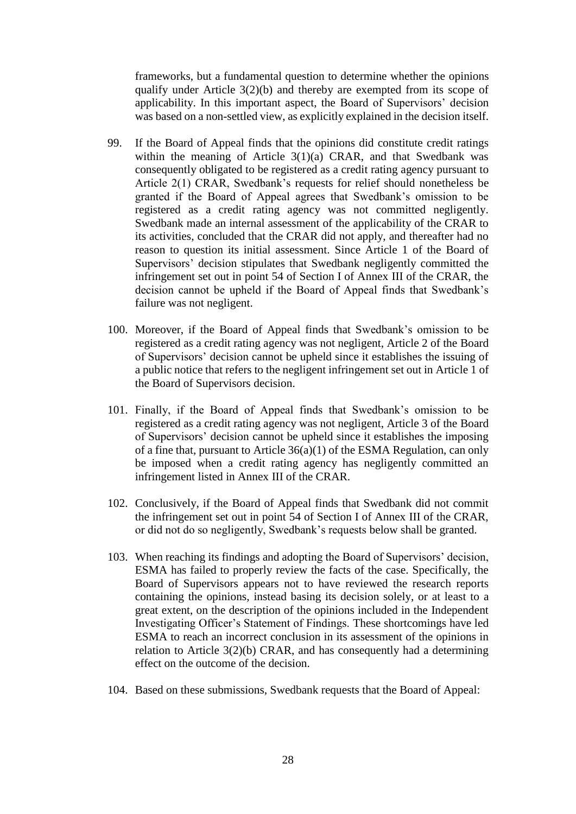frameworks, but a fundamental question to determine whether the opinions qualify under Article 3(2)(b) and thereby are exempted from its scope of applicability. In this important aspect, the Board of Supervisors' decision was based on a non-settled view, as explicitly explained in the decision itself.

- 99. If the Board of Appeal finds that the opinions did constitute credit ratings within the meaning of Article 3(1)(a) CRAR, and that Swedbank was consequently obligated to be registered as a credit rating agency pursuant to Article 2(1) CRAR, Swedbank's requests for relief should nonetheless be granted if the Board of Appeal agrees that Swedbank's omission to be registered as a credit rating agency was not committed negligently. Swedbank made an internal assessment of the applicability of the CRAR to its activities, concluded that the CRAR did not apply, and thereafter had no reason to question its initial assessment. Since Article 1 of the Board of Supervisors' decision stipulates that Swedbank negligently committed the infringement set out in point 54 of Section I of Annex III of the CRAR, the decision cannot be upheld if the Board of Appeal finds that Swedbank's failure was not negligent.
- 100. Moreover, if the Board of Appeal finds that Swedbank's omission to be registered as a credit rating agency was not negligent, Article 2 of the Board of Supervisors' decision cannot be upheld since it establishes the issuing of a public notice that refers to the negligent infringement set out in Article 1 of the Board of Supervisors decision.
- 101. Finally, if the Board of Appeal finds that Swedbank's omission to be registered as a credit rating agency was not negligent, Article 3 of the Board of Supervisors' decision cannot be upheld since it establishes the imposing of a fine that, pursuant to Article 36(a)(1) of the ESMA Regulation, can only be imposed when a credit rating agency has negligently committed an infringement listed in Annex III of the CRAR.
- 102. Conclusively, if the Board of Appeal finds that Swedbank did not commit the infringement set out in point 54 of Section I of Annex III of the CRAR, or did not do so negligently, Swedbank's requests below shall be granted.
- 103. When reaching its findings and adopting the Board of Supervisors' decision, ESMA has failed to properly review the facts of the case. Specifically, the Board of Supervisors appears not to have reviewed the research reports containing the opinions, instead basing its decision solely, or at least to a great extent, on the description of the opinions included in the Independent Investigating Officer's Statement of Findings. These shortcomings have led ESMA to reach an incorrect conclusion in its assessment of the opinions in relation to Article 3(2)(b) CRAR, and has consequently had a determining effect on the outcome of the decision.
- 104. Based on these submissions, Swedbank requests that the Board of Appeal: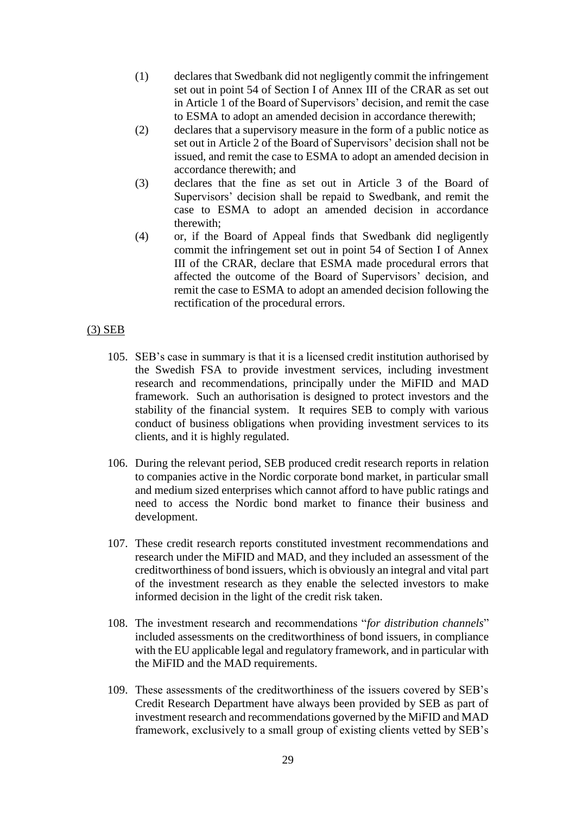- (1) declares that Swedbank did not negligently commit the infringement set out in point 54 of Section I of Annex III of the CRAR as set out in Article 1 of the Board of Supervisors' decision, and remit the case to ESMA to adopt an amended decision in accordance therewith;
- (2) declares that a supervisory measure in the form of a public notice as set out in Article 2 of the Board of Supervisors' decision shall not be issued, and remit the case to ESMA to adopt an amended decision in accordance therewith; and
- (3) declares that the fine as set out in Article 3 of the Board of Supervisors' decision shall be repaid to Swedbank, and remit the case to ESMA to adopt an amended decision in accordance therewith;
- (4) or, if the Board of Appeal finds that Swedbank did negligently commit the infringement set out in point 54 of Section I of Annex III of the CRAR, declare that ESMA made procedural errors that affected the outcome of the Board of Supervisors' decision, and remit the case to ESMA to adopt an amended decision following the rectification of the procedural errors.

### (3) SEB

- 105. SEB's case in summary is that it is a licensed credit institution authorised by the Swedish FSA to provide investment services, including investment research and recommendations, principally under the MiFID and MAD framework. Such an authorisation is designed to protect investors and the stability of the financial system. It requires SEB to comply with various conduct of business obligations when providing investment services to its clients, and it is highly regulated.
- 106. During the relevant period, SEB produced credit research reports in relation to companies active in the Nordic corporate bond market, in particular small and medium sized enterprises which cannot afford to have public ratings and need to access the Nordic bond market to finance their business and development.
- 107. These credit research reports constituted investment recommendations and research under the MiFID and MAD, and they included an assessment of the creditworthiness of bond issuers, which is obviously an integral and vital part of the investment research as they enable the selected investors to make informed decision in the light of the credit risk taken.
- 108. The investment research and recommendations "*for distribution channels*" included assessments on the creditworthiness of bond issuers, in compliance with the EU applicable legal and regulatory framework, and in particular with the MiFID and the MAD requirements.
- 109. These assessments of the creditworthiness of the issuers covered by SEB's Credit Research Department have always been provided by SEB as part of investment research and recommendations governed by the MiFID and MAD framework, exclusively to a small group of existing clients vetted by SEB's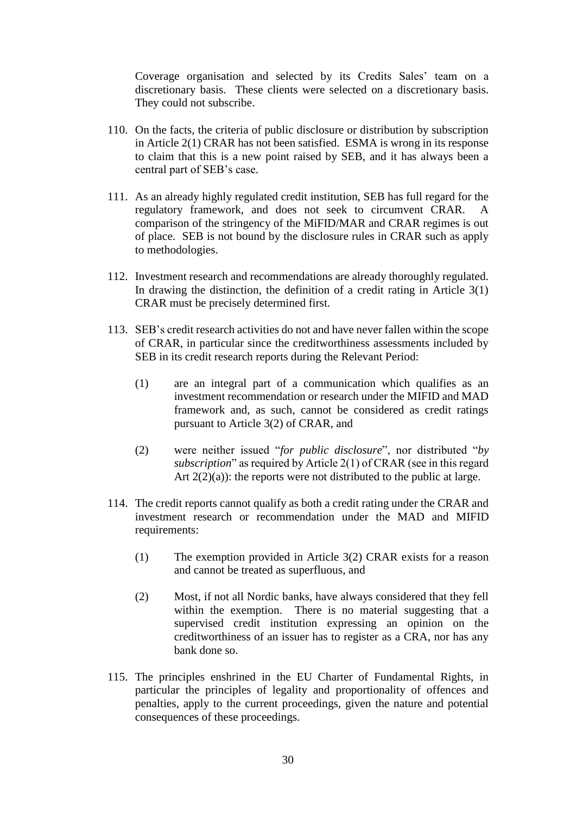Coverage organisation and selected by its Credits Sales' team on a discretionary basis. These clients were selected on a discretionary basis. They could not subscribe.

- 110. On the facts, the criteria of public disclosure or distribution by subscription in Article 2(1) CRAR has not been satisfied. ESMA is wrong in its response to claim that this is a new point raised by SEB, and it has always been a central part of SEB's case.
- 111. As an already highly regulated credit institution, SEB has full regard for the regulatory framework, and does not seek to circumvent CRAR. comparison of the stringency of the MiFID/MAR and CRAR regimes is out of place. SEB is not bound by the disclosure rules in CRAR such as apply to methodologies.
- 112. Investment research and recommendations are already thoroughly regulated. In drawing the distinction, the definition of a credit rating in Article  $3(1)$ CRAR must be precisely determined first.
- 113. SEB's credit research activities do not and have never fallen within the scope of CRAR, in particular since the creditworthiness assessments included by SEB in its credit research reports during the Relevant Period:
	- (1) are an integral part of a communication which qualifies as an investment recommendation or research under the MIFID and MAD framework and, as such, cannot be considered as credit ratings pursuant to Article 3(2) of CRAR, and
	- (2) were neither issued "*for public disclosure*", nor distributed "*by subscription*" as required by Article 2(1) of CRAR (see in this regard Art  $2(2)(a)$ : the reports were not distributed to the public at large.
- 114. The credit reports cannot qualify as both a credit rating under the CRAR and investment research or recommendation under the MAD and MIFID requirements:
	- (1) The exemption provided in Article 3(2) CRAR exists for a reason and cannot be treated as superfluous, and
	- (2) Most, if not all Nordic banks, have always considered that they fell within the exemption. There is no material suggesting that a supervised credit institution expressing an opinion on the creditworthiness of an issuer has to register as a CRA, nor has any bank done so.
- 115. The principles enshrined in the EU Charter of Fundamental Rights, in particular the principles of legality and proportionality of offences and penalties, apply to the current proceedings, given the nature and potential consequences of these proceedings.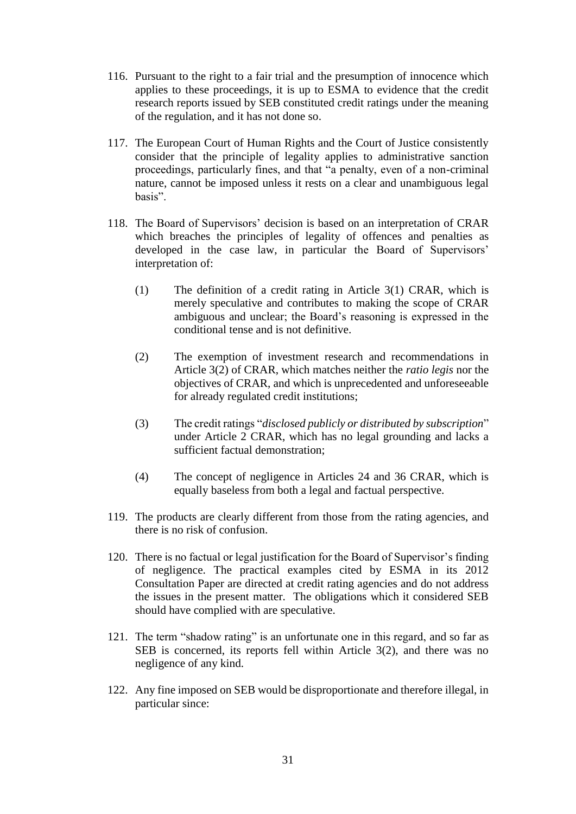- 116. Pursuant to the right to a fair trial and the presumption of innocence which applies to these proceedings, it is up to ESMA to evidence that the credit research reports issued by SEB constituted credit ratings under the meaning of the regulation, and it has not done so.
- 117. The European Court of Human Rights and the Court of Justice consistently consider that the principle of legality applies to administrative sanction proceedings, particularly fines, and that "a penalty, even of a non-criminal nature, cannot be imposed unless it rests on a clear and unambiguous legal basis".
- 118. The Board of Supervisors' decision is based on an interpretation of CRAR which breaches the principles of legality of offences and penalties as developed in the case law, in particular the Board of Supervisors' interpretation of:
	- (1) The definition of a credit rating in Article 3(1) CRAR, which is merely speculative and contributes to making the scope of CRAR ambiguous and unclear; the Board's reasoning is expressed in the conditional tense and is not definitive.
	- (2) The exemption of investment research and recommendations in Article 3(2) of CRAR, which matches neither the *ratio legis* nor the objectives of CRAR, and which is unprecedented and unforeseeable for already regulated credit institutions;
	- (3) The credit ratings "*disclosed publicly or distributed by subscription*" under Article 2 CRAR, which has no legal grounding and lacks a sufficient factual demonstration;
	- (4) The concept of negligence in Articles 24 and 36 CRAR, which is equally baseless from both a legal and factual perspective.
- 119. The products are clearly different from those from the rating agencies, and there is no risk of confusion.
- 120. There is no factual or legal justification for the Board of Supervisor's finding of negligence. The practical examples cited by ESMA in its 2012 Consultation Paper are directed at credit rating agencies and do not address the issues in the present matter. The obligations which it considered SEB should have complied with are speculative.
- 121. The term "shadow rating" is an unfortunate one in this regard, and so far as SEB is concerned, its reports fell within Article 3(2), and there was no negligence of any kind.
- 122. Any fine imposed on SEB would be disproportionate and therefore illegal, in particular since: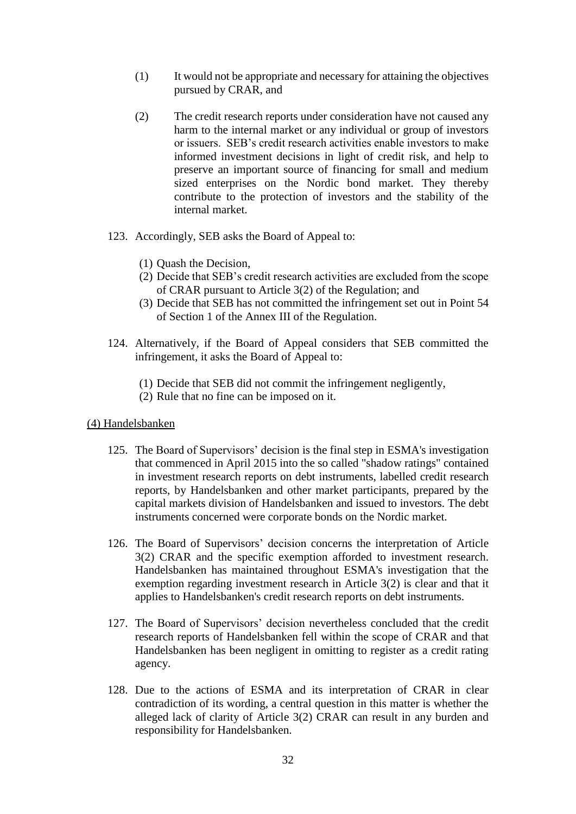- (1) It would not be appropriate and necessary for attaining the objectives pursued by CRAR, and
- (2) The credit research reports under consideration have not caused any harm to the internal market or any individual or group of investors or issuers. SEB's credit research activities enable investors to make informed investment decisions in light of credit risk, and help to preserve an important source of financing for small and medium sized enterprises on the Nordic bond market. They thereby contribute to the protection of investors and the stability of the internal market.
- 123. Accordingly, SEB asks the Board of Appeal to:
	- (1) Quash the Decision,
	- (2) Decide that SEB's credit research activities are excluded from the scope of CRAR pursuant to Article 3(2) of the Regulation; and
	- (3) Decide that SEB has not committed the infringement set out in Point 54 of Section 1 of the Annex III of the Regulation.
- 124. Alternatively, if the Board of Appeal considers that SEB committed the infringement, it asks the Board of Appeal to:
	- (1) Decide that SEB did not commit the infringement negligently,
	- (2) Rule that no fine can be imposed on it.

#### (4) Handelsbanken

- 125. The Board of Supervisors' decision is the final step in ESMA's investigation that commenced in April 2015 into the so called "shadow ratings" contained in investment research reports on debt instruments, labelled credit research reports, by Handelsbanken and other market participants, prepared by the capital markets division of Handelsbanken and issued to investors. The debt instruments concerned were corporate bonds on the Nordic market.
- 126. The Board of Supervisors' decision concerns the interpretation of Article 3(2) CRAR and the specific exemption afforded to investment research. Handelsbanken has maintained throughout ESMA's investigation that the exemption regarding investment research in Article 3(2) is clear and that it applies to Handelsbanken's credit research reports on debt instruments.
- 127. The Board of Supervisors' decision nevertheless concluded that the credit research reports of Handelsbanken fell within the scope of CRAR and that Handelsbanken has been negligent in omitting to register as a credit rating agency.
- 128. Due to the actions of ESMA and its interpretation of CRAR in clear contradiction of its wording, a central question in this matter is whether the alleged lack of clarity of Article 3(2) CRAR can result in any burden and responsibility for Handelsbanken.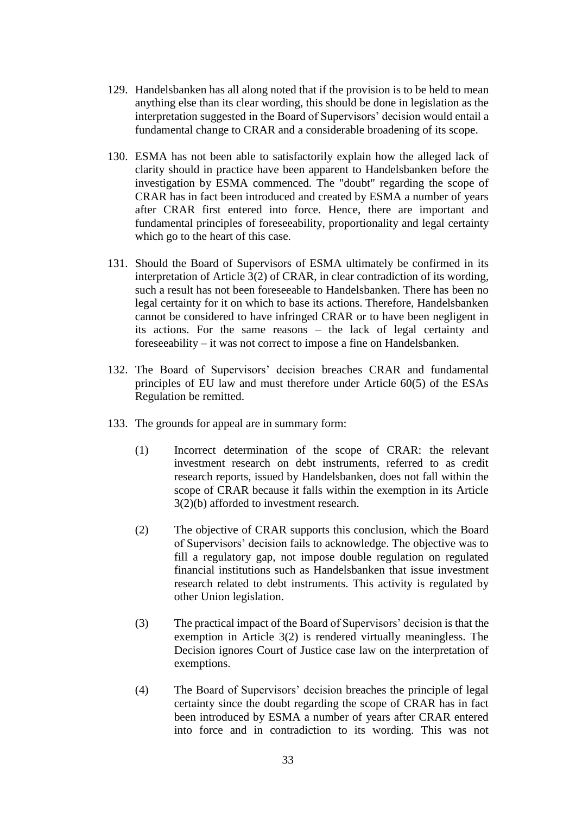- 129. Handelsbanken has all along noted that if the provision is to be held to mean anything else than its clear wording, this should be done in legislation as the interpretation suggested in the Board of Supervisors' decision would entail a fundamental change to CRAR and a considerable broadening of its scope.
- 130. ESMA has not been able to satisfactorily explain how the alleged lack of clarity should in practice have been apparent to Handelsbanken before the investigation by ESMA commenced. The "doubt" regarding the scope of CRAR has in fact been introduced and created by ESMA a number of years after CRAR first entered into force. Hence, there are important and fundamental principles of foreseeability, proportionality and legal certainty which go to the heart of this case.
- 131. Should the Board of Supervisors of ESMA ultimately be confirmed in its interpretation of Article 3(2) of CRAR, in clear contradiction of its wording, such a result has not been foreseeable to Handelsbanken. There has been no legal certainty for it on which to base its actions. Therefore, Handelsbanken cannot be considered to have infringed CRAR or to have been negligent in its actions. For the same reasons – the lack of legal certainty and foreseeability – it was not correct to impose a fine on Handelsbanken.
- 132. The Board of Supervisors' decision breaches CRAR and fundamental principles of EU law and must therefore under Article 60(5) of the ESAs Regulation be remitted.
- 133. The grounds for appeal are in summary form:
	- (1) Incorrect determination of the scope of CRAR: the relevant investment research on debt instruments, referred to as credit research reports, issued by Handelsbanken, does not fall within the scope of CRAR because it falls within the exemption in its Article 3(2)(b) afforded to investment research.
	- (2) The objective of CRAR supports this conclusion, which the Board of Supervisors' decision fails to acknowledge. The objective was to fill a regulatory gap, not impose double regulation on regulated financial institutions such as Handelsbanken that issue investment research related to debt instruments. This activity is regulated by other Union legislation.
	- (3) The practical impact of the Board of Supervisors' decision is that the exemption in Article 3(2) is rendered virtually meaningless. The Decision ignores Court of Justice case law on the interpretation of exemptions.
	- (4) The Board of Supervisors' decision breaches the principle of legal certainty since the doubt regarding the scope of CRAR has in fact been introduced by ESMA a number of years after CRAR entered into force and in contradiction to its wording. This was not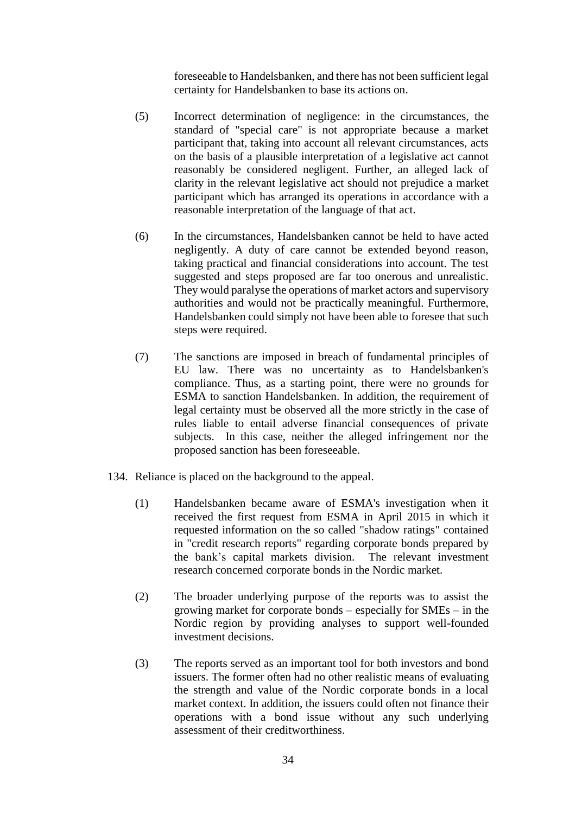foreseeable to Handelsbanken, and there has not been sufficient legal certainty for Handelsbanken to base its actions on.

- (5) Incorrect determination of negligence: in the circumstances, the standard of "special care" is not appropriate because a market participant that, taking into account all relevant circumstances, acts on the basis of a plausible interpretation of a legislative act cannot reasonably be considered negligent. Further, an alleged lack of clarity in the relevant legislative act should not prejudice a market participant which has arranged its operations in accordance with a reasonable interpretation of the language of that act.
- (6) In the circumstances, Handelsbanken cannot be held to have acted negligently. A duty of care cannot be extended beyond reason, taking practical and financial considerations into account. The test suggested and steps proposed are far too onerous and unrealistic. They would paralyse the operations of market actors and supervisory authorities and would not be practically meaningful. Furthermore, Handelsbanken could simply not have been able to foresee that such steps were required.
- (7) The sanctions are imposed in breach of fundamental principles of EU law. There was no uncertainty as to Handelsbanken's compliance. Thus, as a starting point, there were no grounds for ESMA to sanction Handelsbanken. In addition, the requirement of legal certainty must be observed all the more strictly in the case of rules liable to entail adverse financial consequences of private subjects. In this case, neither the alleged infringement nor the proposed sanction has been foreseeable.
- 134. Reliance is placed on the background to the appeal.
	- (1) Handelsbanken became aware of ESMA's investigation when it received the first request from ESMA in April 2015 in which it requested information on the so called "shadow ratings" contained in "credit research reports" regarding corporate bonds prepared by the bank's capital markets division. The relevant investment research concerned corporate bonds in the Nordic market.
	- (2) The broader underlying purpose of the reports was to assist the growing market for corporate bonds – especially for SMEs – in the Nordic region by providing analyses to support well-founded investment decisions.
	- (3) The reports served as an important tool for both investors and bond issuers. The former often had no other realistic means of evaluating the strength and value of the Nordic corporate bonds in a local market context. In addition, the issuers could often not finance their operations with a bond issue without any such underlying assessment of their creditworthiness.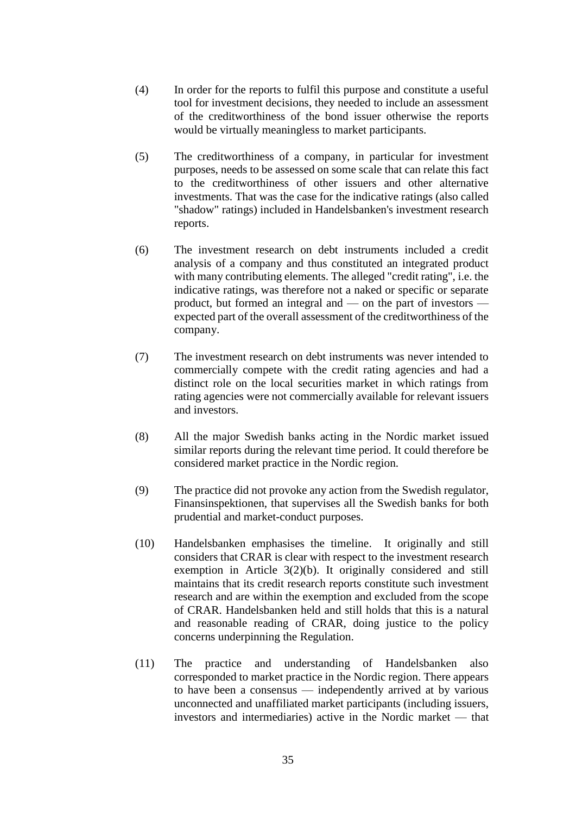- (4) In order for the reports to fulfil this purpose and constitute a useful tool for investment decisions, they needed to include an assessment of the creditworthiness of the bond issuer otherwise the reports would be virtually meaningless to market participants.
- (5) The creditworthiness of a company, in particular for investment purposes, needs to be assessed on some scale that can relate this fact to the creditworthiness of other issuers and other alternative investments. That was the case for the indicative ratings (also called "shadow" ratings) included in Handelsbanken's investment research reports.
- (6) The investment research on debt instruments included a credit analysis of a company and thus constituted an integrated product with many contributing elements. The alleged "credit rating", i.e. the indicative ratings, was therefore not a naked or specific or separate product, but formed an integral and — on the part of investors expected part of the overall assessment of the creditworthiness of the company.
- (7) The investment research on debt instruments was never intended to commercially compete with the credit rating agencies and had a distinct role on the local securities market in which ratings from rating agencies were not commercially available for relevant issuers and investors.
- (8) All the major Swedish banks acting in the Nordic market issued similar reports during the relevant time period. It could therefore be considered market practice in the Nordic region.
- (9) The practice did not provoke any action from the Swedish regulator, Finansinspektionen, that supervises all the Swedish banks for both prudential and market-conduct purposes.
- (10) Handelsbanken emphasises the timeline. It originally and still considers that CRAR is clear with respect to the investment research exemption in Article 3(2)(b). It originally considered and still maintains that its credit research reports constitute such investment research and are within the exemption and excluded from the scope of CRAR. Handelsbanken held and still holds that this is a natural and reasonable reading of CRAR, doing justice to the policy concerns underpinning the Regulation.
- (11) The practice and understanding of Handelsbanken also corresponded to market practice in the Nordic region. There appears to have been a consensus — independently arrived at by various unconnected and unaffiliated market participants (including issuers, investors and intermediaries) active in the Nordic market — that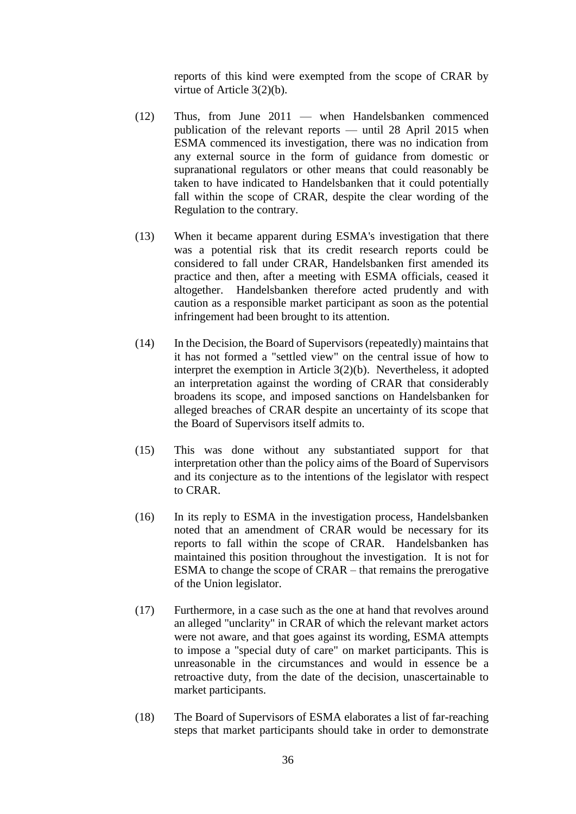reports of this kind were exempted from the scope of CRAR by virtue of Article 3(2)(b).

- (12) Thus, from June 2011 when Handelsbanken commenced publication of the relevant reports — until 28 April 2015 when ESMA commenced its investigation, there was no indication from any external source in the form of guidance from domestic or supranational regulators or other means that could reasonably be taken to have indicated to Handelsbanken that it could potentially fall within the scope of CRAR, despite the clear wording of the Regulation to the contrary.
- (13) When it became apparent during ESMA's investigation that there was a potential risk that its credit research reports could be considered to fall under CRAR, Handelsbanken first amended its practice and then, after a meeting with ESMA officials, ceased it altogether. Handelsbanken therefore acted prudently and with caution as a responsible market participant as soon as the potential infringement had been brought to its attention.
- (14) In the Decision, the Board of Supervisors (repeatedly) maintains that it has not formed a "settled view" on the central issue of how to interpret the exemption in Article 3(2)(b). Nevertheless, it adopted an interpretation against the wording of CRAR that considerably broadens its scope, and imposed sanctions on Handelsbanken for alleged breaches of CRAR despite an uncertainty of its scope that the Board of Supervisors itself admits to.
- (15) This was done without any substantiated support for that interpretation other than the policy aims of the Board of Supervisors and its conjecture as to the intentions of the legislator with respect to CRAR.
- (16) In its reply to ESMA in the investigation process, Handelsbanken noted that an amendment of CRAR would be necessary for its reports to fall within the scope of CRAR. Handelsbanken has maintained this position throughout the investigation. It is not for ESMA to change the scope of CRAR – that remains the prerogative of the Union legislator.
- (17) Furthermore, in a case such as the one at hand that revolves around an alleged "unclarity" in CRAR of which the relevant market actors were not aware, and that goes against its wording, ESMA attempts to impose a "special duty of care" on market participants. This is unreasonable in the circumstances and would in essence be a retroactive duty, from the date of the decision, unascertainable to market participants.
- (18) The Board of Supervisors of ESMA elaborates a list of far-reaching steps that market participants should take in order to demonstrate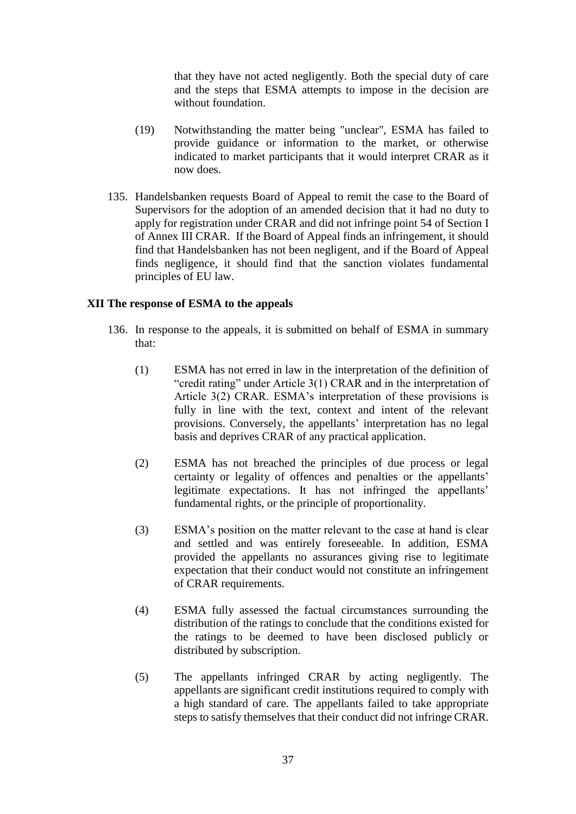that they have not acted negligently. Both the special duty of care and the steps that ESMA attempts to impose in the decision are without foundation.

- (19) Notwithstanding the matter being "unclear", ESMA has failed to provide guidance or information to the market, or otherwise indicated to market participants that it would interpret CRAR as it now does.
- 135. Handelsbanken requests Board of Appeal to remit the case to the Board of Supervisors for the adoption of an amended decision that it had no duty to apply for registration under CRAR and did not infringe point 54 of Section I of Annex III CRAR. If the Board of Appeal finds an infringement, it should find that Handelsbanken has not been negligent, and if the Board of Appeal finds negligence, it should find that the sanction violates fundamental principles of EU law.

# **XII The response of ESMA to the appeals**

- 136. In response to the appeals, it is submitted on behalf of ESMA in summary that:
	- (1) ESMA has not erred in law in the interpretation of the definition of "credit rating" under Article 3(1) CRAR and in the interpretation of Article 3(2) CRAR. ESMA's interpretation of these provisions is fully in line with the text, context and intent of the relevant provisions. Conversely, the appellants' interpretation has no legal basis and deprives CRAR of any practical application.
	- (2) ESMA has not breached the principles of due process or legal certainty or legality of offences and penalties or the appellants' legitimate expectations. It has not infringed the appellants' fundamental rights, or the principle of proportionality.
	- (3) ESMA's position on the matter relevant to the case at hand is clear and settled and was entirely foreseeable. In addition, ESMA provided the appellants no assurances giving rise to legitimate expectation that their conduct would not constitute an infringement of CRAR requirements.
	- (4) ESMA fully assessed the factual circumstances surrounding the distribution of the ratings to conclude that the conditions existed for the ratings to be deemed to have been disclosed publicly or distributed by subscription.
	- (5) The appellants infringed CRAR by acting negligently. The appellants are significant credit institutions required to comply with a high standard of care. The appellants failed to take appropriate steps to satisfy themselves that their conduct did not infringe CRAR.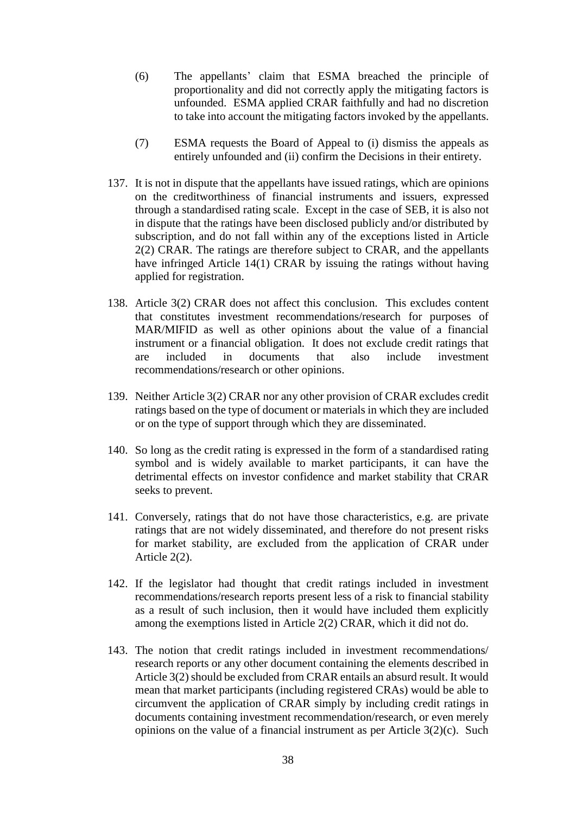- (6) The appellants' claim that ESMA breached the principle of proportionality and did not correctly apply the mitigating factors is unfounded. ESMA applied CRAR faithfully and had no discretion to take into account the mitigating factors invoked by the appellants.
- (7) ESMA requests the Board of Appeal to (i) dismiss the appeals as entirely unfounded and (ii) confirm the Decisions in their entirety.
- 137. It is not in dispute that the appellants have issued ratings, which are opinions on the creditworthiness of financial instruments and issuers, expressed through a standardised rating scale. Except in the case of SEB, it is also not in dispute that the ratings have been disclosed publicly and/or distributed by subscription, and do not fall within any of the exceptions listed in Article 2(2) CRAR. The ratings are therefore subject to CRAR, and the appellants have infringed Article 14(1) CRAR by issuing the ratings without having applied for registration.
- 138. Article 3(2) CRAR does not affect this conclusion. This excludes content that constitutes investment recommendations/research for purposes of MAR/MIFID as well as other opinions about the value of a financial instrument or a financial obligation. It does not exclude credit ratings that are included in documents that also include investment recommendations/research or other opinions.
- 139. Neither Article 3(2) CRAR nor any other provision of CRAR excludes credit ratings based on the type of document or materials in which they are included or on the type of support through which they are disseminated.
- 140. So long as the credit rating is expressed in the form of a standardised rating symbol and is widely available to market participants, it can have the detrimental effects on investor confidence and market stability that CRAR seeks to prevent.
- 141. Conversely, ratings that do not have those characteristics, e.g. are private ratings that are not widely disseminated, and therefore do not present risks for market stability, are excluded from the application of CRAR under Article 2(2).
- 142. If the legislator had thought that credit ratings included in investment recommendations/research reports present less of a risk to financial stability as a result of such inclusion, then it would have included them explicitly among the exemptions listed in Article 2(2) CRAR, which it did not do.
- 143. The notion that credit ratings included in investment recommendations/ research reports or any other document containing the elements described in Article 3(2) should be excluded from CRAR entails an absurd result. It would mean that market participants (including registered CRAs) would be able to circumvent the application of CRAR simply by including credit ratings in documents containing investment recommendation/research, or even merely opinions on the value of a financial instrument as per Article 3(2)(c). Such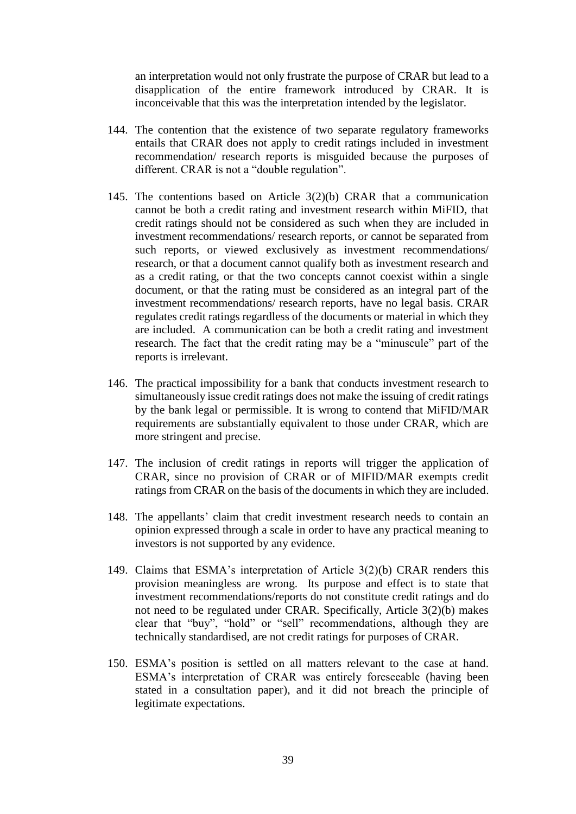an interpretation would not only frustrate the purpose of CRAR but lead to a disapplication of the entire framework introduced by CRAR. It is inconceivable that this was the interpretation intended by the legislator.

- 144. The contention that the existence of two separate regulatory frameworks entails that CRAR does not apply to credit ratings included in investment recommendation/ research reports is misguided because the purposes of different. CRAR is not a "double regulation".
- 145. The contentions based on Article 3(2)(b) CRAR that a communication cannot be both a credit rating and investment research within MiFID, that credit ratings should not be considered as such when they are included in investment recommendations/ research reports, or cannot be separated from such reports, or viewed exclusively as investment recommendations/ research, or that a document cannot qualify both as investment research and as a credit rating, or that the two concepts cannot coexist within a single document, or that the rating must be considered as an integral part of the investment recommendations/ research reports, have no legal basis. CRAR regulates credit ratings regardless of the documents or material in which they are included. A communication can be both a credit rating and investment research. The fact that the credit rating may be a "minuscule" part of the reports is irrelevant.
- 146. The practical impossibility for a bank that conducts investment research to simultaneously issue credit ratings does not make the issuing of credit ratings by the bank legal or permissible. It is wrong to contend that MiFID/MAR requirements are substantially equivalent to those under CRAR, which are more stringent and precise.
- 147. The inclusion of credit ratings in reports will trigger the application of CRAR, since no provision of CRAR or of MIFID/MAR exempts credit ratings from CRAR on the basis of the documents in which they are included.
- 148. The appellants' claim that credit investment research needs to contain an opinion expressed through a scale in order to have any practical meaning to investors is not supported by any evidence.
- 149. Claims that ESMA's interpretation of Article 3(2)(b) CRAR renders this provision meaningless are wrong. Its purpose and effect is to state that investment recommendations/reports do not constitute credit ratings and do not need to be regulated under CRAR. Specifically, Article 3(2)(b) makes clear that "buy", "hold" or "sell" recommendations, although they are technically standardised, are not credit ratings for purposes of CRAR.
- 150. ESMA's position is settled on all matters relevant to the case at hand. ESMA's interpretation of CRAR was entirely foreseeable (having been stated in a consultation paper), and it did not breach the principle of legitimate expectations.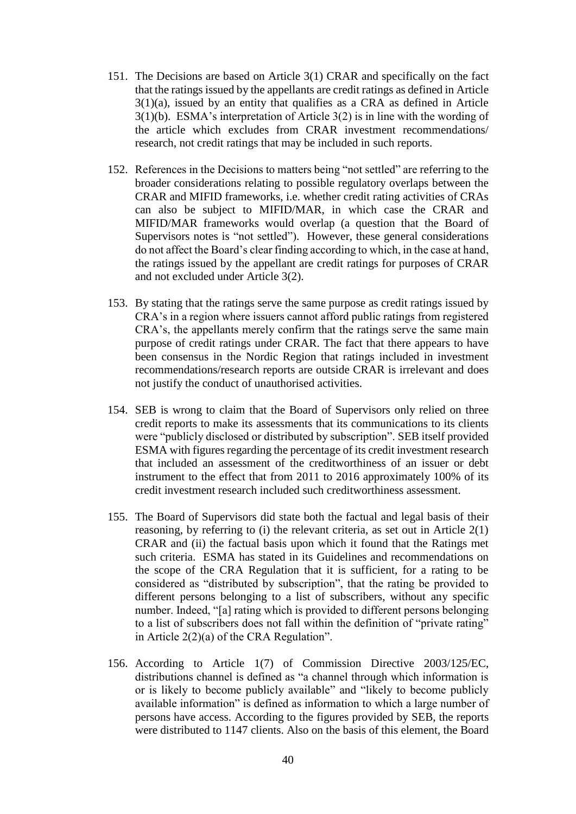- 151. The Decisions are based on Article 3(1) CRAR and specifically on the fact that the ratings issued by the appellants are credit ratings as defined in Article 3(1)(a), issued by an entity that qualifies as a CRA as defined in Article 3(1)(b). ESMA's interpretation of Article 3(2) is in line with the wording of the article which excludes from CRAR investment recommendations/ research, not credit ratings that may be included in such reports.
- 152. References in the Decisions to matters being "not settled" are referring to the broader considerations relating to possible regulatory overlaps between the CRAR and MIFID frameworks, i.e. whether credit rating activities of CRAs can also be subject to MIFID/MAR, in which case the CRAR and MIFID/MAR frameworks would overlap (a question that the Board of Supervisors notes is "not settled"). However, these general considerations do not affect the Board's clear finding according to which, in the case at hand, the ratings issued by the appellant are credit ratings for purposes of CRAR and not excluded under Article 3(2).
- 153. By stating that the ratings serve the same purpose as credit ratings issued by CRA's in a region where issuers cannot afford public ratings from registered CRA's, the appellants merely confirm that the ratings serve the same main purpose of credit ratings under CRAR. The fact that there appears to have been consensus in the Nordic Region that ratings included in investment recommendations/research reports are outside CRAR is irrelevant and does not justify the conduct of unauthorised activities.
- 154. SEB is wrong to claim that the Board of Supervisors only relied on three credit reports to make its assessments that its communications to its clients were "publicly disclosed or distributed by subscription". SEB itself provided ESMA with figures regarding the percentage of its credit investment research that included an assessment of the creditworthiness of an issuer or debt instrument to the effect that from 2011 to 2016 approximately 100% of its credit investment research included such creditworthiness assessment.
- 155. The Board of Supervisors did state both the factual and legal basis of their reasoning, by referring to (i) the relevant criteria, as set out in Article 2(1) CRAR and (ii) the factual basis upon which it found that the Ratings met such criteria. ESMA has stated in its Guidelines and recommendations on the scope of the CRA Regulation that it is sufficient, for a rating to be considered as "distributed by subscription", that the rating be provided to different persons belonging to a list of subscribers, without any specific number. Indeed, "[a] rating which is provided to different persons belonging to a list of subscribers does not fall within the definition of "private rating" in Article 2(2)(a) of the CRA Regulation".
- 156. According to Article 1(7) of Commission Directive 2003/125/EC, distributions channel is defined as "a channel through which information is or is likely to become publicly available" and "likely to become publicly available information" is defined as information to which a large number of persons have access. According to the figures provided by SEB, the reports were distributed to 1147 clients. Also on the basis of this element, the Board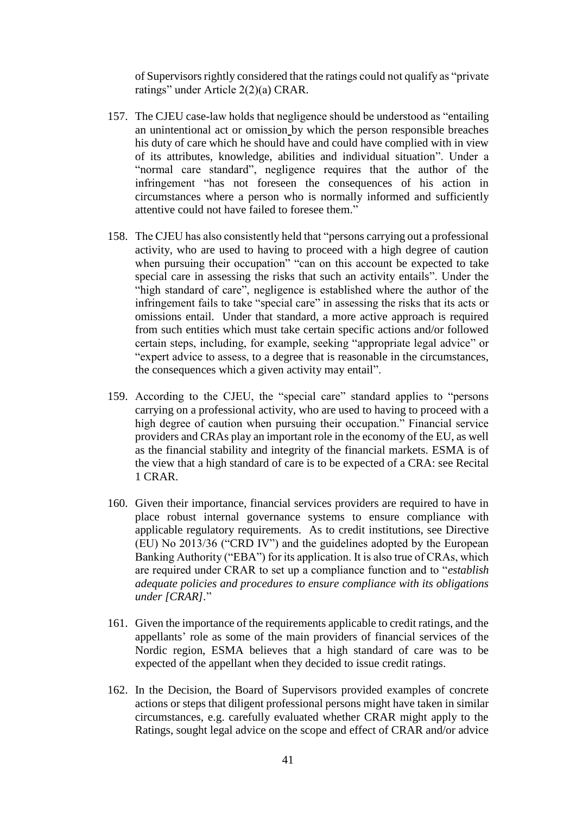of Supervisors rightly considered that the ratings could not qualify as "private ratings" under Article 2(2)(a) CRAR.

- 157. The CJEU case-law holds that negligence should be understood as "entailing an unintentional act or omission by which the person responsible breaches his duty of care which he should have and could have complied with in view of its attributes, knowledge, abilities and individual situation". Under a "normal care standard", negligence requires that the author of the infringement "has not foreseen the consequences of his action in circumstances where a person who is normally informed and sufficiently attentive could not have failed to foresee them."
- 158. The CJEU has also consistently held that "persons carrying out a professional activity, who are used to having to proceed with a high degree of caution when pursuing their occupation" "can on this account be expected to take special care in assessing the risks that such an activity entails". Under the "high standard of care", negligence is established where the author of the infringement fails to take "special care" in assessing the risks that its acts or omissions entail. Under that standard, a more active approach is required from such entities which must take certain specific actions and/or followed certain steps, including, for example, seeking "appropriate legal advice" or "expert advice to assess, to a degree that is reasonable in the circumstances, the consequences which a given activity may entail".
- 159. According to the CJEU, the "special care" standard applies to "persons carrying on a professional activity, who are used to having to proceed with a high degree of caution when pursuing their occupation." Financial service providers and CRAs play an important role in the economy of the EU, as well as the financial stability and integrity of the financial markets. ESMA is of the view that a high standard of care is to be expected of a CRA: see Recital 1 CRAR.
- 160. Given their importance, financial services providers are required to have in place robust internal governance systems to ensure compliance with applicable regulatory requirements. As to credit institutions, see Directive (EU) No 2013/36 ("CRD IV") and the guidelines adopted by the European Banking Authority ("EBA") for its application. It is also true of CRAs, which are required under CRAR to set up a compliance function and to "*establish adequate policies and procedures to ensure compliance with its obligations under [CRAR].*"
- 161. Given the importance of the requirements applicable to credit ratings, and the appellants' role as some of the main providers of financial services of the Nordic region, ESMA believes that a high standard of care was to be expected of the appellant when they decided to issue credit ratings.
- 162. In the Decision, the Board of Supervisors provided examples of concrete actions or steps that diligent professional persons might have taken in similar circumstances, e.g. carefully evaluated whether CRAR might apply to the Ratings, sought legal advice on the scope and effect of CRAR and/or advice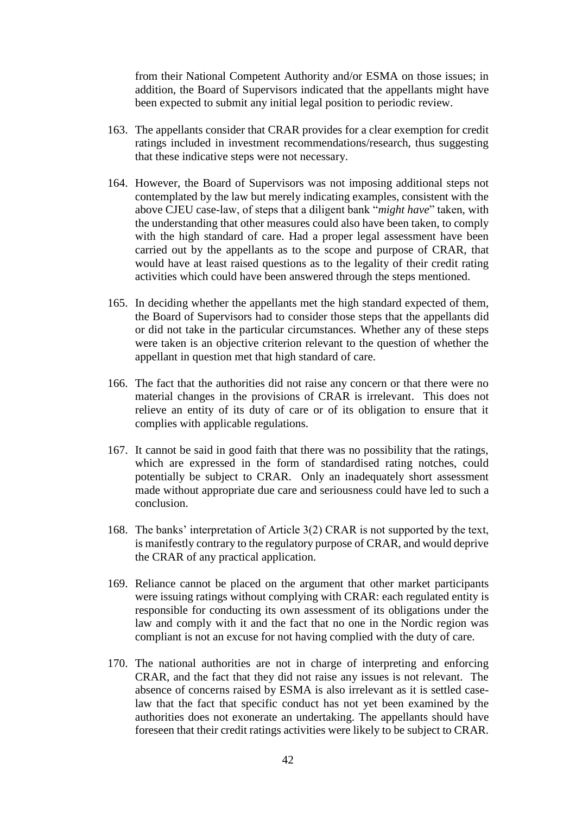from their National Competent Authority and/or ESMA on those issues; in addition, the Board of Supervisors indicated that the appellants might have been expected to submit any initial legal position to periodic review.

- 163. The appellants consider that CRAR provides for a clear exemption for credit ratings included in investment recommendations/research, thus suggesting that these indicative steps were not necessary.
- 164. However, the Board of Supervisors was not imposing additional steps not contemplated by the law but merely indicating examples, consistent with the above CJEU case-law, of steps that a diligent bank "*might have*" taken, with the understanding that other measures could also have been taken, to comply with the high standard of care. Had a proper legal assessment have been carried out by the appellants as to the scope and purpose of CRAR, that would have at least raised questions as to the legality of their credit rating activities which could have been answered through the steps mentioned.
- 165. In deciding whether the appellants met the high standard expected of them, the Board of Supervisors had to consider those steps that the appellants did or did not take in the particular circumstances. Whether any of these steps were taken is an objective criterion relevant to the question of whether the appellant in question met that high standard of care.
- 166. The fact that the authorities did not raise any concern or that there were no material changes in the provisions of CRAR is irrelevant. This does not relieve an entity of its duty of care or of its obligation to ensure that it complies with applicable regulations.
- 167. It cannot be said in good faith that there was no possibility that the ratings, which are expressed in the form of standardised rating notches, could potentially be subject to CRAR. Only an inadequately short assessment made without appropriate due care and seriousness could have led to such a conclusion.
- 168. The banks' interpretation of Article 3(2) CRAR is not supported by the text, is manifestly contrary to the regulatory purpose of CRAR, and would deprive the CRAR of any practical application.
- 169. Reliance cannot be placed on the argument that other market participants were issuing ratings without complying with CRAR: each regulated entity is responsible for conducting its own assessment of its obligations under the law and comply with it and the fact that no one in the Nordic region was compliant is not an excuse for not having complied with the duty of care.
- 170. The national authorities are not in charge of interpreting and enforcing CRAR, and the fact that they did not raise any issues is not relevant. The absence of concerns raised by ESMA is also irrelevant as it is settled caselaw that the fact that specific conduct has not yet been examined by the authorities does not exonerate an undertaking. The appellants should have foreseen that their credit ratings activities were likely to be subject to CRAR.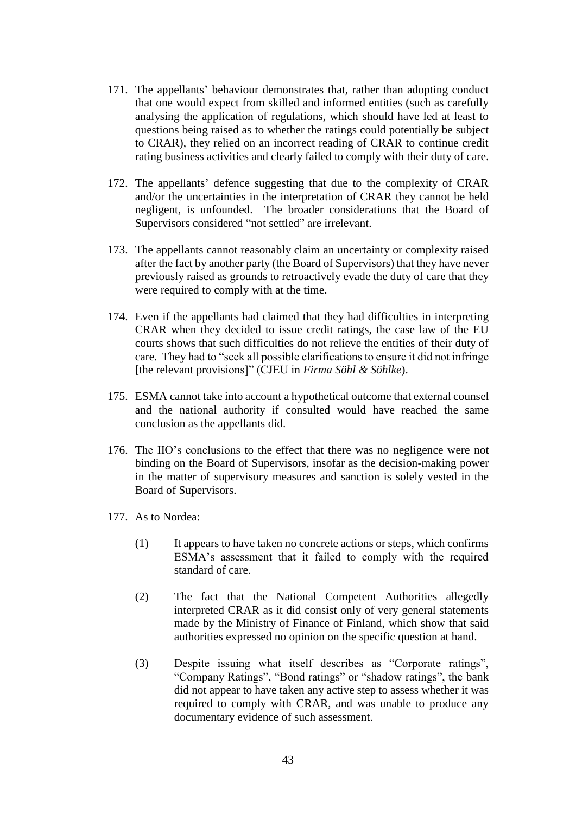- 171. The appellants' behaviour demonstrates that, rather than adopting conduct that one would expect from skilled and informed entities (such as carefully analysing the application of regulations, which should have led at least to questions being raised as to whether the ratings could potentially be subject to CRAR), they relied on an incorrect reading of CRAR to continue credit rating business activities and clearly failed to comply with their duty of care.
- 172. The appellants' defence suggesting that due to the complexity of CRAR and/or the uncertainties in the interpretation of CRAR they cannot be held negligent, is unfounded. The broader considerations that the Board of Supervisors considered "not settled" are irrelevant.
- 173. The appellants cannot reasonably claim an uncertainty or complexity raised after the fact by another party (the Board of Supervisors) that they have never previously raised as grounds to retroactively evade the duty of care that they were required to comply with at the time.
- 174. Even if the appellants had claimed that they had difficulties in interpreting CRAR when they decided to issue credit ratings, the case law of the EU courts shows that such difficulties do not relieve the entities of their duty of care. They had to "seek all possible clarifications to ensure it did not infringe [the relevant provisions]" (CJEU in *Firma Söhl & Söhlke*).
- 175. ESMA cannot take into account a hypothetical outcome that external counsel and the national authority if consulted would have reached the same conclusion as the appellants did.
- 176. The IIO's conclusions to the effect that there was no negligence were not binding on the Board of Supervisors, insofar as the decision-making power in the matter of supervisory measures and sanction is solely vested in the Board of Supervisors.
- 177. As to Nordea:
	- (1) It appears to have taken no concrete actions or steps, which confirms ESMA's assessment that it failed to comply with the required standard of care.
	- (2) The fact that the National Competent Authorities allegedly interpreted CRAR as it did consist only of very general statements made by the Ministry of Finance of Finland, which show that said authorities expressed no opinion on the specific question at hand.
	- (3) Despite issuing what itself describes as "Corporate ratings", "Company Ratings", "Bond ratings" or "shadow ratings", the bank did not appear to have taken any active step to assess whether it was required to comply with CRAR, and was unable to produce any documentary evidence of such assessment.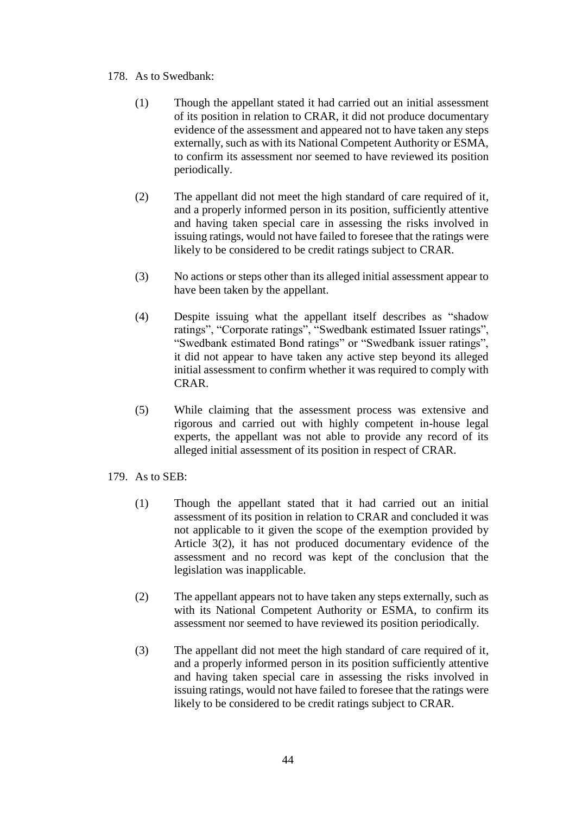# 178. As to Swedbank:

- (1) Though the appellant stated it had carried out an initial assessment of its position in relation to CRAR, it did not produce documentary evidence of the assessment and appeared not to have taken any steps externally, such as with its National Competent Authority or ESMA, to confirm its assessment nor seemed to have reviewed its position periodically.
- (2) The appellant did not meet the high standard of care required of it, and a properly informed person in its position, sufficiently attentive and having taken special care in assessing the risks involved in issuing ratings, would not have failed to foresee that the ratings were likely to be considered to be credit ratings subject to CRAR.
- (3) No actions or steps other than its alleged initial assessment appear to have been taken by the appellant.
- (4) Despite issuing what the appellant itself describes as "shadow ratings", "Corporate ratings", "Swedbank estimated Issuer ratings", "Swedbank estimated Bond ratings" or "Swedbank issuer ratings", it did not appear to have taken any active step beyond its alleged initial assessment to confirm whether it was required to comply with CRAR.
- (5) While claiming that the assessment process was extensive and rigorous and carried out with highly competent in-house legal experts, the appellant was not able to provide any record of its alleged initial assessment of its position in respect of CRAR.
- 179. As to SEB:
	- (1) Though the appellant stated that it had carried out an initial assessment of its position in relation to CRAR and concluded it was not applicable to it given the scope of the exemption provided by Article 3(2), it has not produced documentary evidence of the assessment and no record was kept of the conclusion that the legislation was inapplicable.
	- (2) The appellant appears not to have taken any steps externally, such as with its National Competent Authority or ESMA, to confirm its assessment nor seemed to have reviewed its position periodically.
	- (3) The appellant did not meet the high standard of care required of it, and a properly informed person in its position sufficiently attentive and having taken special care in assessing the risks involved in issuing ratings, would not have failed to foresee that the ratings were likely to be considered to be credit ratings subject to CRAR.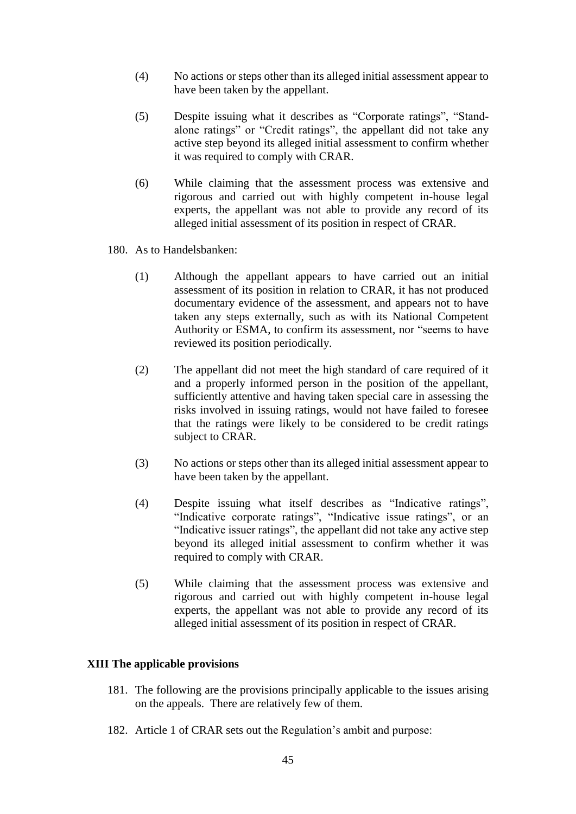- (4) No actions or steps other than its alleged initial assessment appear to have been taken by the appellant.
- (5) Despite issuing what it describes as "Corporate ratings", "Standalone ratings" or "Credit ratings", the appellant did not take any active step beyond its alleged initial assessment to confirm whether it was required to comply with CRAR.
- (6) While claiming that the assessment process was extensive and rigorous and carried out with highly competent in-house legal experts, the appellant was not able to provide any record of its alleged initial assessment of its position in respect of CRAR.
- 180. As to Handelsbanken:
	- (1) Although the appellant appears to have carried out an initial assessment of its position in relation to CRAR, it has not produced documentary evidence of the assessment, and appears not to have taken any steps externally, such as with its National Competent Authority or ESMA, to confirm its assessment, nor "seems to have reviewed its position periodically.
	- (2) The appellant did not meet the high standard of care required of it and a properly informed person in the position of the appellant, sufficiently attentive and having taken special care in assessing the risks involved in issuing ratings, would not have failed to foresee that the ratings were likely to be considered to be credit ratings subject to CRAR.
	- (3) No actions or steps other than its alleged initial assessment appear to have been taken by the appellant.
	- (4) Despite issuing what itself describes as "Indicative ratings", "Indicative corporate ratings", "Indicative issue ratings", or an "Indicative issuer ratings", the appellant did not take any active step beyond its alleged initial assessment to confirm whether it was required to comply with CRAR.
	- (5) While claiming that the assessment process was extensive and rigorous and carried out with highly competent in-house legal experts, the appellant was not able to provide any record of its alleged initial assessment of its position in respect of CRAR.

## **XIII The applicable provisions**

- 181. The following are the provisions principally applicable to the issues arising on the appeals. There are relatively few of them.
- 182. Article 1 of CRAR sets out the Regulation's ambit and purpose: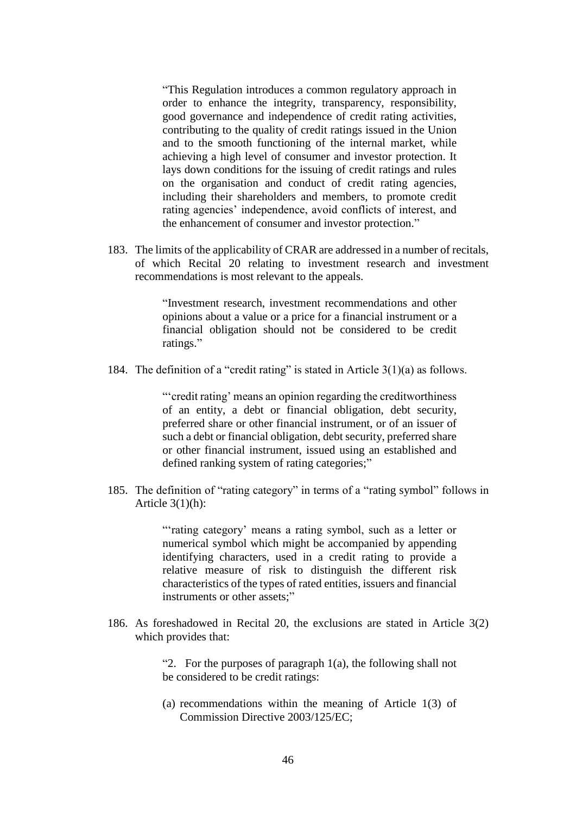"This Regulation introduces a common regulatory approach in order to enhance the integrity, transparency, responsibility, good governance and independence of credit rating activities, contributing to the quality of credit ratings issued in the Union and to the smooth functioning of the internal market, while achieving a high level of consumer and investor protection. It lays down conditions for the issuing of credit ratings and rules on the organisation and conduct of credit rating agencies, including their shareholders and members, to promote credit rating agencies' independence, avoid conflicts of interest, and the enhancement of consumer and investor protection."

183. The limits of the applicability of CRAR are addressed in a number of recitals, of which Recital 20 relating to investment research and investment recommendations is most relevant to the appeals.

> "Investment research, investment recommendations and other opinions about a value or a price for a financial instrument or a financial obligation should not be considered to be credit ratings."

184. The definition of a "credit rating" is stated in Article 3(1)(a) as follows.

"'credit rating' means an opinion regarding the creditworthiness of an entity, a debt or financial obligation, debt security, preferred share or other financial instrument, or of an issuer of such a debt or financial obligation, debt security, preferred share or other financial instrument, issued using an established and defined ranking system of rating categories;"

185. The definition of "rating category" in terms of a "rating symbol" follows in Article  $3(1)(h)$ :

> "'rating category' means a rating symbol, such as a letter or numerical symbol which might be accompanied by appending identifying characters, used in a credit rating to provide a relative measure of risk to distinguish the different risk characteristics of the types of rated entities, issuers and financial instruments or other assets;"

186. As foreshadowed in Recital 20, the exclusions are stated in Article 3(2) which provides that:

> "2. For the purposes of paragraph  $1(a)$ , the following shall not be considered to be credit ratings:

> (a) recommendations within the meaning of Article 1(3) of Commission Directive 2003/125/EC;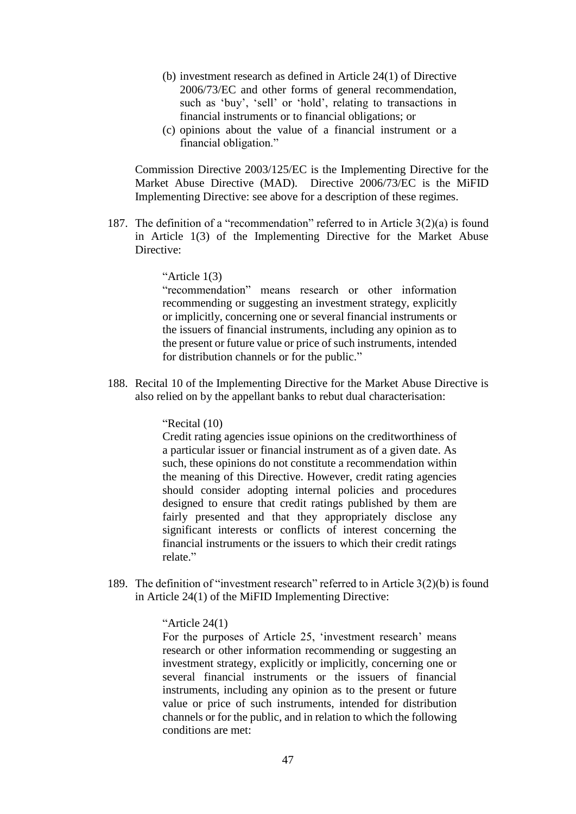- (b) investment research as defined in Article 24(1) of Directive 2006/73/EC and other forms of general recommendation, such as 'buy', 'sell' or 'hold', relating to transactions in financial instruments or to financial obligations; or
- (c) opinions about the value of a financial instrument or a financial obligation."

Commission Directive 2003/125/EC is the Implementing Directive for the Market Abuse Directive (MAD). Directive 2006/73/EC is the MiFID Implementing Directive: see above for a description of these regimes.

187. The definition of a "recommendation" referred to in Article 3(2)(a) is found in Article 1(3) of the Implementing Directive for the Market Abuse Directive:

## "Article 1(3)

"recommendation" means research or other information recommending or suggesting an investment strategy, explicitly or implicitly, concerning one or several financial instruments or the issuers of financial instruments, including any opinion as to the present or future value or price of such instruments, intended for distribution channels or for the public."

188. Recital 10 of the Implementing Directive for the Market Abuse Directive is also relied on by the appellant banks to rebut dual characterisation:

### "Recital (10)

Credit rating agencies issue opinions on the creditworthiness of a particular issuer or financial instrument as of a given date. As such, these opinions do not constitute a recommendation within the meaning of this Directive. However, credit rating agencies should consider adopting internal policies and procedures designed to ensure that credit ratings published by them are fairly presented and that they appropriately disclose any significant interests or conflicts of interest concerning the financial instruments or the issuers to which their credit ratings relate."

189. The definition of "investment research" referred to in Article 3(2)(b) is found in Article 24(1) of the MiFID Implementing Directive:

### "Article 24(1)

For the purposes of Article 25, 'investment research' means research or other information recommending or suggesting an investment strategy, explicitly or implicitly, concerning one or several financial instruments or the issuers of financial instruments, including any opinion as to the present or future value or price of such instruments, intended for distribution channels or for the public, and in relation to which the following conditions are met: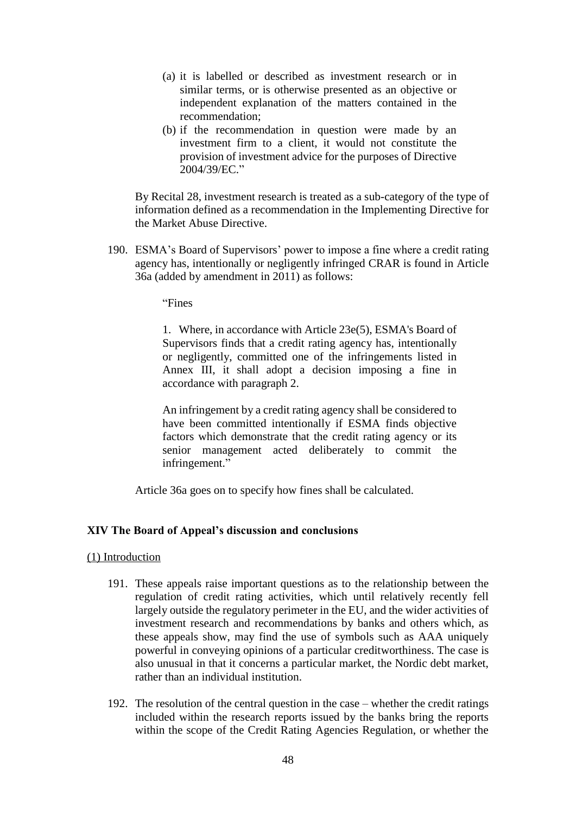- (a) it is labelled or described as investment research or in similar terms, or is otherwise presented as an objective or independent explanation of the matters contained in the recommendation;
- (b) if the recommendation in question were made by an investment firm to a client, it would not constitute the provision of investment advice for the purposes of Directive 2004/39/EC."

By Recital 28, investment research is treated as a sub-category of the type of information defined as a recommendation in the Implementing Directive for the Market Abuse Directive.

190. ESMA's Board of Supervisors' power to impose a fine where a credit rating agency has, intentionally or negligently infringed CRAR is found in Article 36a (added by amendment in 2011) as follows:

"Fines

1. Where, in accordance with Article 23e(5), ESMA's Board of Supervisors finds that a credit rating agency has, intentionally or negligently, committed one of the infringements listed in Annex III, it shall adopt a decision imposing a fine in accordance with paragraph 2.

An infringement by a credit rating agency shall be considered to have been committed intentionally if ESMA finds objective factors which demonstrate that the credit rating agency or its senior management acted deliberately to commit the infringement."

Article 36a goes on to specify how fines shall be calculated.

## **XIV The Board of Appeal's discussion and conclusions**

### (1) Introduction

- 191. These appeals raise important questions as to the relationship between the regulation of credit rating activities, which until relatively recently fell largely outside the regulatory perimeter in the EU, and the wider activities of investment research and recommendations by banks and others which, as these appeals show, may find the use of symbols such as AAA uniquely powerful in conveying opinions of a particular creditworthiness. The case is also unusual in that it concerns a particular market, the Nordic debt market, rather than an individual institution.
- 192. The resolution of the central question in the case whether the credit ratings included within the research reports issued by the banks bring the reports within the scope of the Credit Rating Agencies Regulation, or whether the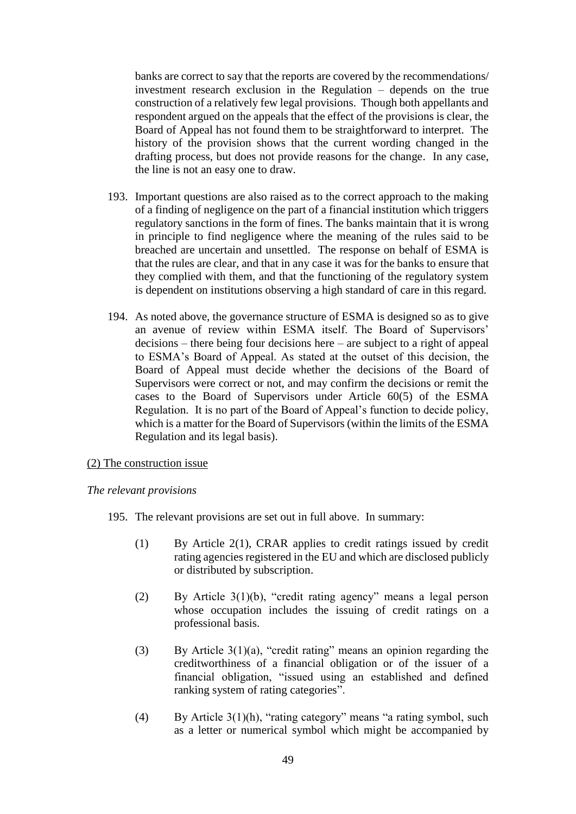banks are correct to say that the reports are covered by the recommendations/ investment research exclusion in the Regulation – depends on the true construction of a relatively few legal provisions. Though both appellants and respondent argued on the appeals that the effect of the provisions is clear, the Board of Appeal has not found them to be straightforward to interpret. The history of the provision shows that the current wording changed in the drafting process, but does not provide reasons for the change. In any case, the line is not an easy one to draw.

- 193. Important questions are also raised as to the correct approach to the making of a finding of negligence on the part of a financial institution which triggers regulatory sanctions in the form of fines. The banks maintain that it is wrong in principle to find negligence where the meaning of the rules said to be breached are uncertain and unsettled. The response on behalf of ESMA is that the rules are clear, and that in any case it was for the banks to ensure that they complied with them, and that the functioning of the regulatory system is dependent on institutions observing a high standard of care in this regard.
- 194. As noted above, the governance structure of ESMA is designed so as to give an avenue of review within ESMA itself. The Board of Supervisors' decisions – there being four decisions here – are subject to a right of appeal to ESMA's Board of Appeal. As stated at the outset of this decision, the Board of Appeal must decide whether the decisions of the Board of Supervisors were correct or not, and may confirm the decisions or remit the cases to the Board of Supervisors under Article 60(5) of the ESMA Regulation. It is no part of the Board of Appeal's function to decide policy, which is a matter for the Board of Supervisors (within the limits of the ESMA Regulation and its legal basis).

## (2) The construction issue

## *The relevant provisions*

- 195. The relevant provisions are set out in full above. In summary:
	- (1) By Article 2(1), CRAR applies to credit ratings issued by credit rating agencies registered in the EU and which are disclosed publicly or distributed by subscription.
	- (2) By Article 3(1)(b), "credit rating agency" means a legal person whose occupation includes the issuing of credit ratings on a professional basis.
	- (3) By Article 3(1)(a), "credit rating" means an opinion regarding the creditworthiness of a financial obligation or of the issuer of a financial obligation, "issued using an established and defined ranking system of rating categories".
	- (4) By Article 3(1)(h), "rating category" means "a rating symbol, such as a letter or numerical symbol which might be accompanied by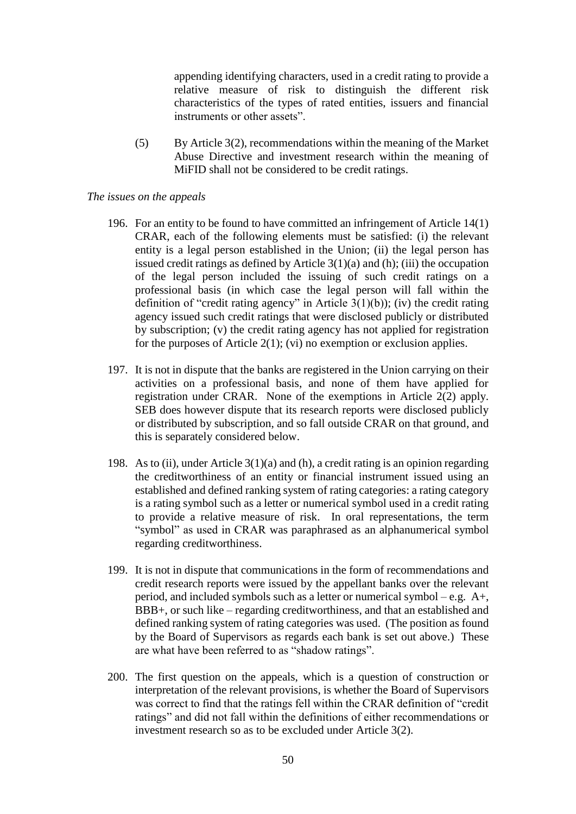appending identifying characters, used in a credit rating to provide a relative measure of risk to distinguish the different risk characteristics of the types of rated entities, issuers and financial instruments or other assets".

(5) By Article 3(2), recommendations within the meaning of the Market Abuse Directive and investment research within the meaning of MiFID shall not be considered to be credit ratings.

### *The issues on the appeals*

- 196. For an entity to be found to have committed an infringement of Article 14(1) CRAR, each of the following elements must be satisfied: (i) the relevant entity is a legal person established in the Union; (ii) the legal person has issued credit ratings as defined by Article  $3(1)(a)$  and (h); (iii) the occupation of the legal person included the issuing of such credit ratings on a professional basis (in which case the legal person will fall within the definition of "credit rating agency" in Article  $3(1)(b)$ ); (iv) the credit rating agency issued such credit ratings that were disclosed publicly or distributed by subscription; (v) the credit rating agency has not applied for registration for the purposes of Article  $2(1)$ ; (vi) no exemption or exclusion applies.
- 197. It is not in dispute that the banks are registered in the Union carrying on their activities on a professional basis, and none of them have applied for registration under CRAR. None of the exemptions in Article 2(2) apply. SEB does however dispute that its research reports were disclosed publicly or distributed by subscription, and so fall outside CRAR on that ground, and this is separately considered below.
- 198. As to (ii), under Article 3(1)(a) and (h), a credit rating is an opinion regarding the creditworthiness of an entity or financial instrument issued using an established and defined ranking system of rating categories: a rating category is a rating symbol such as a letter or numerical symbol used in a credit rating to provide a relative measure of risk. In oral representations, the term "symbol" as used in CRAR was paraphrased as an alphanumerical symbol regarding creditworthiness.
- 199. It is not in dispute that communications in the form of recommendations and credit research reports were issued by the appellant banks over the relevant period, and included symbols such as a letter or numerical symbol – e.g. A+, BBB+, or such like – regarding creditworthiness, and that an established and defined ranking system of rating categories was used. (The position as found by the Board of Supervisors as regards each bank is set out above.) These are what have been referred to as "shadow ratings".
- 200. The first question on the appeals, which is a question of construction or interpretation of the relevant provisions, is whether the Board of Supervisors was correct to find that the ratings fell within the CRAR definition of "credit ratings" and did not fall within the definitions of either recommendations or investment research so as to be excluded under Article 3(2).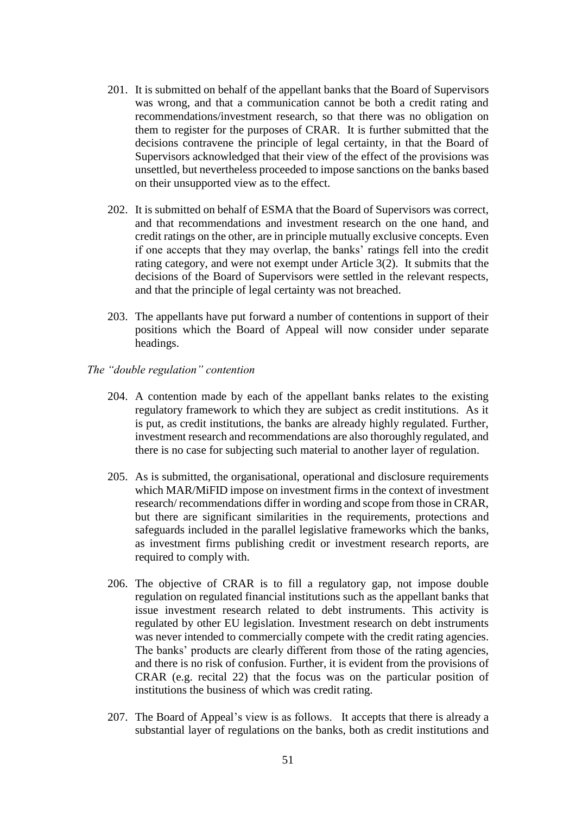- 201. It is submitted on behalf of the appellant banks that the Board of Supervisors was wrong, and that a communication cannot be both a credit rating and recommendations/investment research, so that there was no obligation on them to register for the purposes of CRAR. It is further submitted that the decisions contravene the principle of legal certainty, in that the Board of Supervisors acknowledged that their view of the effect of the provisions was unsettled, but nevertheless proceeded to impose sanctions on the banks based on their unsupported view as to the effect.
- 202. It is submitted on behalf of ESMA that the Board of Supervisors was correct, and that recommendations and investment research on the one hand, and credit ratings on the other, are in principle mutually exclusive concepts. Even if one accepts that they may overlap, the banks' ratings fell into the credit rating category, and were not exempt under Article 3(2). It submits that the decisions of the Board of Supervisors were settled in the relevant respects, and that the principle of legal certainty was not breached.
- 203. The appellants have put forward a number of contentions in support of their positions which the Board of Appeal will now consider under separate headings.
- *The "double regulation" contention*
	- 204. A contention made by each of the appellant banks relates to the existing regulatory framework to which they are subject as credit institutions. As it is put, as credit institutions, the banks are already highly regulated. Further, investment research and recommendations are also thoroughly regulated, and there is no case for subjecting such material to another layer of regulation.
	- 205. As is submitted, the organisational, operational and disclosure requirements which MAR/MiFID impose on investment firms in the context of investment research/ recommendations differ in wording and scope from those in CRAR, but there are significant similarities in the requirements, protections and safeguards included in the parallel legislative frameworks which the banks, as investment firms publishing credit or investment research reports, are required to comply with.
	- 206. The objective of CRAR is to fill a regulatory gap, not impose double regulation on regulated financial institutions such as the appellant banks that issue investment research related to debt instruments. This activity is regulated by other EU legislation. Investment research on debt instruments was never intended to commercially compete with the credit rating agencies. The banks' products are clearly different from those of the rating agencies, and there is no risk of confusion. Further, it is evident from the provisions of CRAR (e.g. recital 22) that the focus was on the particular position of institutions the business of which was credit rating.
	- 207. The Board of Appeal's view is as follows. It accepts that there is already a substantial layer of regulations on the banks, both as credit institutions and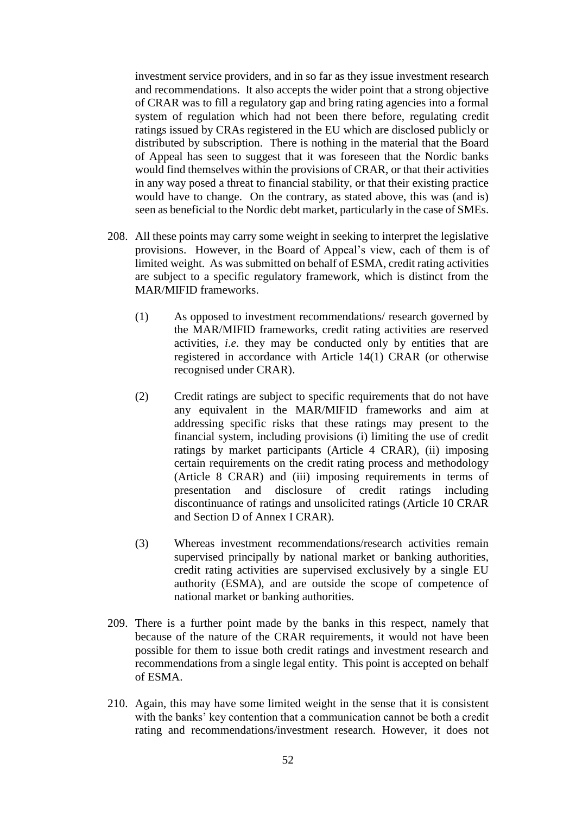investment service providers, and in so far as they issue investment research and recommendations. It also accepts the wider point that a strong objective of CRAR was to fill a regulatory gap and bring rating agencies into a formal system of regulation which had not been there before, regulating credit ratings issued by CRAs registered in the EU which are disclosed publicly or distributed by subscription. There is nothing in the material that the Board of Appeal has seen to suggest that it was foreseen that the Nordic banks would find themselves within the provisions of CRAR, or that their activities in any way posed a threat to financial stability, or that their existing practice would have to change. On the contrary, as stated above, this was (and is) seen as beneficial to the Nordic debt market, particularly in the case of SMEs.

- 208. All these points may carry some weight in seeking to interpret the legislative provisions. However, in the Board of Appeal's view, each of them is of limited weight. As was submitted on behalf of ESMA, credit rating activities are subject to a specific regulatory framework, which is distinct from the MAR/MIFID frameworks.
	- (1) As opposed to investment recommendations/ research governed by the MAR/MIFID frameworks, credit rating activities are reserved activities, *i*.*e*. they may be conducted only by entities that are registered in accordance with Article 14(1) CRAR (or otherwise recognised under CRAR).
	- (2) Credit ratings are subject to specific requirements that do not have any equivalent in the MAR/MIFID frameworks and aim at addressing specific risks that these ratings may present to the financial system, including provisions (i) limiting the use of credit ratings by market participants (Article 4 CRAR), (ii) imposing certain requirements on the credit rating process and methodology (Article 8 CRAR) and (iii) imposing requirements in terms of presentation and disclosure of credit ratings including discontinuance of ratings and unsolicited ratings (Article 10 CRAR and Section D of Annex I CRAR).
	- (3) Whereas investment recommendations/research activities remain supervised principally by national market or banking authorities, credit rating activities are supervised exclusively by a single EU authority (ESMA), and are outside the scope of competence of national market or banking authorities.
- 209. There is a further point made by the banks in this respect, namely that because of the nature of the CRAR requirements, it would not have been possible for them to issue both credit ratings and investment research and recommendations from a single legal entity. This point is accepted on behalf of ESMA.
- 210. Again, this may have some limited weight in the sense that it is consistent with the banks' key contention that a communication cannot be both a credit rating and recommendations/investment research. However, it does not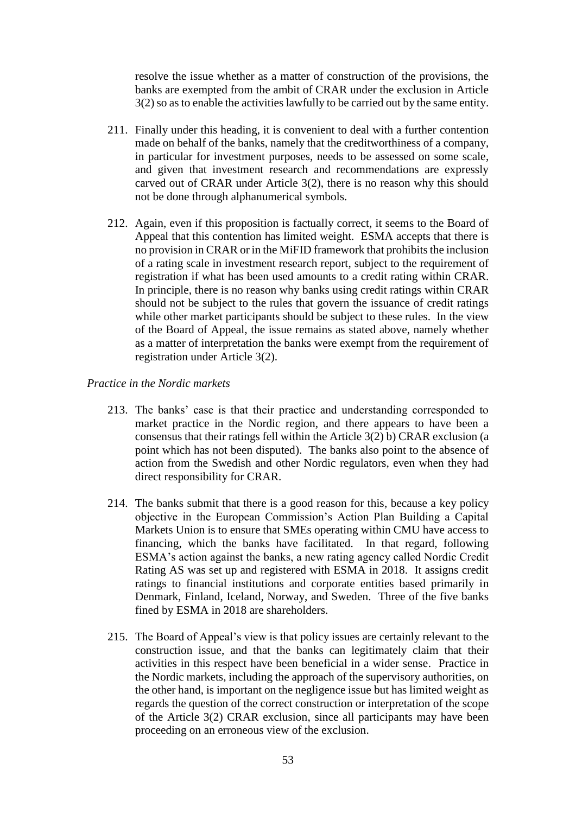resolve the issue whether as a matter of construction of the provisions, the banks are exempted from the ambit of CRAR under the exclusion in Article 3(2) so as to enable the activities lawfully to be carried out by the same entity.

- 211. Finally under this heading, it is convenient to deal with a further contention made on behalf of the banks, namely that the creditworthiness of a company, in particular for investment purposes, needs to be assessed on some scale, and given that investment research and recommendations are expressly carved out of CRAR under Article 3(2), there is no reason why this should not be done through alphanumerical symbols.
- 212. Again, even if this proposition is factually correct, it seems to the Board of Appeal that this contention has limited weight. ESMA accepts that there is no provision in CRAR or in the MiFID framework that prohibits the inclusion of a rating scale in investment research report, subject to the requirement of registration if what has been used amounts to a credit rating within CRAR. In principle, there is no reason why banks using credit ratings within CRAR should not be subject to the rules that govern the issuance of credit ratings while other market participants should be subject to these rules. In the view of the Board of Appeal, the issue remains as stated above, namely whether as a matter of interpretation the banks were exempt from the requirement of registration under Article 3(2).

*Practice in the Nordic markets*

- 213. The banks' case is that their practice and understanding corresponded to market practice in the Nordic region, and there appears to have been a consensus that their ratings fell within the Article 3(2) b) CRAR exclusion (a point which has not been disputed). The banks also point to the absence of action from the Swedish and other Nordic regulators, even when they had direct responsibility for CRAR.
- 214. The banks submit that there is a good reason for this, because a key policy objective in the European Commission's Action Plan Building a Capital Markets Union is to ensure that SMEs operating within CMU have access to financing, which the banks have facilitated. In that regard, following ESMA's action against the banks, a new rating agency called Nordic Credit Rating AS was set up and registered with ESMA in 2018. It assigns credit ratings to financial institutions and corporate entities based primarily in Denmark, Finland, Iceland, Norway, and Sweden. Three of the five banks fined by ESMA in 2018 are shareholders.
- 215. The Board of Appeal's view is that policy issues are certainly relevant to the construction issue, and that the banks can legitimately claim that their activities in this respect have been beneficial in a wider sense. Practice in the Nordic markets, including the approach of the supervisory authorities, on the other hand, is important on the negligence issue but has limited weight as regards the question of the correct construction or interpretation of the scope of the Article 3(2) CRAR exclusion, since all participants may have been proceeding on an erroneous view of the exclusion.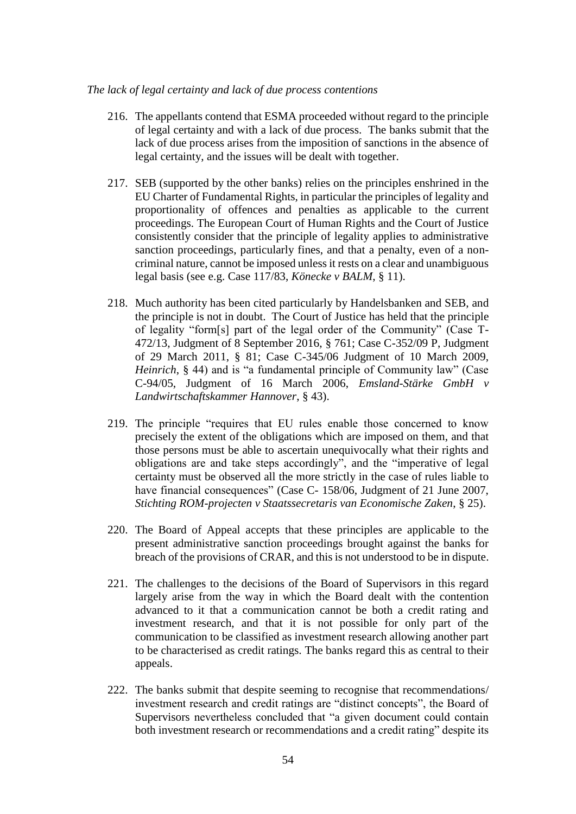#### *The lack of legal certainty and lack of due process contentions*

- 216. The appellants contend that ESMA proceeded without regard to the principle of legal certainty and with a lack of due process. The banks submit that the lack of due process arises from the imposition of sanctions in the absence of legal certainty, and the issues will be dealt with together.
- 217. SEB (supported by the other banks) relies on the principles enshrined in the EU Charter of Fundamental Rights, in particular the principles of legality and proportionality of offences and penalties as applicable to the current proceedings. The European Court of Human Rights and the Court of Justice consistently consider that the principle of legality applies to administrative sanction proceedings, particularly fines, and that a penalty, even of a noncriminal nature, cannot be imposed unless it rests on a clear and unambiguous legal basis (see e.g. Case 117/83, *Könecke v BALM*, § 11).
- 218. Much authority has been cited particularly by Handelsbanken and SEB, and the principle is not in doubt. The Court of Justice has held that the principle of legality "form[s] part of the legal order of the Community" (Case T-472/13, Judgment of 8 September 2016, § 761; Case C-352/09 P, Judgment of 29 March 2011, § 81; Case C-345/06 Judgment of 10 March 2009, *Heinrich*, § 44) and is "a fundamental principle of Community law" (Case C-94/05, Judgment of 16 March 2006, *Emsland-Stärke GmbH v Landwirtschaftskammer Hannover*, § 43).
- 219. The principle "requires that EU rules enable those concerned to know precisely the extent of the obligations which are imposed on them, and that those persons must be able to ascertain unequivocally what their rights and obligations are and take steps accordingly", and the "imperative of legal certainty must be observed all the more strictly in the case of rules liable to have financial consequences" (Case C- 158/06, Judgment of 21 June 2007, *Stichting ROM-projecten v Staatssecretaris van Economische Zaken*, § 25).
- 220. The Board of Appeal accepts that these principles are applicable to the present administrative sanction proceedings brought against the banks for breach of the provisions of CRAR, and this is not understood to be in dispute.
- 221. The challenges to the decisions of the Board of Supervisors in this regard largely arise from the way in which the Board dealt with the contention advanced to it that a communication cannot be both a credit rating and investment research, and that it is not possible for only part of the communication to be classified as investment research allowing another part to be characterised as credit ratings. The banks regard this as central to their appeals.
- 222. The banks submit that despite seeming to recognise that recommendations/ investment research and credit ratings are "distinct concepts", the Board of Supervisors nevertheless concluded that "a given document could contain both investment research or recommendations and a credit rating" despite its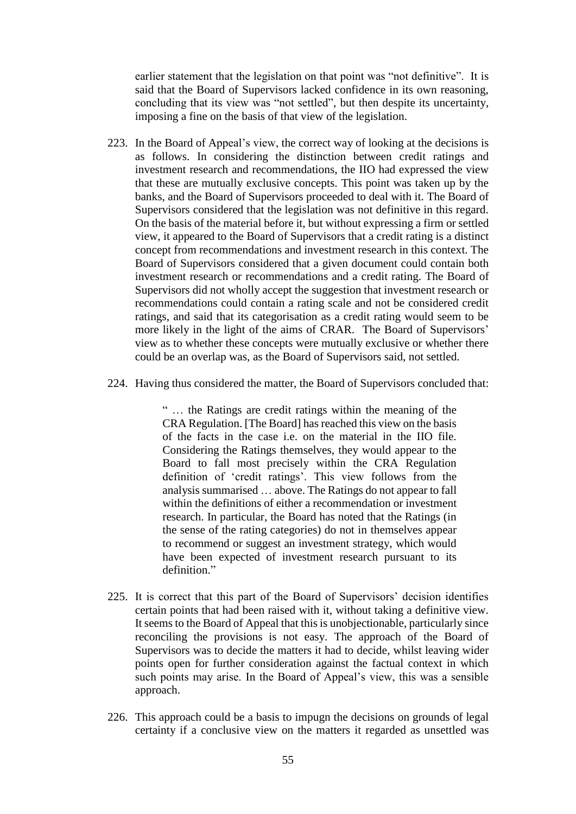earlier statement that the legislation on that point was "not definitive". It is said that the Board of Supervisors lacked confidence in its own reasoning, concluding that its view was "not settled", but then despite its uncertainty, imposing a fine on the basis of that view of the legislation.

- 223. In the Board of Appeal's view, the correct way of looking at the decisions is as follows. In considering the distinction between credit ratings and investment research and recommendations, the IIO had expressed the view that these are mutually exclusive concepts. This point was taken up by the banks, and the Board of Supervisors proceeded to deal with it. The Board of Supervisors considered that the legislation was not definitive in this regard. On the basis of the material before it, but without expressing a firm or settled view, it appeared to the Board of Supervisors that a credit rating is a distinct concept from recommendations and investment research in this context. The Board of Supervisors considered that a given document could contain both investment research or recommendations and a credit rating. The Board of Supervisors did not wholly accept the suggestion that investment research or recommendations could contain a rating scale and not be considered credit ratings, and said that its categorisation as a credit rating would seem to be more likely in the light of the aims of CRAR. The Board of Supervisors' view as to whether these concepts were mutually exclusive or whether there could be an overlap was, as the Board of Supervisors said, not settled.
- 224. Having thus considered the matter, the Board of Supervisors concluded that:

" … the Ratings are credit ratings within the meaning of the CRA Regulation. [The Board] has reached this view on the basis of the facts in the case i.e. on the material in the IIO file. Considering the Ratings themselves, they would appear to the Board to fall most precisely within the CRA Regulation definition of 'credit ratings'. This view follows from the analysis summarised … above. The Ratings do not appear to fall within the definitions of either a recommendation or investment research. In particular, the Board has noted that the Ratings (in the sense of the rating categories) do not in themselves appear to recommend or suggest an investment strategy, which would have been expected of investment research pursuant to its definition."

- 225. It is correct that this part of the Board of Supervisors' decision identifies certain points that had been raised with it, without taking a definitive view. It seems to the Board of Appeal that this is unobjectionable, particularly since reconciling the provisions is not easy. The approach of the Board of Supervisors was to decide the matters it had to decide, whilst leaving wider points open for further consideration against the factual context in which such points may arise. In the Board of Appeal's view, this was a sensible approach.
- 226. This approach could be a basis to impugn the decisions on grounds of legal certainty if a conclusive view on the matters it regarded as unsettled was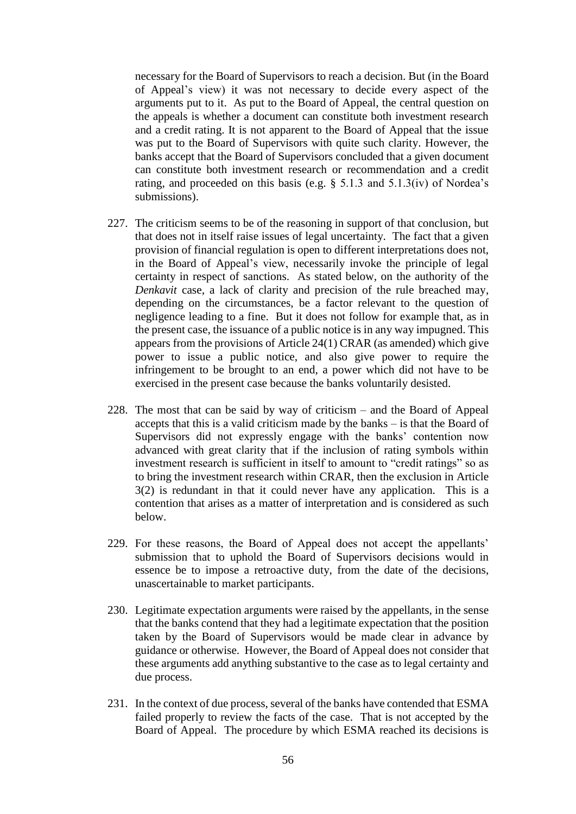necessary for the Board of Supervisors to reach a decision. But (in the Board of Appeal's view) it was not necessary to decide every aspect of the arguments put to it. As put to the Board of Appeal, the central question on the appeals is whether a document can constitute both investment research and a credit rating. It is not apparent to the Board of Appeal that the issue was put to the Board of Supervisors with quite such clarity. However, the banks accept that the Board of Supervisors concluded that a given document can constitute both investment research or recommendation and a credit rating, and proceeded on this basis (e.g. § 5.1.3 and 5.1.3(iv) of Nordea's submissions).

- 227. The criticism seems to be of the reasoning in support of that conclusion, but that does not in itself raise issues of legal uncertainty. The fact that a given provision of financial regulation is open to different interpretations does not, in the Board of Appeal's view, necessarily invoke the principle of legal certainty in respect of sanctions. As stated below, on the authority of the *Denkavit* case, a lack of clarity and precision of the rule breached may, depending on the circumstances, be a factor relevant to the question of negligence leading to a fine. But it does not follow for example that, as in the present case, the issuance of a public notice is in any way impugned. This appears from the provisions of Article 24(1) CRAR (as amended) which give power to issue a public notice, and also give power to require the infringement to be brought to an end, a power which did not have to be exercised in the present case because the banks voluntarily desisted.
- 228. The most that can be said by way of criticism and the Board of Appeal accepts that this is a valid criticism made by the banks – is that the Board of Supervisors did not expressly engage with the banks' contention now advanced with great clarity that if the inclusion of rating symbols within investment research is sufficient in itself to amount to "credit ratings" so as to bring the investment research within CRAR, then the exclusion in Article 3(2) is redundant in that it could never have any application. This is a contention that arises as a matter of interpretation and is considered as such below.
- 229. For these reasons, the Board of Appeal does not accept the appellants' submission that to uphold the Board of Supervisors decisions would in essence be to impose a retroactive duty, from the date of the decisions, unascertainable to market participants.
- 230. Legitimate expectation arguments were raised by the appellants, in the sense that the banks contend that they had a legitimate expectation that the position taken by the Board of Supervisors would be made clear in advance by guidance or otherwise. However, the Board of Appeal does not consider that these arguments add anything substantive to the case as to legal certainty and due process.
- 231. In the context of due process, several of the banks have contended that ESMA failed properly to review the facts of the case. That is not accepted by the Board of Appeal. The procedure by which ESMA reached its decisions is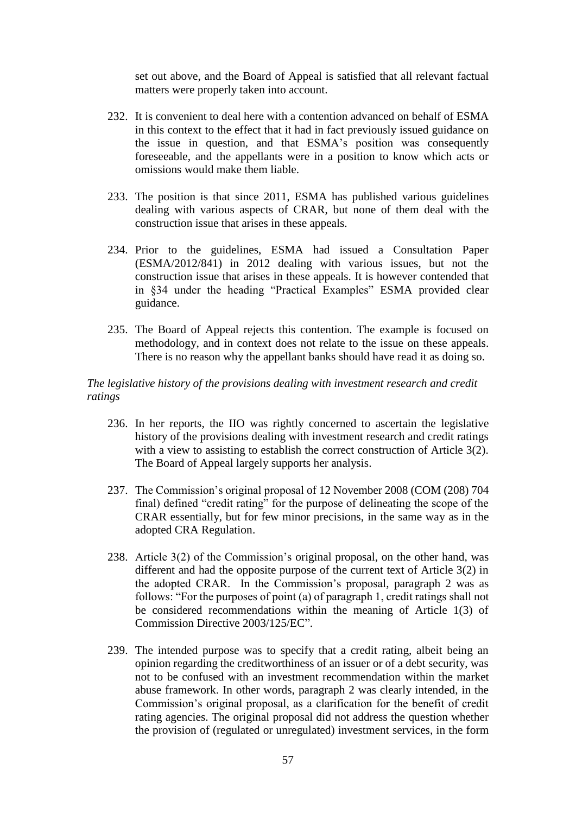set out above, and the Board of Appeal is satisfied that all relevant factual matters were properly taken into account.

- 232. It is convenient to deal here with a contention advanced on behalf of ESMA in this context to the effect that it had in fact previously issued guidance on the issue in question, and that ESMA's position was consequently foreseeable, and the appellants were in a position to know which acts or omissions would make them liable.
- 233. The position is that since 2011, ESMA has published various guidelines dealing with various aspects of CRAR, but none of them deal with the construction issue that arises in these appeals.
- 234. Prior to the guidelines, ESMA had issued a Consultation Paper (ESMA/2012/841) in 2012 dealing with various issues, but not the construction issue that arises in these appeals. It is however contended that in §34 under the heading "Practical Examples" ESMA provided clear guidance.
- 235. The Board of Appeal rejects this contention. The example is focused on methodology, and in context does not relate to the issue on these appeals. There is no reason why the appellant banks should have read it as doing so.

## *The legislative history of the provisions dealing with investment research and credit ratings*

- 236. In her reports, the IIO was rightly concerned to ascertain the legislative history of the provisions dealing with investment research and credit ratings with a view to assisting to establish the correct construction of Article 3(2). The Board of Appeal largely supports her analysis.
- 237. The Commission's original proposal of 12 November 2008 (COM (208) 704 final) defined "credit rating" for the purpose of delineating the scope of the CRAR essentially, but for few minor precisions, in the same way as in the adopted CRA Regulation.
- 238. Article 3(2) of the Commission's original proposal, on the other hand, was different and had the opposite purpose of the current text of Article 3(2) in the adopted CRAR. In the Commission's proposal, paragraph 2 was as follows: "For the purposes of point (a) of paragraph 1, credit ratings shall not be considered recommendations within the meaning of Article 1(3) of Commission Directive 2003/125/EC".
- 239. The intended purpose was to specify that a credit rating, albeit being an opinion regarding the creditworthiness of an issuer or of a debt security, was not to be confused with an investment recommendation within the market abuse framework. In other words, paragraph 2 was clearly intended, in the Commission's original proposal, as a clarification for the benefit of credit rating agencies. The original proposal did not address the question whether the provision of (regulated or unregulated) investment services, in the form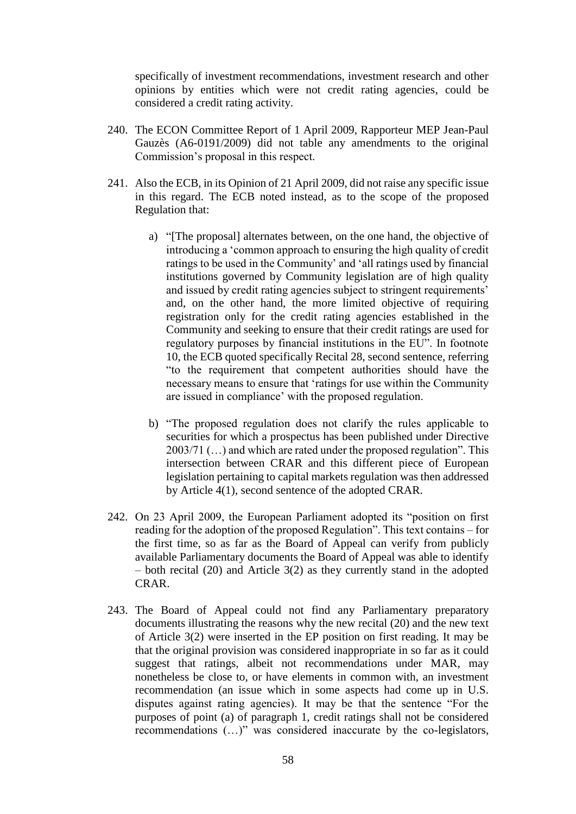specifically of investment recommendations, investment research and other opinions by entities which were not credit rating agencies, could be considered a credit rating activity.

- 240. The ECON Committee Report of 1 April 2009, Rapporteur MEP Jean-Paul Gauzès (A6-0191/2009) did not table any amendments to the original Commission's proposal in this respect.
- 241. Also the ECB, in its Opinion of 21 April 2009, did not raise any specific issue in this regard. The ECB noted instead, as to the scope of the proposed Regulation that:
	- a) "[The proposal] alternates between, on the one hand, the objective of introducing a 'common approach to ensuring the high quality of credit ratings to be used in the Community' and 'all ratings used by financial institutions governed by Community legislation are of high quality and issued by credit rating agencies subject to stringent requirements' and, on the other hand, the more limited objective of requiring registration only for the credit rating agencies established in the Community and seeking to ensure that their credit ratings are used for regulatory purposes by financial institutions in the EU". In footnote 10, the ECB quoted specifically Recital 28, second sentence, referring "to the requirement that competent authorities should have the necessary means to ensure that 'ratings for use within the Community are issued in compliance' with the proposed regulation.
	- b) "The proposed regulation does not clarify the rules applicable to securities for which a prospectus has been published under Directive 2003/71 (…) and which are rated under the proposed regulation". This intersection between CRAR and this different piece of European legislation pertaining to capital markets regulation was then addressed by Article 4(1), second sentence of the adopted CRAR.
- 242. On 23 April 2009, the European Parliament adopted its "position on first reading for the adoption of the proposed Regulation". This text contains – for the first time, so as far as the Board of Appeal can verify from publicly available Parliamentary documents the Board of Appeal was able to identify – both recital (20) and Article 3(2) as they currently stand in the adopted CRAR.
- 243. The Board of Appeal could not find any Parliamentary preparatory documents illustrating the reasons why the new recital (20) and the new text of Article 3(2) were inserted in the EP position on first reading. It may be that the original provision was considered inappropriate in so far as it could suggest that ratings, albeit not recommendations under MAR, may nonetheless be close to, or have elements in common with, an investment recommendation (an issue which in some aspects had come up in U.S. disputes against rating agencies). It may be that the sentence "For the purposes of point (a) of paragraph 1, credit ratings shall not be considered recommendations (…)" was considered inaccurate by the co-legislators,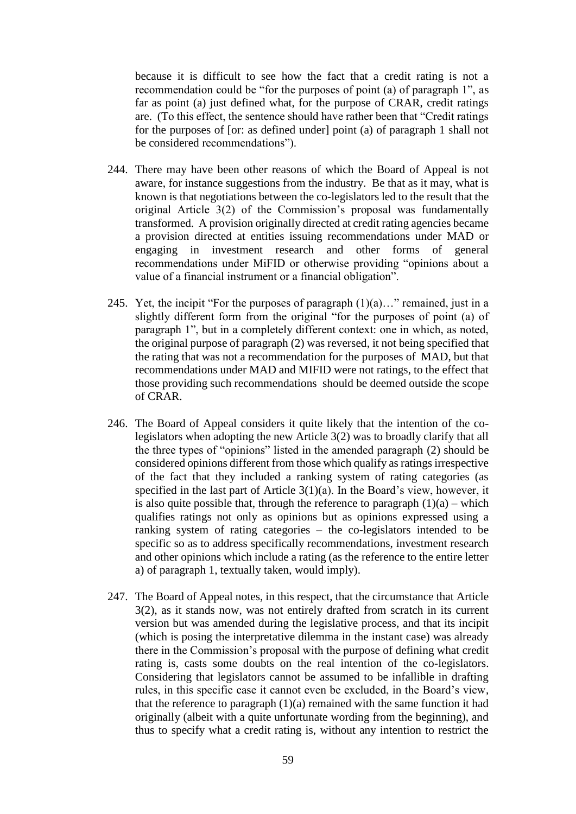because it is difficult to see how the fact that a credit rating is not a recommendation could be "for the purposes of point (a) of paragraph 1", as far as point (a) just defined what, for the purpose of CRAR, credit ratings are. (To this effect, the sentence should have rather been that "Credit ratings for the purposes of [or: as defined under] point (a) of paragraph 1 shall not be considered recommendations").

- 244. There may have been other reasons of which the Board of Appeal is not aware, for instance suggestions from the industry. Be that as it may, what is known is that negotiations between the co-legislators led to the result that the original Article 3(2) of the Commission's proposal was fundamentally transformed. A provision originally directed at credit rating agencies became a provision directed at entities issuing recommendations under MAD or engaging in investment research and other forms of general recommendations under MiFID or otherwise providing "opinions about a value of a financial instrument or a financial obligation".
- 245. Yet, the incipit "For the purposes of paragraph  $(1)(a)$ ..." remained, just in a slightly different form from the original "for the purposes of point (a) of paragraph 1", but in a completely different context: one in which, as noted, the original purpose of paragraph (2) was reversed, it not being specified that the rating that was not a recommendation for the purposes of MAD, but that recommendations under MAD and MIFID were not ratings, to the effect that those providing such recommendations should be deemed outside the scope of CRAR.
- 246. The Board of Appeal considers it quite likely that the intention of the colegislators when adopting the new Article 3(2) was to broadly clarify that all the three types of "opinions" listed in the amended paragraph (2) should be considered opinions different from those which qualify as ratings irrespective of the fact that they included a ranking system of rating categories (as specified in the last part of Article 3(1)(a). In the Board's view, however, it is also quite possible that, through the reference to paragraph  $(1)(a)$  – which qualifies ratings not only as opinions but as opinions expressed using a ranking system of rating categories – the co-legislators intended to be specific so as to address specifically recommendations, investment research and other opinions which include a rating (as the reference to the entire letter a) of paragraph 1, textually taken, would imply).
- 247. The Board of Appeal notes, in this respect, that the circumstance that Article 3(2), as it stands now, was not entirely drafted from scratch in its current version but was amended during the legislative process, and that its incipit (which is posing the interpretative dilemma in the instant case) was already there in the Commission's proposal with the purpose of defining what credit rating is, casts some doubts on the real intention of the co-legislators. Considering that legislators cannot be assumed to be infallible in drafting rules, in this specific case it cannot even be excluded, in the Board's view, that the reference to paragraph  $(1)(a)$  remained with the same function it had originally (albeit with a quite unfortunate wording from the beginning), and thus to specify what a credit rating is, without any intention to restrict the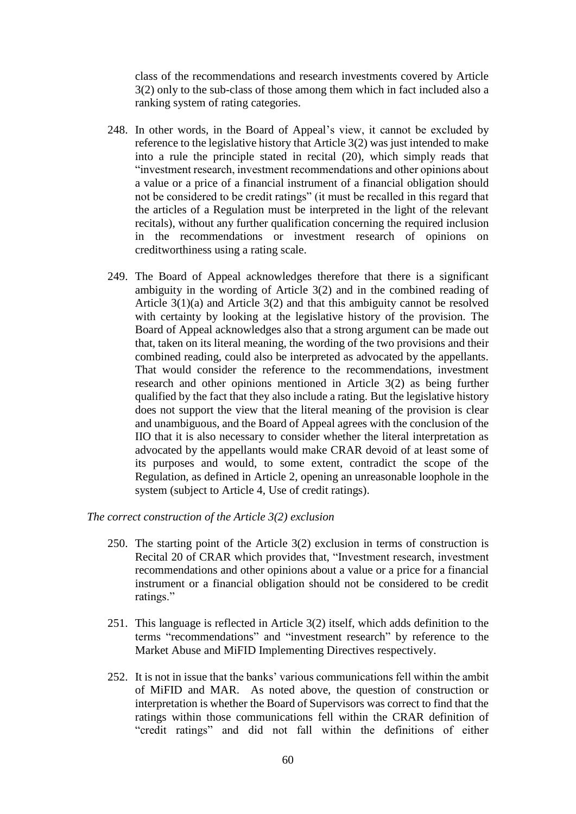class of the recommendations and research investments covered by Article 3(2) only to the sub-class of those among them which in fact included also a ranking system of rating categories.

- 248. In other words, in the Board of Appeal's view, it cannot be excluded by reference to the legislative history that Article 3(2) was just intended to make into a rule the principle stated in recital (20), which simply reads that "investment research, investment recommendations and other opinions about a value or a price of a financial instrument of a financial obligation should not be considered to be credit ratings" (it must be recalled in this regard that the articles of a Regulation must be interpreted in the light of the relevant recitals), without any further qualification concerning the required inclusion in the recommendations or investment research of opinions on creditworthiness using a rating scale.
- 249. The Board of Appeal acknowledges therefore that there is a significant ambiguity in the wording of Article 3(2) and in the combined reading of Article 3(1)(a) and Article 3(2) and that this ambiguity cannot be resolved with certainty by looking at the legislative history of the provision. The Board of Appeal acknowledges also that a strong argument can be made out that, taken on its literal meaning, the wording of the two provisions and their combined reading, could also be interpreted as advocated by the appellants. That would consider the reference to the recommendations, investment research and other opinions mentioned in Article 3(2) as being further qualified by the fact that they also include a rating. But the legislative history does not support the view that the literal meaning of the provision is clear and unambiguous, and the Board of Appeal agrees with the conclusion of the IIO that it is also necessary to consider whether the literal interpretation as advocated by the appellants would make CRAR devoid of at least some of its purposes and would, to some extent, contradict the scope of the Regulation, as defined in Article 2, opening an unreasonable loophole in the system (subject to Article 4, Use of credit ratings).

*The correct construction of the Article 3(2) exclusion*

- 250. The starting point of the Article 3(2) exclusion in terms of construction is Recital 20 of CRAR which provides that, "Investment research, investment recommendations and other opinions about a value or a price for a financial instrument or a financial obligation should not be considered to be credit ratings."
- 251. This language is reflected in Article 3(2) itself, which adds definition to the terms "recommendations" and "investment research" by reference to the Market Abuse and MiFID Implementing Directives respectively.
- 252. It is not in issue that the banks' various communications fell within the ambit of MiFID and MAR. As noted above, the question of construction or interpretation is whether the Board of Supervisors was correct to find that the ratings within those communications fell within the CRAR definition of "credit ratings" and did not fall within the definitions of either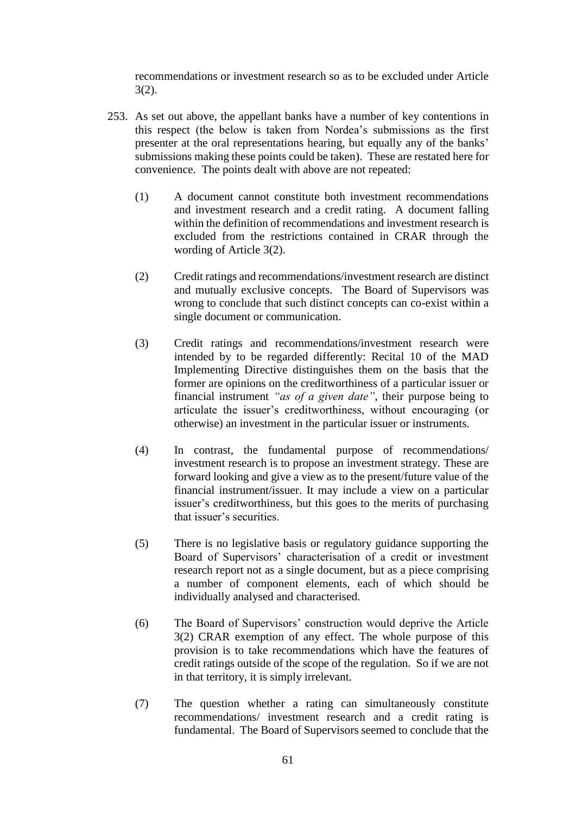recommendations or investment research so as to be excluded under Article 3(2).

- 253. As set out above, the appellant banks have a number of key contentions in this respect (the below is taken from Nordea's submissions as the first presenter at the oral representations hearing, but equally any of the banks' submissions making these points could be taken). These are restated here for convenience. The points dealt with above are not repeated:
	- (1) A document cannot constitute both investment recommendations and investment research and a credit rating. A document falling within the definition of recommendations and investment research is excluded from the restrictions contained in CRAR through the wording of Article 3(2).
	- (2) Credit ratings and recommendations/investment research are distinct and mutually exclusive concepts. The Board of Supervisors was wrong to conclude that such distinct concepts can co-exist within a single document or communication.
	- (3) Credit ratings and recommendations/investment research were intended by to be regarded differently: Recital 10 of the MAD Implementing Directive distinguishes them on the basis that the former are opinions on the creditworthiness of a particular issuer or financial instrument *"as of a given date"*, their purpose being to articulate the issuer's creditworthiness, without encouraging (or otherwise) an investment in the particular issuer or instruments.
	- (4) In contrast, the fundamental purpose of recommendations/ investment research is to propose an investment strategy. These are forward looking and give a view as to the present/future value of the financial instrument/issuer. It may include a view on a particular issuer's creditworthiness, but this goes to the merits of purchasing that issuer's securities.
	- (5) There is no legislative basis or regulatory guidance supporting the Board of Supervisors' characterisation of a credit or investment research report not as a single document, but as a piece comprising a number of component elements, each of which should be individually analysed and characterised.
	- (6) The Board of Supervisors' construction would deprive the Article 3(2) CRAR exemption of any effect. The whole purpose of this provision is to take recommendations which have the features of credit ratings outside of the scope of the regulation. So if we are not in that territory, it is simply irrelevant.
	- (7) The question whether a rating can simultaneously constitute recommendations/ investment research and a credit rating is fundamental. The Board of Supervisors seemed to conclude that the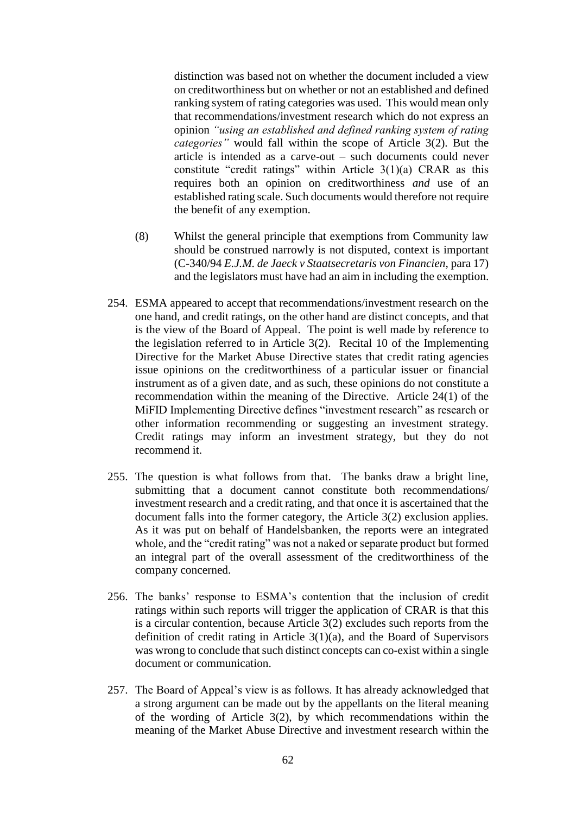distinction was based not on whether the document included a view on creditworthiness but on whether or not an established and defined ranking system of rating categories was used. This would mean only that recommendations/investment research which do not express an opinion *"using an established and defined ranking system of rating categories"* would fall within the scope of Article 3(2). But the article is intended as a carve-out – such documents could never constitute "credit ratings" within Article 3(1)(a) CRAR as this requires both an opinion on creditworthiness *and* use of an established rating scale. Such documents would therefore not require the benefit of any exemption.

- (8) Whilst the general principle that exemptions from Community law should be construed narrowly is not disputed, context is important (C-340/94 *E.J.M. de Jaeck v Staatsecretaris von Financien*, para 17) and the legislators must have had an aim in including the exemption.
- 254. ESMA appeared to accept that recommendations/investment research on the one hand, and credit ratings, on the other hand are distinct concepts, and that is the view of the Board of Appeal. The point is well made by reference to the legislation referred to in Article 3(2). Recital 10 of the Implementing Directive for the Market Abuse Directive states that credit rating agencies issue opinions on the creditworthiness of a particular issuer or financial instrument as of a given date, and as such, these opinions do not constitute a recommendation within the meaning of the Directive. Article 24(1) of the MiFID Implementing Directive defines "investment research" as research or other information recommending or suggesting an investment strategy. Credit ratings may inform an investment strategy, but they do not recommend it.
- 255. The question is what follows from that. The banks draw a bright line, submitting that a document cannot constitute both recommendations/ investment research and a credit rating, and that once it is ascertained that the document falls into the former category, the Article 3(2) exclusion applies. As it was put on behalf of Handelsbanken, the reports were an integrated whole, and the "credit rating" was not a naked or separate product but formed an integral part of the overall assessment of the creditworthiness of the company concerned.
- 256. The banks' response to ESMA's contention that the inclusion of credit ratings within such reports will trigger the application of CRAR is that this is a circular contention, because Article 3(2) excludes such reports from the definition of credit rating in Article 3(1)(a), and the Board of Supervisors was wrong to conclude that such distinct concepts can co-exist within a single document or communication.
- 257. The Board of Appeal's view is as follows. It has already acknowledged that a strong argument can be made out by the appellants on the literal meaning of the wording of Article 3(2), by which recommendations within the meaning of the Market Abuse Directive and investment research within the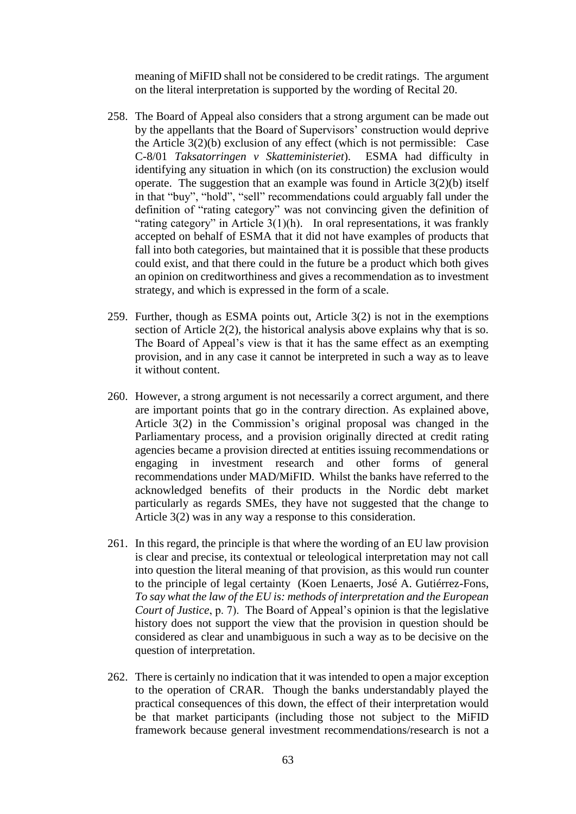meaning of MiFID shall not be considered to be credit ratings. The argument on the literal interpretation is supported by the wording of Recital 20.

- 258. The Board of Appeal also considers that a strong argument can be made out by the appellants that the Board of Supervisors' construction would deprive the Article 3(2)(b) exclusion of any effect (which is not permissible: Case C-8/01 *Taksatorringen v Skatteministeriet*). ESMA had difficulty in identifying any situation in which (on its construction) the exclusion would operate. The suggestion that an example was found in Article 3(2)(b) itself in that "buy", "hold", "sell" recommendations could arguably fall under the definition of "rating category" was not convincing given the definition of "rating category" in Article  $3(1)(h)$ . In oral representations, it was frankly accepted on behalf of ESMA that it did not have examples of products that fall into both categories, but maintained that it is possible that these products could exist, and that there could in the future be a product which both gives an opinion on creditworthiness and gives a recommendation as to investment strategy, and which is expressed in the form of a scale.
- 259. Further, though as ESMA points out, Article 3(2) is not in the exemptions section of Article 2(2), the historical analysis above explains why that is so. The Board of Appeal's view is that it has the same effect as an exempting provision, and in any case it cannot be interpreted in such a way as to leave it without content.
- 260. However, a strong argument is not necessarily a correct argument, and there are important points that go in the contrary direction. As explained above, Article 3(2) in the Commission's original proposal was changed in the Parliamentary process, and a provision originally directed at credit rating agencies became a provision directed at entities issuing recommendations or engaging in investment research and other forms of general recommendations under MAD/MiFID. Whilst the banks have referred to the acknowledged benefits of their products in the Nordic debt market particularly as regards SMEs, they have not suggested that the change to Article 3(2) was in any way a response to this consideration.
- 261. In this regard, the principle is that where the wording of an EU law provision is clear and precise, its contextual or teleological interpretation may not call into question the literal meaning of that provision, as this would run counter to the principle of legal certainty (Koen Lenaerts, José A. Gutiérrez-Fons, *To say what the law of the EU is: methods of interpretation and the European Court of Justice*, p. 7). The Board of Appeal's opinion is that the legislative history does not support the view that the provision in question should be considered as clear and unambiguous in such a way as to be decisive on the question of interpretation.
- 262. There is certainly no indication that it was intended to open a major exception to the operation of CRAR. Though the banks understandably played the practical consequences of this down, the effect of their interpretation would be that market participants (including those not subject to the MiFID framework because general investment recommendations/research is not a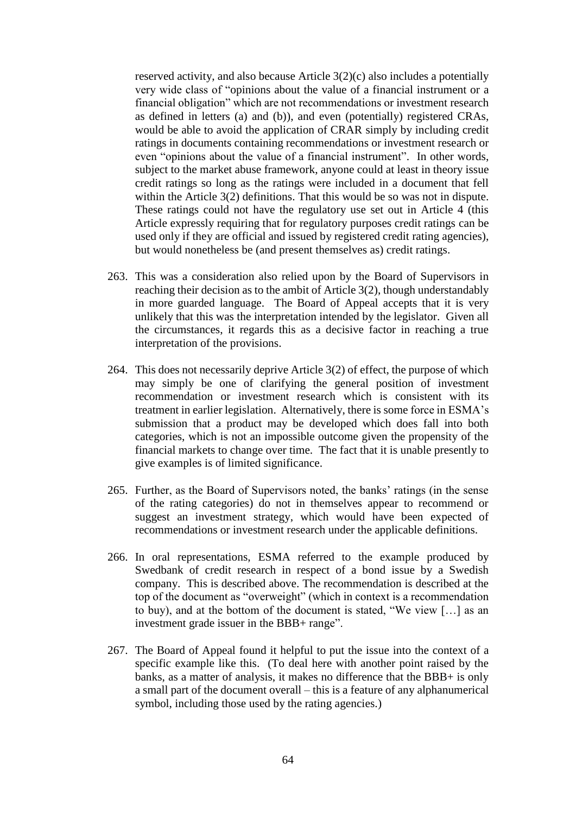reserved activity, and also because Article 3(2)(c) also includes a potentially very wide class of "opinions about the value of a financial instrument or a financial obligation" which are not recommendations or investment research as defined in letters (a) and (b)), and even (potentially) registered CRAs, would be able to avoid the application of CRAR simply by including credit ratings in documents containing recommendations or investment research or even "opinions about the value of a financial instrument". In other words, subject to the market abuse framework, anyone could at least in theory issue credit ratings so long as the ratings were included in a document that fell within the Article 3(2) definitions. That this would be so was not in dispute. These ratings could not have the regulatory use set out in Article 4 (this Article expressly requiring that for regulatory purposes credit ratings can be used only if they are official and issued by registered credit rating agencies), but would nonetheless be (and present themselves as) credit ratings.

- 263. This was a consideration also relied upon by the Board of Supervisors in reaching their decision as to the ambit of Article 3(2), though understandably in more guarded language. The Board of Appeal accepts that it is very unlikely that this was the interpretation intended by the legislator. Given all the circumstances, it regards this as a decisive factor in reaching a true interpretation of the provisions.
- 264. This does not necessarily deprive Article 3(2) of effect, the purpose of which may simply be one of clarifying the general position of investment recommendation or investment research which is consistent with its treatment in earlier legislation. Alternatively, there is some force in ESMA's submission that a product may be developed which does fall into both categories, which is not an impossible outcome given the propensity of the financial markets to change over time. The fact that it is unable presently to give examples is of limited significance.
- 265. Further, as the Board of Supervisors noted, the banks' ratings (in the sense of the rating categories) do not in themselves appear to recommend or suggest an investment strategy, which would have been expected of recommendations or investment research under the applicable definitions.
- 266. In oral representations, ESMA referred to the example produced by Swedbank of credit research in respect of a bond issue by a Swedish company. This is described above. The recommendation is described at the top of the document as "overweight" (which in context is a recommendation to buy), and at the bottom of the document is stated, "We view […] as an investment grade issuer in the BBB+ range".
- 267. The Board of Appeal found it helpful to put the issue into the context of a specific example like this. (To deal here with another point raised by the banks, as a matter of analysis, it makes no difference that the BBB+ is only a small part of the document overall – this is a feature of any alphanumerical symbol, including those used by the rating agencies.)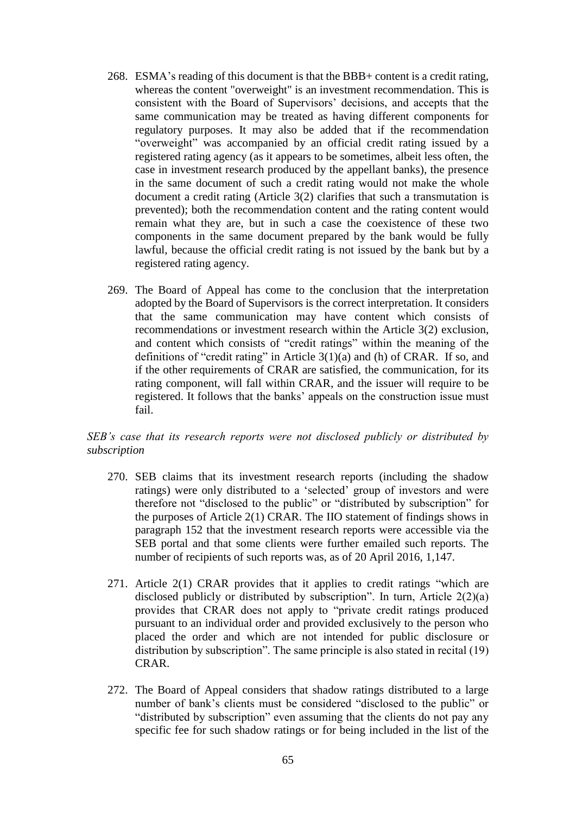- 268. ESMA's reading of this document is that the BBB+ content is a credit rating, whereas the content "overweight" is an investment recommendation. This is consistent with the Board of Supervisors' decisions, and accepts that the same communication may be treated as having different components for regulatory purposes. It may also be added that if the recommendation "overweight" was accompanied by an official credit rating issued by a registered rating agency (as it appears to be sometimes, albeit less often, the case in investment research produced by the appellant banks), the presence in the same document of such a credit rating would not make the whole document a credit rating (Article 3(2) clarifies that such a transmutation is prevented); both the recommendation content and the rating content would remain what they are, but in such a case the coexistence of these two components in the same document prepared by the bank would be fully lawful, because the official credit rating is not issued by the bank but by a registered rating agency.
- 269. The Board of Appeal has come to the conclusion that the interpretation adopted by the Board of Supervisors is the correct interpretation. It considers that the same communication may have content which consists of recommendations or investment research within the Article 3(2) exclusion, and content which consists of "credit ratings" within the meaning of the definitions of "credit rating" in Article 3(1)(a) and (h) of CRAR. If so, and if the other requirements of CRAR are satisfied, the communication, for its rating component, will fall within CRAR, and the issuer will require to be registered. It follows that the banks' appeals on the construction issue must fail.

## *SEB's case that its research reports were not disclosed publicly or distributed by subscription*

- 270. SEB claims that its investment research reports (including the shadow ratings) were only distributed to a 'selected' group of investors and were therefore not "disclosed to the public" or "distributed by subscription" for the purposes of Article 2(1) CRAR. The IIO statement of findings shows in paragraph 152 that the investment research reports were accessible via the SEB portal and that some clients were further emailed such reports. The number of recipients of such reports was, as of 20 April 2016, 1,147.
- 271. Article 2(1) CRAR provides that it applies to credit ratings "which are disclosed publicly or distributed by subscription". In turn, Article 2(2)(a) provides that CRAR does not apply to "private credit ratings produced pursuant to an individual order and provided exclusively to the person who placed the order and which are not intended for public disclosure or distribution by subscription". The same principle is also stated in recital (19) CRAR.
- 272. The Board of Appeal considers that shadow ratings distributed to a large number of bank's clients must be considered "disclosed to the public" or "distributed by subscription" even assuming that the clients do not pay any specific fee for such shadow ratings or for being included in the list of the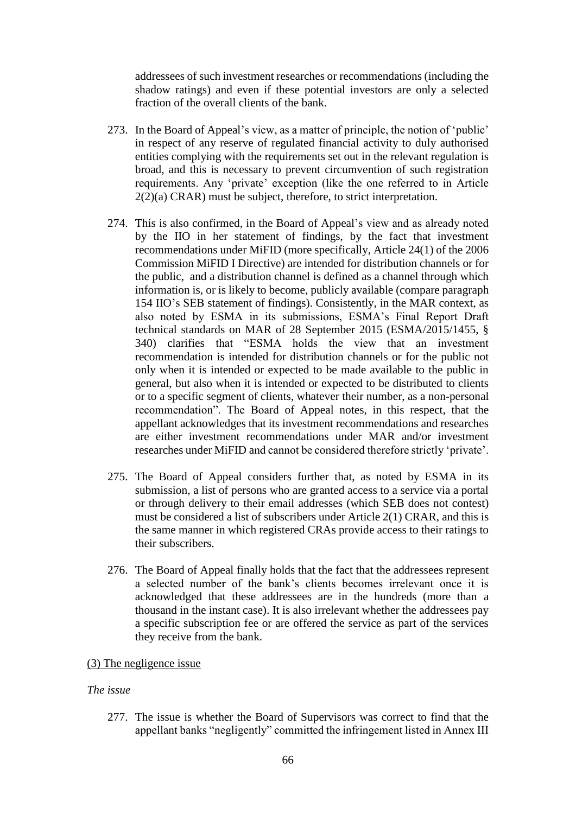addressees of such investment researches or recommendations (including the shadow ratings) and even if these potential investors are only a selected fraction of the overall clients of the bank.

- 273. In the Board of Appeal's view, as a matter of principle, the notion of 'public' in respect of any reserve of regulated financial activity to duly authorised entities complying with the requirements set out in the relevant regulation is broad, and this is necessary to prevent circumvention of such registration requirements. Any 'private' exception (like the one referred to in Article 2(2)(a) CRAR) must be subject, therefore, to strict interpretation.
- 274. This is also confirmed, in the Board of Appeal's view and as already noted by the IIO in her statement of findings, by the fact that investment recommendations under MiFID (more specifically, Article 24(1) of the 2006 Commission MiFID I Directive) are intended for distribution channels or for the public, and a distribution channel is defined as a channel through which information is, or is likely to become, publicly available (compare paragraph 154 IIO's SEB statement of findings). Consistently, in the MAR context, as also noted by ESMA in its submissions, ESMA's Final Report Draft technical standards on MAR of 28 September 2015 (ESMA/2015/1455, § 340) clarifies that "ESMA holds the view that an investment recommendation is intended for distribution channels or for the public not only when it is intended or expected to be made available to the public in general, but also when it is intended or expected to be distributed to clients or to a specific segment of clients, whatever their number, as a non-personal recommendation". The Board of Appeal notes, in this respect, that the appellant acknowledges that its investment recommendations and researches are either investment recommendations under MAR and/or investment researches under MiFID and cannot be considered therefore strictly 'private'.
- 275. The Board of Appeal considers further that, as noted by ESMA in its submission, a list of persons who are granted access to a service via a portal or through delivery to their email addresses (which SEB does not contest) must be considered a list of subscribers under Article 2(1) CRAR, and this is the same manner in which registered CRAs provide access to their ratings to their subscribers.
- 276. The Board of Appeal finally holds that the fact that the addressees represent a selected number of the bank's clients becomes irrelevant once it is acknowledged that these addressees are in the hundreds (more than a thousand in the instant case). It is also irrelevant whether the addressees pay a specific subscription fee or are offered the service as part of the services they receive from the bank.

# (3) The negligence issue

## *The issue*

277. The issue is whether the Board of Supervisors was correct to find that the appellant banks "negligently" committed the infringement listed in Annex III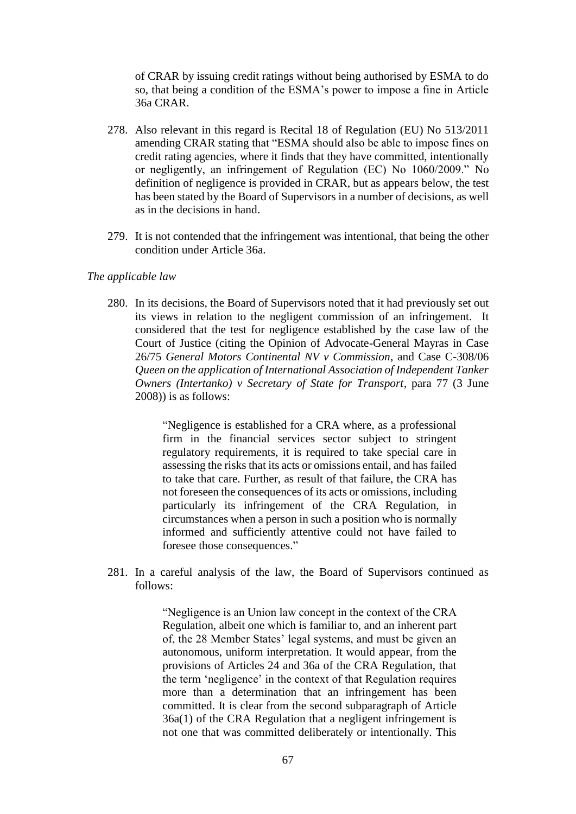of CRAR by issuing credit ratings without being authorised by ESMA to do so, that being a condition of the ESMA's power to impose a fine in Article 36a CRAR.

- 278. Also relevant in this regard is Recital 18 of Regulation (EU) No 513/2011 amending CRAR stating that "ESMA should also be able to impose fines on credit rating agencies, where it finds that they have committed, intentionally or negligently, an infringement of Regulation (EC) No 1060/2009." No definition of negligence is provided in CRAR, but as appears below, the test has been stated by the Board of Supervisors in a number of decisions, as well as in the decisions in hand.
- 279. It is not contended that the infringement was intentional, that being the other condition under Article 36a.

#### *The applicable law*

280. In its decisions, the Board of Supervisors noted that it had previously set out its views in relation to the negligent commission of an infringement. It considered that the test for negligence established by the case law of the Court of Justice (citing the Opinion of Advocate-General Mayras in Case 26/75 *General Motors Continental NV v Commission*, and Case C-308/06 *Queen on the application of International Association of Independent Tanker Owners (Intertanko) v Secretary of State for Transport*, para 77 (3 June 2008)) is as follows:

> "Negligence is established for a CRA where, as a professional firm in the financial services sector subject to stringent regulatory requirements, it is required to take special care in assessing the risks that its acts or omissions entail, and has failed to take that care. Further, as result of that failure, the CRA has not foreseen the consequences of its acts or omissions, including particularly its infringement of the CRA Regulation, in circumstances when a person in such a position who is normally informed and sufficiently attentive could not have failed to foresee those consequences."

281. In a careful analysis of the law, the Board of Supervisors continued as follows:

> "Negligence is an Union law concept in the context of the CRA Regulation, albeit one which is familiar to, and an inherent part of, the 28 Member States' legal systems, and must be given an autonomous, uniform interpretation. It would appear, from the provisions of Articles 24 and 36a of the CRA Regulation, that the term 'negligence' in the context of that Regulation requires more than a determination that an infringement has been committed. It is clear from the second subparagraph of Article 36a(1) of the CRA Regulation that a negligent infringement is not one that was committed deliberately or intentionally. This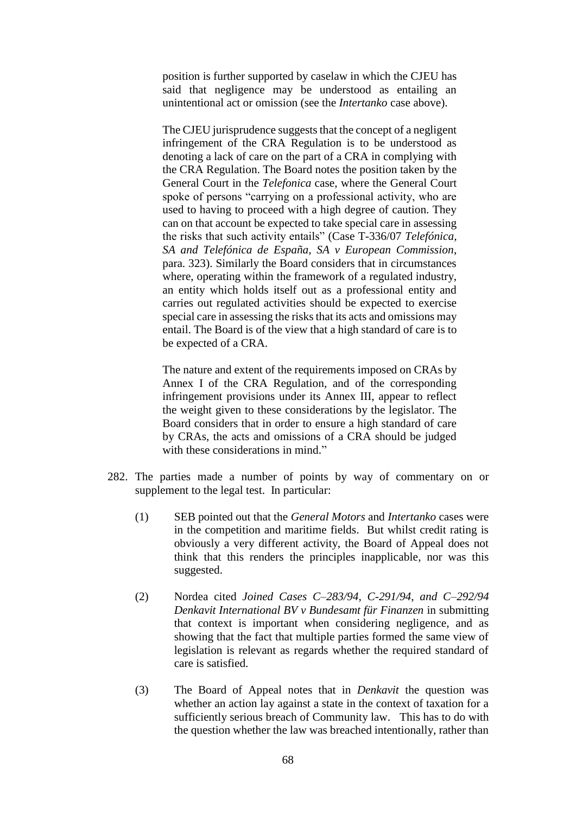position is further supported by caselaw in which the CJEU has said that negligence may be understood as entailing an unintentional act or omission (see the *Intertanko* case above).

The CJEU jurisprudence suggests that the concept of a negligent infringement of the CRA Regulation is to be understood as denoting a lack of care on the part of a CRA in complying with the CRA Regulation. The Board notes the position taken by the General Court in the *Telefonica* case, where the General Court spoke of persons "carrying on a professional activity, who are used to having to proceed with a high degree of caution. They can on that account be expected to take special care in assessing the risks that such activity entails" (Case T-336/07 *Telefónica, SA and Telefónica de España, SA v European Commission*, para. 323). Similarly the Board considers that in circumstances where, operating within the framework of a regulated industry, an entity which holds itself out as a professional entity and carries out regulated activities should be expected to exercise special care in assessing the risks that its acts and omissions may entail. The Board is of the view that a high standard of care is to be expected of a CRA.

The nature and extent of the requirements imposed on CRAs by Annex I of the CRA Regulation, and of the corresponding infringement provisions under its Annex III, appear to reflect the weight given to these considerations by the legislator. The Board considers that in order to ensure a high standard of care by CRAs, the acts and omissions of a CRA should be judged with these considerations in mind."

- 282. The parties made a number of points by way of commentary on or supplement to the legal test. In particular:
	- (1) SEB pointed out that the *General Motors* and *Intertanko* cases were in the competition and maritime fields. But whilst credit rating is obviously a very different activity, the Board of Appeal does not think that this renders the principles inapplicable, nor was this suggested.
	- (2) Nordea cited *Joined Cases C–283/94, C-291/94, and C–292/94 Denkavit International BV v Bundesamt für Finanzen* in submitting that context is important when considering negligence, and as showing that the fact that multiple parties formed the same view of legislation is relevant as regards whether the required standard of care is satisfied.
	- (3) The Board of Appeal notes that in *Denkavit* the question was whether an action lay against a state in the context of taxation for a sufficiently serious breach of Community law. This has to do with the question whether the law was breached intentionally, rather than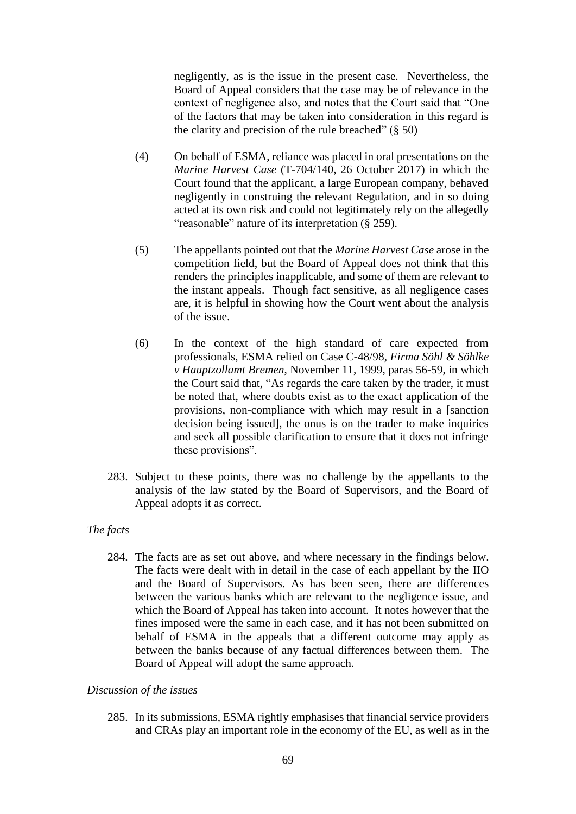negligently, as is the issue in the present case. Nevertheless, the Board of Appeal considers that the case may be of relevance in the context of negligence also, and notes that the Court said that "One of the factors that may be taken into consideration in this regard is the clarity and precision of the rule breached"  $(\S 50)$ 

- (4) On behalf of ESMA, reliance was placed in oral presentations on the *Marine Harvest Case* (T-704/140, 26 October 2017) in which the Court found that the applicant, a large European company, behaved negligently in construing the relevant Regulation, and in so doing acted at its own risk and could not legitimately rely on the allegedly "reasonable" nature of its interpretation (§ 259).
- (5) The appellants pointed out that the *Marine Harvest Case* arose in the competition field, but the Board of Appeal does not think that this renders the principles inapplicable, and some of them are relevant to the instant appeals. Though fact sensitive, as all negligence cases are, it is helpful in showing how the Court went about the analysis of the issue.
- (6) In the context of the high standard of care expected from professionals, ESMA relied on Case C-48/98, *Firma Söhl & Söhlke v Hauptzollamt Bremen*, November 11, 1999, paras 56-59, in which the Court said that, "As regards the care taken by the trader, it must be noted that, where doubts exist as to the exact application of the provisions, non-compliance with which may result in a [sanction decision being issued], the onus is on the trader to make inquiries and seek all possible clarification to ensure that it does not infringe these provisions".
- 283. Subject to these points, there was no challenge by the appellants to the analysis of the law stated by the Board of Supervisors, and the Board of Appeal adopts it as correct.

# *The facts*

284. The facts are as set out above, and where necessary in the findings below. The facts were dealt with in detail in the case of each appellant by the IIO and the Board of Supervisors. As has been seen, there are differences between the various banks which are relevant to the negligence issue, and which the Board of Appeal has taken into account. It notes however that the fines imposed were the same in each case, and it has not been submitted on behalf of ESMA in the appeals that a different outcome may apply as between the banks because of any factual differences between them. The Board of Appeal will adopt the same approach.

## *Discussion of the issues*

285. In its submissions, ESMA rightly emphasises that financial service providers and CRAs play an important role in the economy of the EU, as well as in the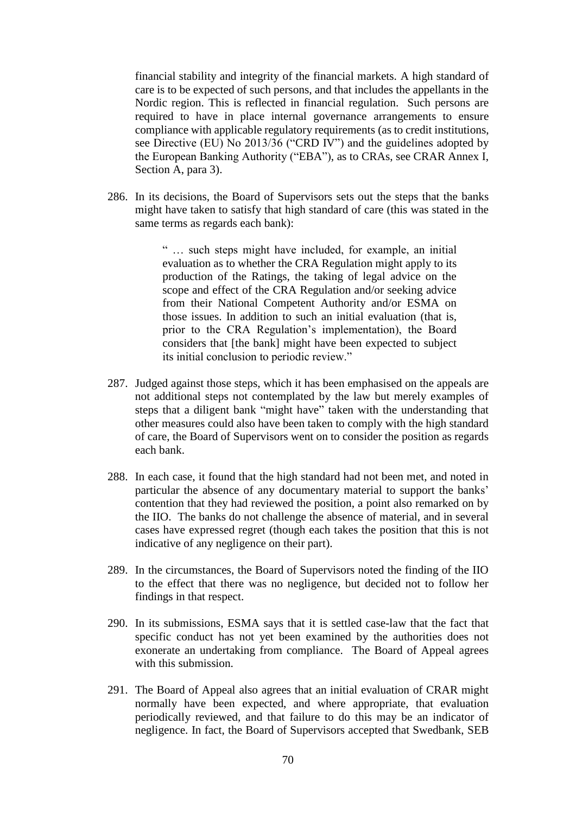financial stability and integrity of the financial markets. A high standard of care is to be expected of such persons, and that includes the appellants in the Nordic region. This is reflected in financial regulation. Such persons are required to have in place internal governance arrangements to ensure compliance with applicable regulatory requirements (as to credit institutions, see Directive (EU) No 2013/36 ("CRD IV") and the guidelines adopted by the European Banking Authority ("EBA"), as to CRAs, see CRAR Annex I, Section A, para 3).

286. In its decisions, the Board of Supervisors sets out the steps that the banks might have taken to satisfy that high standard of care (this was stated in the same terms as regards each bank):

> " … such steps might have included, for example, an initial evaluation as to whether the CRA Regulation might apply to its production of the Ratings, the taking of legal advice on the scope and effect of the CRA Regulation and/or seeking advice from their National Competent Authority and/or ESMA on those issues. In addition to such an initial evaluation (that is, prior to the CRA Regulation's implementation), the Board considers that [the bank] might have been expected to subject its initial conclusion to periodic review."

- 287. Judged against those steps, which it has been emphasised on the appeals are not additional steps not contemplated by the law but merely examples of steps that a diligent bank "might have" taken with the understanding that other measures could also have been taken to comply with the high standard of care, the Board of Supervisors went on to consider the position as regards each bank.
- 288. In each case, it found that the high standard had not been met, and noted in particular the absence of any documentary material to support the banks' contention that they had reviewed the position, a point also remarked on by the IIO. The banks do not challenge the absence of material, and in several cases have expressed regret (though each takes the position that this is not indicative of any negligence on their part).
- 289. In the circumstances, the Board of Supervisors noted the finding of the IIO to the effect that there was no negligence, but decided not to follow her findings in that respect.
- 290. In its submissions, ESMA says that it is settled case-law that the fact that specific conduct has not yet been examined by the authorities does not exonerate an undertaking from compliance. The Board of Appeal agrees with this submission.
- 291. The Board of Appeal also agrees that an initial evaluation of CRAR might normally have been expected, and where appropriate, that evaluation periodically reviewed, and that failure to do this may be an indicator of negligence. In fact, the Board of Supervisors accepted that Swedbank, SEB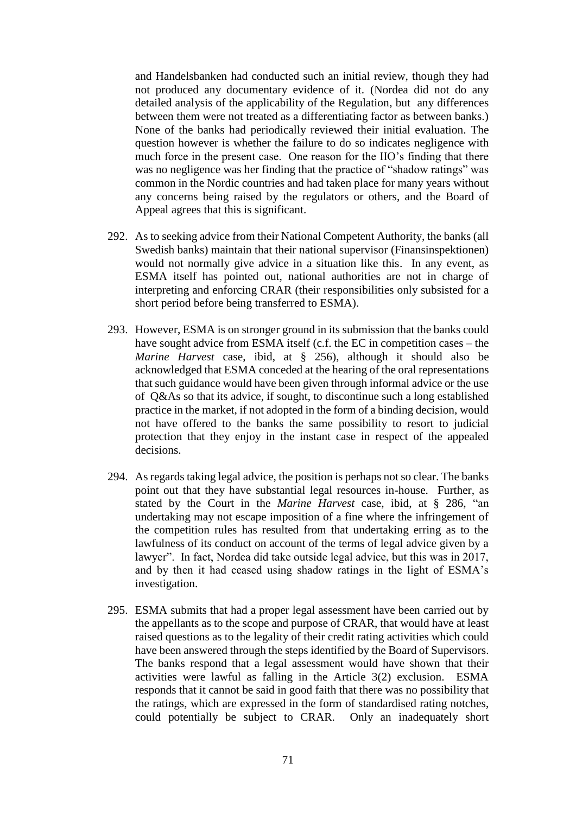and Handelsbanken had conducted such an initial review, though they had not produced any documentary evidence of it. (Nordea did not do any detailed analysis of the applicability of the Regulation, but any differences between them were not treated as a differentiating factor as between banks.) None of the banks had periodically reviewed their initial evaluation. The question however is whether the failure to do so indicates negligence with much force in the present case. One reason for the IIO's finding that there was no negligence was her finding that the practice of "shadow ratings" was common in the Nordic countries and had taken place for many years without any concerns being raised by the regulators or others, and the Board of Appeal agrees that this is significant.

- 292. As to seeking advice from their National Competent Authority, the banks (all Swedish banks) maintain that their national supervisor (Finansinspektionen) would not normally give advice in a situation like this. In any event, as ESMA itself has pointed out, national authorities are not in charge of interpreting and enforcing CRAR (their responsibilities only subsisted for a short period before being transferred to ESMA).
- 293. However, ESMA is on stronger ground in its submission that the banks could have sought advice from ESMA itself (c.f. the EC in competition cases – the *Marine Harvest* case, ibid, at § 256), although it should also be acknowledged that ESMA conceded at the hearing of the oral representations that such guidance would have been given through informal advice or the use of Q&As so that its advice, if sought, to discontinue such a long established practice in the market, if not adopted in the form of a binding decision, would not have offered to the banks the same possibility to resort to judicial protection that they enjoy in the instant case in respect of the appealed decisions.
- 294. As regards taking legal advice, the position is perhaps not so clear. The banks point out that they have substantial legal resources in-house. Further, as stated by the Court in the *Marine Harvest* case, ibid, at § 286, "an undertaking may not escape imposition of a fine where the infringement of the competition rules has resulted from that undertaking erring as to the lawfulness of its conduct on account of the terms of legal advice given by a lawyer". In fact, Nordea did take outside legal advice, but this was in 2017, and by then it had ceased using shadow ratings in the light of ESMA's investigation.
- 295. ESMA submits that had a proper legal assessment have been carried out by the appellants as to the scope and purpose of CRAR, that would have at least raised questions as to the legality of their credit rating activities which could have been answered through the steps identified by the Board of Supervisors. The banks respond that a legal assessment would have shown that their activities were lawful as falling in the Article 3(2) exclusion. ESMA responds that it cannot be said in good faith that there was no possibility that the ratings, which are expressed in the form of standardised rating notches, could potentially be subject to CRAR. Only an inadequately short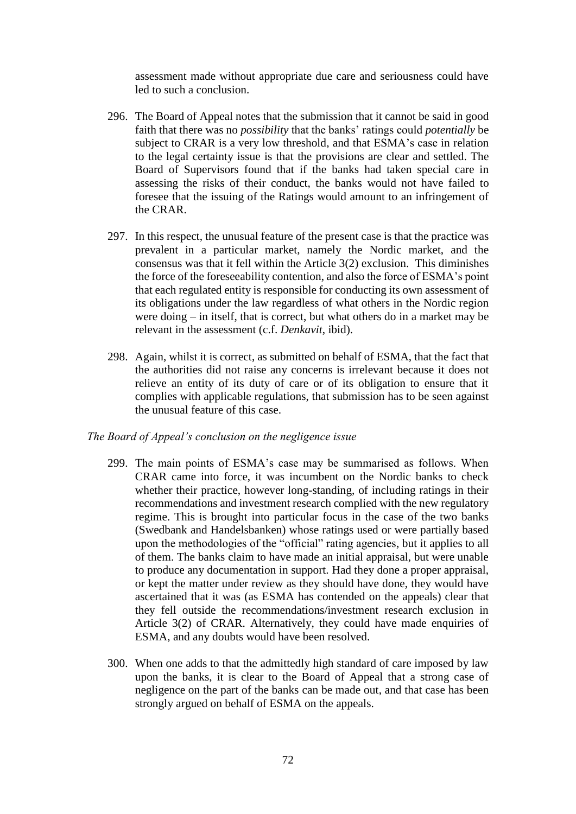assessment made without appropriate due care and seriousness could have led to such a conclusion.

- 296. The Board of Appeal notes that the submission that it cannot be said in good faith that there was no *possibility* that the banks' ratings could *potentially* be subject to CRAR is a very low threshold, and that ESMA's case in relation to the legal certainty issue is that the provisions are clear and settled. The Board of Supervisors found that if the banks had taken special care in assessing the risks of their conduct, the banks would not have failed to foresee that the issuing of the Ratings would amount to an infringement of the CRAR.
- 297. In this respect, the unusual feature of the present case is that the practice was prevalent in a particular market, namely the Nordic market, and the consensus was that it fell within the Article 3(2) exclusion. This diminishes the force of the foreseeability contention, and also the force of ESMA's point that each regulated entity is responsible for conducting its own assessment of its obligations under the law regardless of what others in the Nordic region were doing – in itself, that is correct, but what others do in a market may be relevant in the assessment (c.f. *Denkavit*, ibid).
- 298. Again, whilst it is correct, as submitted on behalf of ESMA, that the fact that the authorities did not raise any concerns is irrelevant because it does not relieve an entity of its duty of care or of its obligation to ensure that it complies with applicable regulations, that submission has to be seen against the unusual feature of this case.

### *The Board of Appeal's conclusion on the negligence issue*

- 299. The main points of ESMA's case may be summarised as follows. When CRAR came into force, it was incumbent on the Nordic banks to check whether their practice, however long-standing, of including ratings in their recommendations and investment research complied with the new regulatory regime. This is brought into particular focus in the case of the two banks (Swedbank and Handelsbanken) whose ratings used or were partially based upon the methodologies of the "official" rating agencies, but it applies to all of them. The banks claim to have made an initial appraisal, but were unable to produce any documentation in support. Had they done a proper appraisal, or kept the matter under review as they should have done, they would have ascertained that it was (as ESMA has contended on the appeals) clear that they fell outside the recommendations/investment research exclusion in Article 3(2) of CRAR. Alternatively, they could have made enquiries of ESMA, and any doubts would have been resolved.
- 300. When one adds to that the admittedly high standard of care imposed by law upon the banks, it is clear to the Board of Appeal that a strong case of negligence on the part of the banks can be made out, and that case has been strongly argued on behalf of ESMA on the appeals.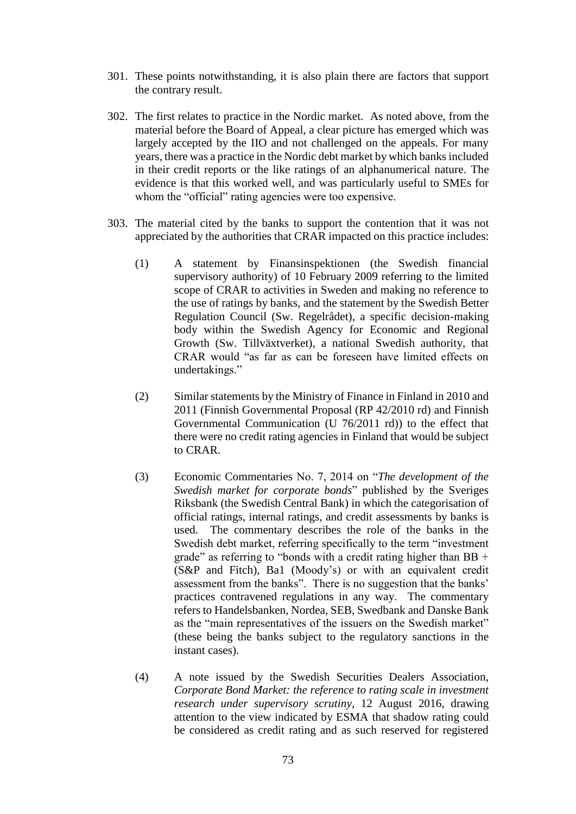- 301. These points notwithstanding, it is also plain there are factors that support the contrary result.
- 302. The first relates to practice in the Nordic market. As noted above, from the material before the Board of Appeal, a clear picture has emerged which was largely accepted by the IIO and not challenged on the appeals. For many years, there was a practice in the Nordic debt market by which banks included in their credit reports or the like ratings of an alphanumerical nature. The evidence is that this worked well, and was particularly useful to SMEs for whom the "official" rating agencies were too expensive.
- 303. The material cited by the banks to support the contention that it was not appreciated by the authorities that CRAR impacted on this practice includes:
	- (1) A statement by Finansinspektionen (the Swedish financial supervisory authority) of 10 February 2009 referring to the limited scope of CRAR to activities in Sweden and making no reference to the use of ratings by banks, and the statement by the Swedish Better Regulation Council (Sw. Regelrådet), a specific decision-making body within the Swedish Agency for Economic and Regional Growth (Sw. Tillväxtverket), a national Swedish authority, that CRAR would "as far as can be foreseen have limited effects on undertakings."
	- (2) Similar statements by the Ministry of Finance in Finland in 2010 and 2011 (Finnish Governmental Proposal (RP 42/2010 rd) and Finnish Governmental Communication (U 76/2011 rd)) to the effect that there were no credit rating agencies in Finland that would be subject to CRAR.
	- (3) Economic Commentaries No. 7, 2014 on "*The development of the Swedish market for corporate bonds*" published by the Sveriges Riksbank (the Swedish Central Bank) in which the categorisation of official ratings, internal ratings, and credit assessments by banks is used. The commentary describes the role of the banks in the Swedish debt market, referring specifically to the term "investment grade" as referring to "bonds with a credit rating higher than  $BB +$ (S&P and Fitch), Ba1 (Moody's) or with an equivalent credit assessment from the banks". There is no suggestion that the banks' practices contravened regulations in any way. The commentary refers to Handelsbanken, Nordea, SEB, Swedbank and Danske Bank as the "main representatives of the issuers on the Swedish market" (these being the banks subject to the regulatory sanctions in the instant cases).
	- (4) A note issued by the Swedish Securities Dealers Association, *Corporate Bond Market: the reference to rating scale in investment research under supervisory scrutiny*, 12 August 2016, drawing attention to the view indicated by ESMA that shadow rating could be considered as credit rating and as such reserved for registered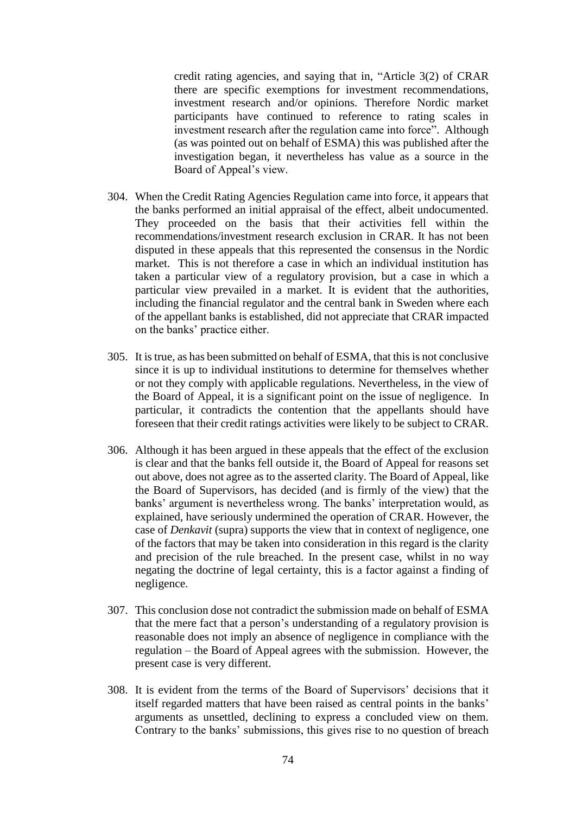credit rating agencies, and saying that in, "Article 3(2) of CRAR there are specific exemptions for investment recommendations, investment research and/or opinions. Therefore Nordic market participants have continued to reference to rating scales in investment research after the regulation came into force". Although (as was pointed out on behalf of ESMA) this was published after the investigation began, it nevertheless has value as a source in the Board of Appeal's view.

- 304. When the Credit Rating Agencies Regulation came into force, it appears that the banks performed an initial appraisal of the effect, albeit undocumented. They proceeded on the basis that their activities fell within the recommendations/investment research exclusion in CRAR. It has not been disputed in these appeals that this represented the consensus in the Nordic market. This is not therefore a case in which an individual institution has taken a particular view of a regulatory provision, but a case in which a particular view prevailed in a market. It is evident that the authorities, including the financial regulator and the central bank in Sweden where each of the appellant banks is established, did not appreciate that CRAR impacted on the banks' practice either.
- 305. It is true, as has been submitted on behalf of ESMA, that this is not conclusive since it is up to individual institutions to determine for themselves whether or not they comply with applicable regulations. Nevertheless, in the view of the Board of Appeal, it is a significant point on the issue of negligence. In particular, it contradicts the contention that the appellants should have foreseen that their credit ratings activities were likely to be subject to CRAR.
- 306. Although it has been argued in these appeals that the effect of the exclusion is clear and that the banks fell outside it, the Board of Appeal for reasons set out above, does not agree as to the asserted clarity. The Board of Appeal, like the Board of Supervisors, has decided (and is firmly of the view) that the banks' argument is nevertheless wrong. The banks' interpretation would, as explained, have seriously undermined the operation of CRAR. However, the case of *Denkavit* (supra) supports the view that in context of negligence, one of the factors that may be taken into consideration in this regard is the clarity and precision of the rule breached. In the present case, whilst in no way negating the doctrine of legal certainty, this is a factor against a finding of negligence.
- 307. This conclusion dose not contradict the submission made on behalf of ESMA that the mere fact that a person's understanding of a regulatory provision is reasonable does not imply an absence of negligence in compliance with the regulation – the Board of Appeal agrees with the submission. However, the present case is very different.
- 308. It is evident from the terms of the Board of Supervisors' decisions that it itself regarded matters that have been raised as central points in the banks' arguments as unsettled, declining to express a concluded view on them. Contrary to the banks' submissions, this gives rise to no question of breach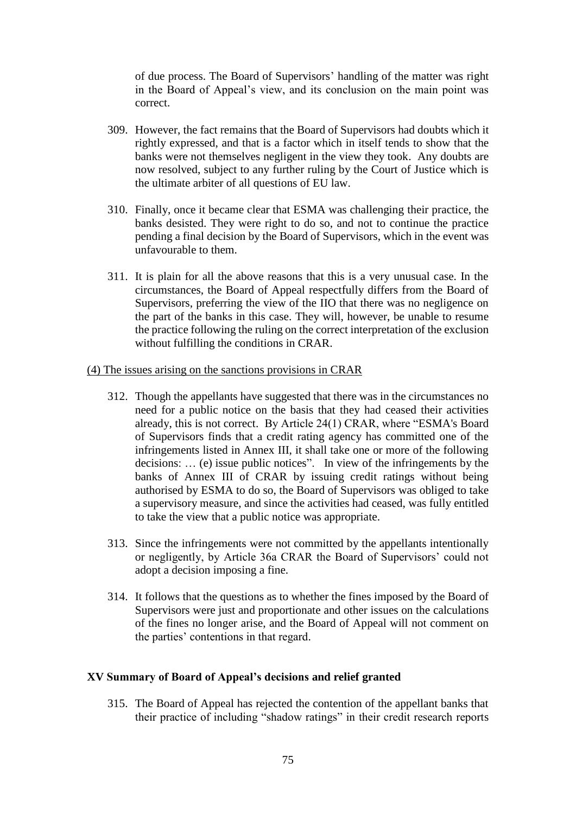of due process. The Board of Supervisors' handling of the matter was right in the Board of Appeal's view, and its conclusion on the main point was correct.

- 309. However, the fact remains that the Board of Supervisors had doubts which it rightly expressed, and that is a factor which in itself tends to show that the banks were not themselves negligent in the view they took. Any doubts are now resolved, subject to any further ruling by the Court of Justice which is the ultimate arbiter of all questions of EU law.
- 310. Finally, once it became clear that ESMA was challenging their practice, the banks desisted. They were right to do so, and not to continue the practice pending a final decision by the Board of Supervisors, which in the event was unfavourable to them.
- 311. It is plain for all the above reasons that this is a very unusual case. In the circumstances, the Board of Appeal respectfully differs from the Board of Supervisors, preferring the view of the IIO that there was no negligence on the part of the banks in this case. They will, however, be unable to resume the practice following the ruling on the correct interpretation of the exclusion without fulfilling the conditions in CRAR.

### (4) The issues arising on the sanctions provisions in CRAR

- 312. Though the appellants have suggested that there was in the circumstances no need for a public notice on the basis that they had ceased their activities already, this is not correct. By Article 24(1) CRAR, where "ESMA's Board of Supervisors finds that a credit rating agency has committed one of the infringements listed in Annex III, it shall take one or more of the following decisions: … (e) issue public notices". In view of the infringements by the banks of Annex III of CRAR by issuing credit ratings without being authorised by ESMA to do so, the Board of Supervisors was obliged to take a supervisory measure, and since the activities had ceased, was fully entitled to take the view that a public notice was appropriate.
- 313. Since the infringements were not committed by the appellants intentionally or negligently, by Article 36a CRAR the Board of Supervisors' could not adopt a decision imposing a fine.
- 314. It follows that the questions as to whether the fines imposed by the Board of Supervisors were just and proportionate and other issues on the calculations of the fines no longer arise, and the Board of Appeal will not comment on the parties' contentions in that regard.

#### **XV Summary of Board of Appeal's decisions and relief granted**

315. The Board of Appeal has rejected the contention of the appellant banks that their practice of including "shadow ratings" in their credit research reports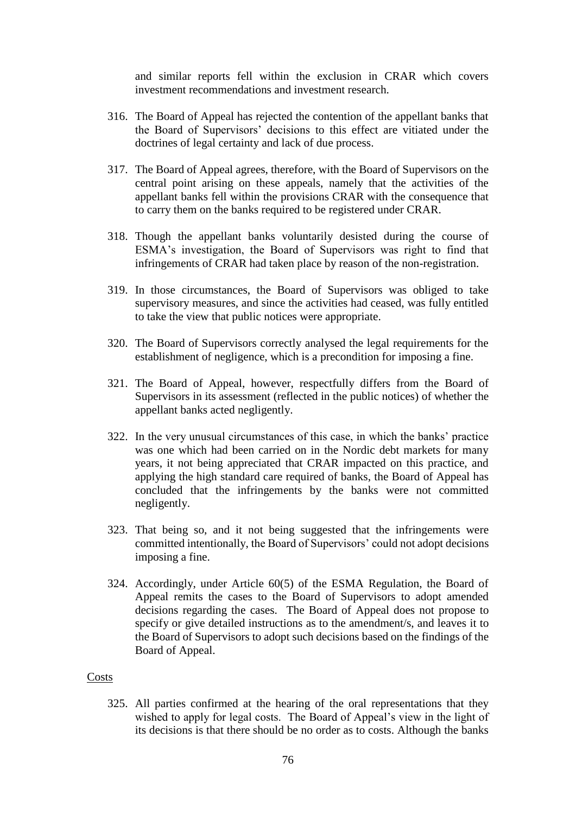and similar reports fell within the exclusion in CRAR which covers investment recommendations and investment research.

- 316. The Board of Appeal has rejected the contention of the appellant banks that the Board of Supervisors' decisions to this effect are vitiated under the doctrines of legal certainty and lack of due process.
- 317. The Board of Appeal agrees, therefore, with the Board of Supervisors on the central point arising on these appeals, namely that the activities of the appellant banks fell within the provisions CRAR with the consequence that to carry them on the banks required to be registered under CRAR.
- 318. Though the appellant banks voluntarily desisted during the course of ESMA's investigation, the Board of Supervisors was right to find that infringements of CRAR had taken place by reason of the non-registration.
- 319. In those circumstances, the Board of Supervisors was obliged to take supervisory measures, and since the activities had ceased, was fully entitled to take the view that public notices were appropriate.
- 320. The Board of Supervisors correctly analysed the legal requirements for the establishment of negligence, which is a precondition for imposing a fine.
- 321. The Board of Appeal, however, respectfully differs from the Board of Supervisors in its assessment (reflected in the public notices) of whether the appellant banks acted negligently.
- 322. In the very unusual circumstances of this case, in which the banks' practice was one which had been carried on in the Nordic debt markets for many years, it not being appreciated that CRAR impacted on this practice, and applying the high standard care required of banks, the Board of Appeal has concluded that the infringements by the banks were not committed negligently.
- 323. That being so, and it not being suggested that the infringements were committed intentionally, the Board of Supervisors' could not adopt decisions imposing a fine.
- 324. Accordingly, under Article 60(5) of the ESMA Regulation, the Board of Appeal remits the cases to the Board of Supervisors to adopt amended decisions regarding the cases. The Board of Appeal does not propose to specify or give detailed instructions as to the amendment/s, and leaves it to the Board of Supervisors to adopt such decisions based on the findings of the Board of Appeal.

## Costs

325. All parties confirmed at the hearing of the oral representations that they wished to apply for legal costs. The Board of Appeal's view in the light of its decisions is that there should be no order as to costs. Although the banks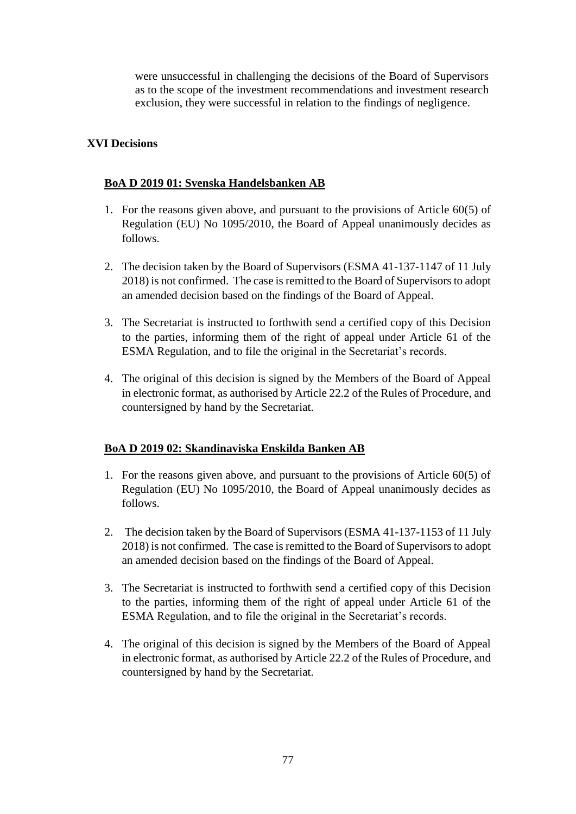were unsuccessful in challenging the decisions of the Board of Supervisors as to the scope of the investment recommendations and investment research exclusion, they were successful in relation to the findings of negligence.

# **XVI Decisions**

## **BoA D 2019 01: Svenska Handelsbanken AB**

- 1. For the reasons given above, and pursuant to the provisions of Article 60(5) of Regulation (EU) No 1095/2010, the Board of Appeal unanimously decides as follows.
- 2. The decision taken by the Board of Supervisors (ESMA 41-137-1147 of 11 July 2018) is not confirmed. The case is remitted to the Board of Supervisors to adopt an amended decision based on the findings of the Board of Appeal.
- 3. The Secretariat is instructed to forthwith send a certified copy of this Decision to the parties, informing them of the right of appeal under Article 61 of the ESMA Regulation, and to file the original in the Secretariat's records.
- 4. The original of this decision is signed by the Members of the Board of Appeal in electronic format, as authorised by Article 22.2 of the Rules of Procedure, and countersigned by hand by the Secretariat.

# **BoA D 2019 02: Skandinaviska Enskilda Banken AB**

- 1. For the reasons given above, and pursuant to the provisions of Article 60(5) of Regulation (EU) No 1095/2010, the Board of Appeal unanimously decides as follows.
- 2. The decision taken by the Board of Supervisors (ESMA 41-137-1153 of 11 July 2018) is not confirmed. The case is remitted to the Board of Supervisors to adopt an amended decision based on the findings of the Board of Appeal.
- 3. The Secretariat is instructed to forthwith send a certified copy of this Decision to the parties, informing them of the right of appeal under Article 61 of the ESMA Regulation, and to file the original in the Secretariat's records.
- 4. The original of this decision is signed by the Members of the Board of Appeal in electronic format, as authorised by Article 22.2 of the Rules of Procedure, and countersigned by hand by the Secretariat.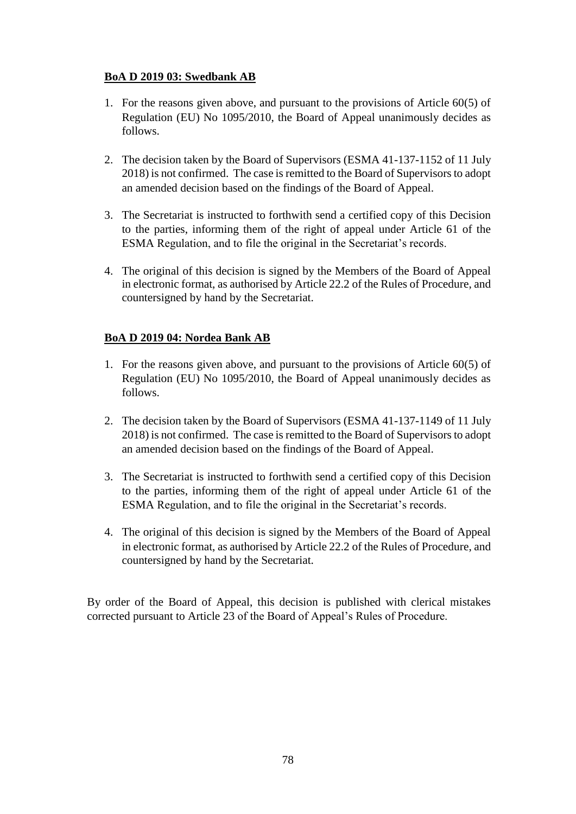# **BoA D 2019 03: Swedbank AB**

- 1. For the reasons given above, and pursuant to the provisions of Article 60(5) of Regulation (EU) No 1095/2010, the Board of Appeal unanimously decides as follows.
- 2. The decision taken by the Board of Supervisors (ESMA 41-137-1152 of 11 July 2018) is not confirmed. The case is remitted to the Board of Supervisors to adopt an amended decision based on the findings of the Board of Appeal.
- 3. The Secretariat is instructed to forthwith send a certified copy of this Decision to the parties, informing them of the right of appeal under Article 61 of the ESMA Regulation, and to file the original in the Secretariat's records.
- 4. The original of this decision is signed by the Members of the Board of Appeal in electronic format, as authorised by Article 22.2 of the Rules of Procedure, and countersigned by hand by the Secretariat.

# **BoA D 2019 04: Nordea Bank AB**

- 1. For the reasons given above, and pursuant to the provisions of Article 60(5) of Regulation (EU) No 1095/2010, the Board of Appeal unanimously decides as follows.
- 2. The decision taken by the Board of Supervisors (ESMA 41-137-1149 of 11 July 2018) is not confirmed. The case is remitted to the Board of Supervisors to adopt an amended decision based on the findings of the Board of Appeal.
- 3. The Secretariat is instructed to forthwith send a certified copy of this Decision to the parties, informing them of the right of appeal under Article 61 of the ESMA Regulation, and to file the original in the Secretariat's records.
- 4. The original of this decision is signed by the Members of the Board of Appeal in electronic format, as authorised by Article 22.2 of the Rules of Procedure, and countersigned by hand by the Secretariat.

By order of the Board of Appeal, this decision is published with clerical mistakes corrected pursuant to Article 23 of the Board of Appeal's Rules of Procedure.